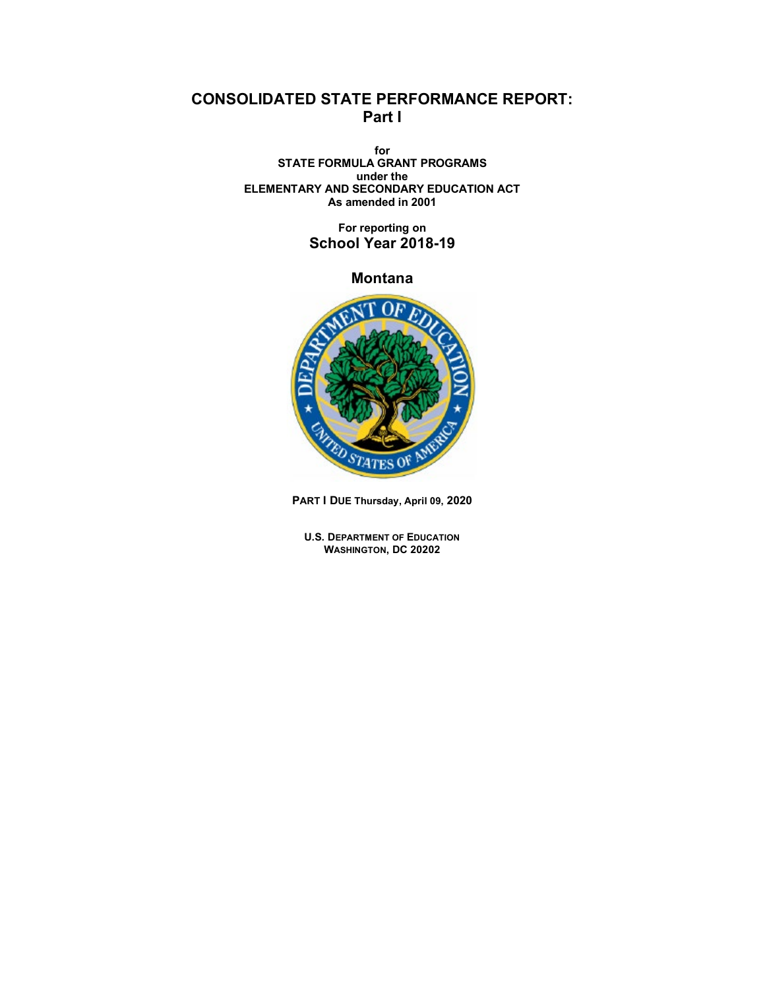# **CONSOLIDATED STATE PERFORMANCE REPORT: Part I**

**for STATE FORMULA GRANT PROGRAMS under the ELEMENTARY AND SECONDARY EDUCATION ACT As amended in 2001**

> **For reporting on School Year 2018-19**

> > **Montana**



**PART I DUE Thursday, April 09, 2020**

**U.S. DEPARTMENT OF EDUCATION WASHINGTON, DC 20202**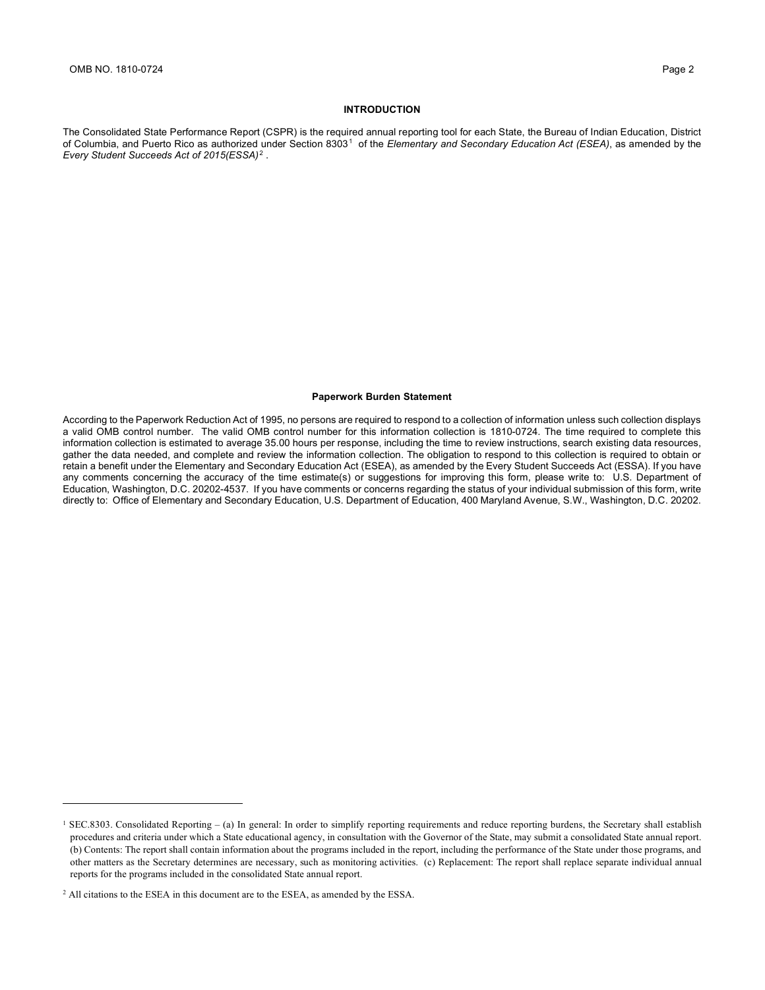#### **INTRODUCTION**

The Consolidated State Performance Report (CSPR) is the required annual reporting tool for each State, the Bureau of Indian Education, District of Columbia, and Puerto Rico as authorized under Section 8303<sup>[1](#page-1-0)</sup> of the *Elementary and Secondary Education Act (ESEA)*, as amended by the *Every Student Succeeds Act of 2015(ESSA)* [2](#page-1-1) .

#### **Paperwork Burden Statement**

According to the Paperwork Reduction Act of 1995, no persons are required to respond to a collection of information unless such collection displays a valid OMB control number. The valid OMB control number for this information collection is 1810-0724. The time required to complete this information collection is estimated to average 35.00 hours per response, including the time to review instructions, search existing data resources, gather the data needed, and complete and review the information collection. The obligation to respond to this collection is required to obtain or retain a benefit under the Elementary and Secondary Education Act (ESEA), as amended by the Every Student Succeeds Act (ESSA). If you have any comments concerning the accuracy of the time estimate(s) or suggestions for improving this form, please write to: U.S. Department of Education, Washington, D.C. 20202-4537. If you have comments or concerns regarding the status of your individual submission of this form, write directly to: Office of Elementary and Secondary Education, U.S. Department of Education, 400 Maryland Avenue, S.W., Washington, D.C. 20202.

<span id="page-1-0"></span><sup>&</sup>lt;sup>1</sup> SEC.8303. Consolidated Reporting – (a) In general: In order to simplify reporting requirements and reduce reporting burdens, the Secretary shall establish procedures and criteria under which a State educational agency, in consultation with the Governor of the State, may submit a consolidated State annual report. (b) Contents: The report shall contain information about the programs included in the report, including the performance of the State under those programs, and other matters as the Secretary determines are necessary, such as monitoring activities. (c) Replacement: The report shall replace separate individual annual reports for the programs included in the consolidated State annual report.

<span id="page-1-1"></span><sup>&</sup>lt;sup>2</sup> All citations to the ESEA in this document are to the ESEA, as amended by the ESSA.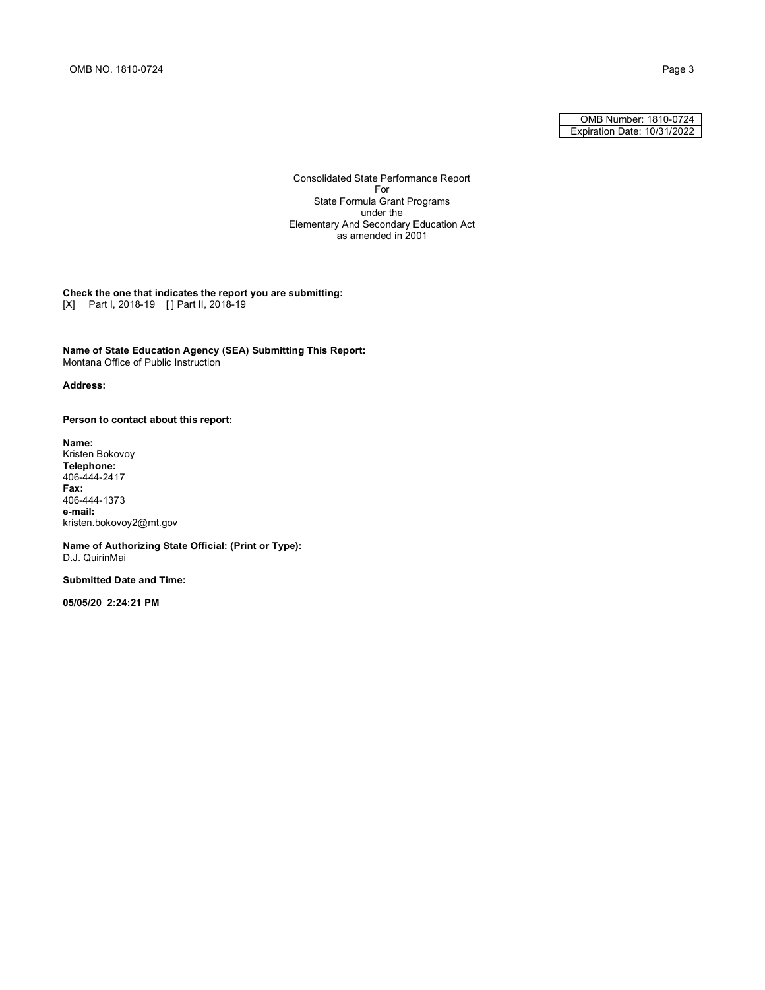OMB Number: 1810-0724 Expiration Date: 10/31/2022

Consolidated State Performance Report For State Formula Grant Programs under the Elementary And Secondary Education Act  $\sigma$  as amended in 2001

**Check the one that indicates the report you are submitting:** [X] Part I, 2018-19 [ ] Part II, 2018-19

**Name of State Education Agency (SEA) Submitting This Report:** Montana Office of Public Instruction

#### **Address:**

**Person to contact about this report:**

**Name:**  Kristen Bokovoy **Telephone:**  406-444-2417 **Fax:**  406-444-1373 **e-mail:**  kristen.bokovoy2@mt.gov

**Name of Authorizing State Official: (Print or Type):** D.J. QuirinMai

**Submitted Date and Time:**

**05/05/20 2:24:21 PM**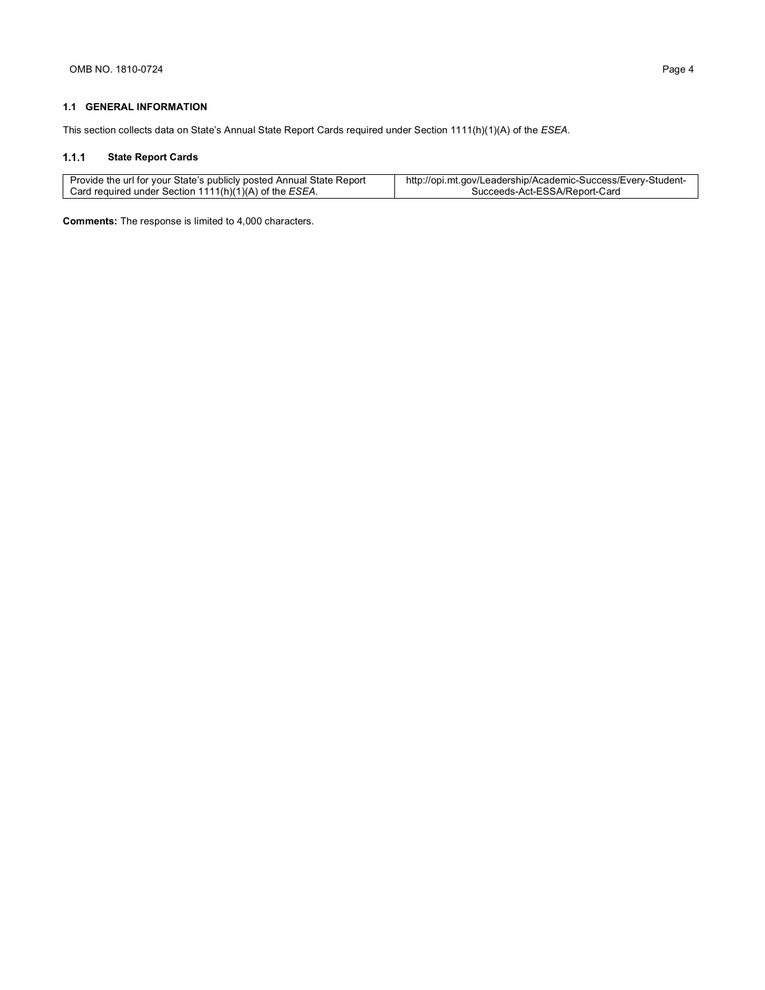### **1.1 GENERAL INFORMATION**

This section collects data on State's Annual State Report Cards required under Section 1111(h)(1)(A) of the *ESEA*.

#### $1.1.1$ **State Report Cards**

| Provide the url for your State's publicly posted Annual State Report | http://opi.mt.gov/Leadership/Academic-Success/Every-Student- |
|----------------------------------------------------------------------|--------------------------------------------------------------|
| Card required under Section $1111(h)(1)(A)$ of the <i>ESEA</i> .     | Succeeds-Act-ESSA/Report-Card                                |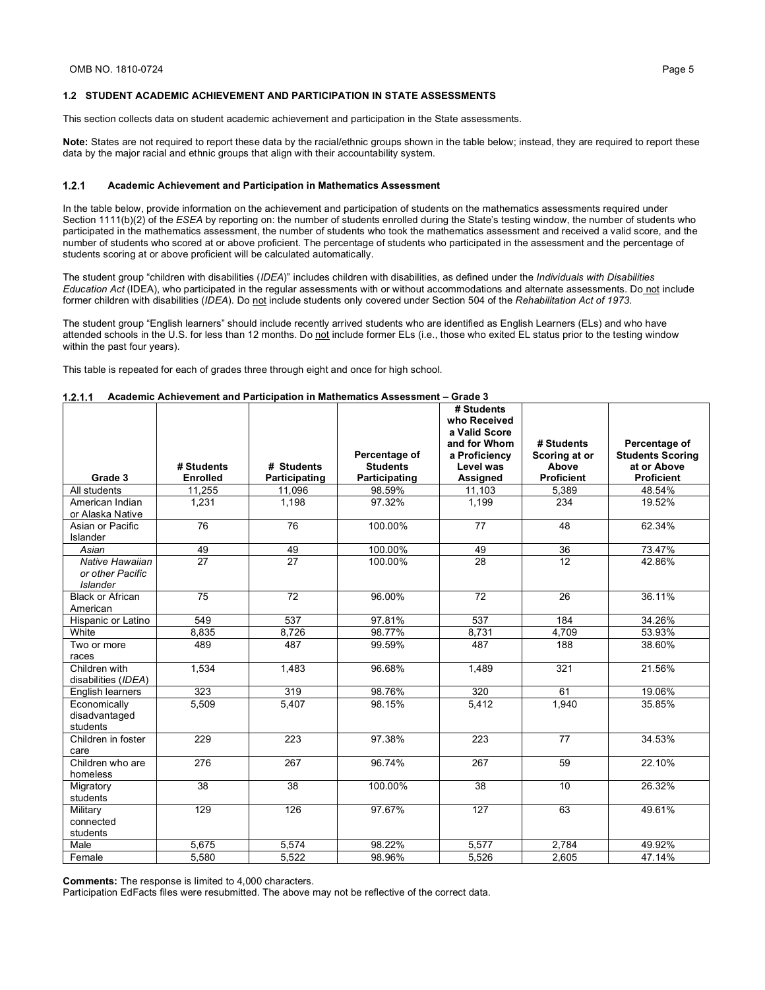#### **1.2 STUDENT ACADEMIC ACHIEVEMENT AND PARTICIPATION IN STATE ASSESSMENTS**

This section collects data on student academic achievement and participation in the State assessments.

**Note:** States are not required to report these data by the racial/ethnic groups shown in the table below; instead, they are required to report these data by the major racial and ethnic groups that align with their accountability system.

#### $1.2.1$ **Academic Achievement and Participation in Mathematics Assessment**

In the table below, provide information on the achievement and participation of students on the mathematics assessments required under Section 1111(b)(2) of the *ESEA* by reporting on: the number of students enrolled during the State's testing window, the number of students who participated in the mathematics assessment, the number of students who took the mathematics assessment and received a valid score, and the number of students who scored at or above proficient. The percentage of students who participated in the assessment and the percentage of students scoring at or above proficient will be calculated automatically.

The student group "children with disabilities (*IDEA*)" includes children with disabilities, as defined under the *Individuals with Disabilities Education Act* (IDEA), who participated in the regular assessments with or without accommodations and alternate assessments. Do not include former children with disabilities (IDEA). Do not include students only covered under Section 504 of the Rehabilitation Act of 1973.

The student group "English learners" should include recently arrived students who are identified as English Learners (ELs) and who have attended schools in the U.S. for less than 12 months. Do not include former ELs (i.e., those who exited EL status prior to the testing window within the past four years).

This table is repeated for each of grades three through eight and once for high school.

| Grade 3                                                | # Students<br><b>Enrolled</b> | # Students    | Percentage of<br><b>Students</b><br>Participating | # Students<br>who Received<br>a Valid Score<br>and for Whom<br>a Proficiency<br>Level was<br><b>Assigned</b> | # Students<br>Scoring at or<br>Above<br><b>Proficient</b> | Percentage of<br><b>Students Scoring</b><br>at or Above<br><b>Proficient</b> |
|--------------------------------------------------------|-------------------------------|---------------|---------------------------------------------------|--------------------------------------------------------------------------------------------------------------|-----------------------------------------------------------|------------------------------------------------------------------------------|
|                                                        |                               | Participating |                                                   |                                                                                                              |                                                           | 48.54%                                                                       |
| All students                                           | 11.255                        | 11.096        | 98.59%                                            | 11.103                                                                                                       | 5.389                                                     |                                                                              |
| American Indian                                        | 1.231                         | 1.198         | 97.32%                                            | 1.199                                                                                                        | 234                                                       | 19.52%                                                                       |
| or Alaska Native                                       |                               |               |                                                   |                                                                                                              |                                                           |                                                                              |
| Asian or Pacific                                       | 76                            | 76            | 100.00%                                           | 77                                                                                                           | 48                                                        | 62.34%                                                                       |
| Islander                                               |                               |               |                                                   |                                                                                                              |                                                           |                                                                              |
| Asian                                                  | 49                            | 49            | 100.00%                                           | 49                                                                                                           | 36                                                        | 73.47%                                                                       |
| Native Hawaiian<br>or other Pacific<br><b>Islander</b> | 27                            | 27            | 100.00%                                           | 28                                                                                                           | 12                                                        | 42.86%                                                                       |
| <b>Black or African</b><br>American                    | 75                            | 72            | 96.00%                                            | 72                                                                                                           | 26                                                        | 36.11%                                                                       |
| Hispanic or Latino                                     | 549                           | 537           | 97.81%                                            | 537                                                                                                          | 184                                                       | 34.26%                                                                       |
| White                                                  | 8,835                         | 8,726         | 98.77%                                            | 8,731                                                                                                        | 4.709                                                     | 53.93%                                                                       |
| Two or more                                            | 489                           | 487           | 99.59%                                            | 487                                                                                                          | 188                                                       | 38.60%                                                                       |
| races                                                  |                               |               |                                                   |                                                                                                              |                                                           |                                                                              |
| Children with<br>disabilities (IDEA)                   | 1,534                         | 1.483         | 96.68%                                            | 1,489                                                                                                        | 321                                                       | 21.56%                                                                       |
| English learners                                       | 323                           | 319           | 98.76%                                            | 320                                                                                                          | 61                                                        | 19.06%                                                                       |
| Economically<br>disadvantaged<br>students              | 5,509                         | 5,407         | 98.15%                                            | 5,412                                                                                                        | 1.940                                                     | 35.85%                                                                       |
| Children in foster<br>care                             | 229                           | 223           | 97.38%                                            | 223                                                                                                          | 77                                                        | 34.53%                                                                       |
| Children who are<br>homeless                           | 276                           | 267           | 96.74%                                            | 267                                                                                                          | 59                                                        | 22.10%                                                                       |
| Migratory<br>students                                  | 38                            | 38            | 100.00%                                           | 38                                                                                                           | 10                                                        | 26.32%                                                                       |
| Military<br>connected<br>students                      | 129                           | 126           | 97.67%                                            | 127                                                                                                          | 63                                                        | 49.61%                                                                       |
| Male                                                   | 5,675                         | 5,574         | 98.22%                                            | 5,577                                                                                                        | 2,784                                                     | 49.92%                                                                       |
| Female                                                 | 5.580                         | 5.522         | 98.96%                                            | 5.526                                                                                                        | 2.605                                                     | 47.14%                                                                       |

| 1.2.1.1 |  | Academic Achievement and Participation in Mathematics Assessment – Grade 3 |         |
|---------|--|----------------------------------------------------------------------------|---------|
|         |  |                                                                            | 11.0111 |

**Comments:** The response is limited to 4,000 characters.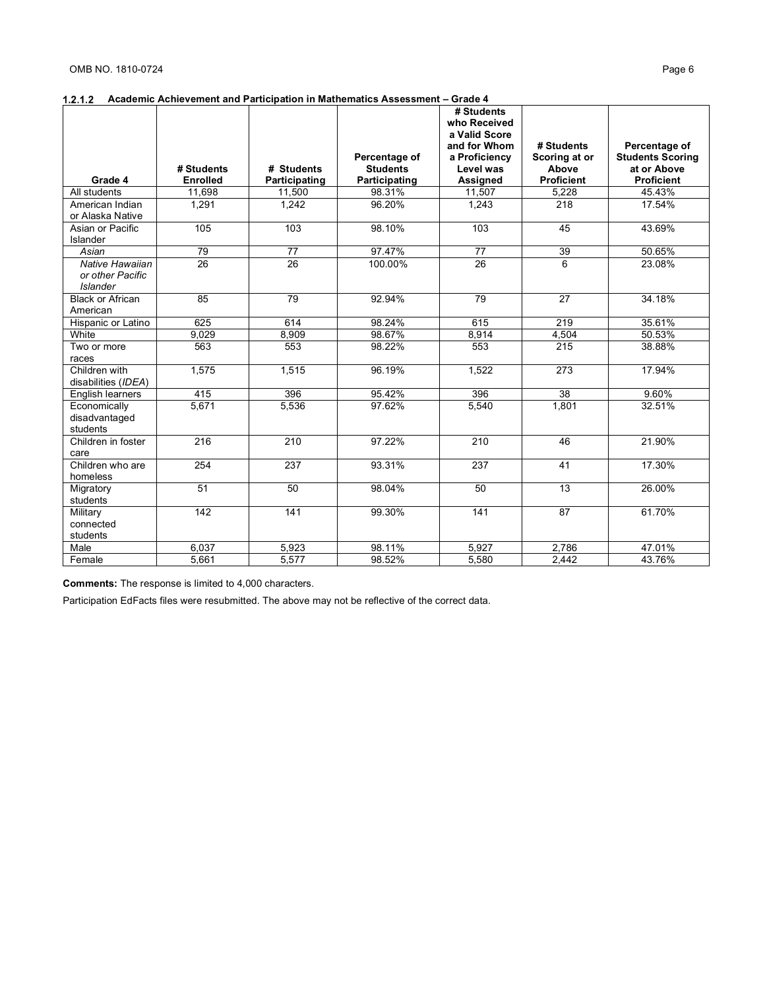|                                                        |                               |                             |                                  | # Students<br>who Received<br>a Valid Score<br>and for Whom | # Students                 | Percentage of                    |
|--------------------------------------------------------|-------------------------------|-----------------------------|----------------------------------|-------------------------------------------------------------|----------------------------|----------------------------------|
|                                                        |                               |                             | Percentage of                    | a Proficiency                                               | Scoring at or              | <b>Students Scoring</b>          |
| Grade 4                                                | # Students<br><b>Enrolled</b> | # Students<br>Participating | <b>Students</b><br>Participating | Level was<br>Assigned                                       | Above<br><b>Proficient</b> | at or Above<br><b>Proficient</b> |
| All students                                           | 11,698                        | 11,500                      | 98.31%                           | 11,507                                                      | 5,228                      | 45.43%                           |
| American Indian<br>or Alaska Native                    | 1,291                         | 1,242                       | 96.20%                           | 1,243                                                       | 218                        | 17.54%                           |
| Asian or Pacific<br>Islander                           | 105                           | 103                         | 98.10%                           | 103                                                         | 45                         | 43.69%                           |
| Asian                                                  | 79                            | 77                          | 97.47%                           | 77                                                          | 39                         | 50.65%                           |
| Native Hawaiian<br>or other Pacific<br><b>Islander</b> | 26                            | 26                          | 100.00%                          | 26                                                          | 6                          | 23.08%                           |
| <b>Black or African</b><br>American                    | 85                            | 79                          | 92.94%                           | 79                                                          | 27                         | 34.18%                           |
| Hispanic or Latino                                     | 625                           | 614                         | 98.24%                           | 615                                                         | 219                        | 35.61%                           |
| White                                                  | 9,029                         | 8,909                       | 98.67%                           | 8,914                                                       | 4,504                      | 50.53%                           |
| Two or more<br>races                                   | 563                           | 553                         | 98.22%                           | 553                                                         | 215                        | 38.88%                           |
| Children with<br>disabilities (IDEA)                   | 1,575                         | 1,515                       | 96.19%                           | 1.522                                                       | $\overline{273}$           | 17.94%                           |
| English learners                                       | 415                           | 396                         | 95.42%                           | 396                                                         | 38                         | 9.60%                            |
| Economically<br>disadvantaged<br>students              | 5,671                         | 5,536                       | 97.62%                           | 5,540                                                       | 1,801                      | 32.51%                           |
| Children in foster<br>care                             | 216                           | 210                         | 97.22%                           | 210                                                         | 46                         | 21.90%                           |
| Children who are<br>homeless                           | 254                           | 237                         | 93.31%                           | 237                                                         | 41                         | 17.30%                           |
| Migratory<br>students                                  | 51                            | 50                          | 98.04%                           | 50                                                          | 13                         | 26.00%                           |
| Military<br>connected<br>students                      | 142                           | 141                         | 99.30%                           | 141                                                         | 87                         | 61.70%                           |
| Male                                                   | 6,037                         | 5,923                       | 98.11%                           | 5,927                                                       | 2,786                      | 47.01%                           |
| Female                                                 | 5,661                         | 5,577                       | 98.52%                           | 5,580                                                       | 2,442                      | 43.76%                           |

**Comments:** The response is limited to 4,000 characters.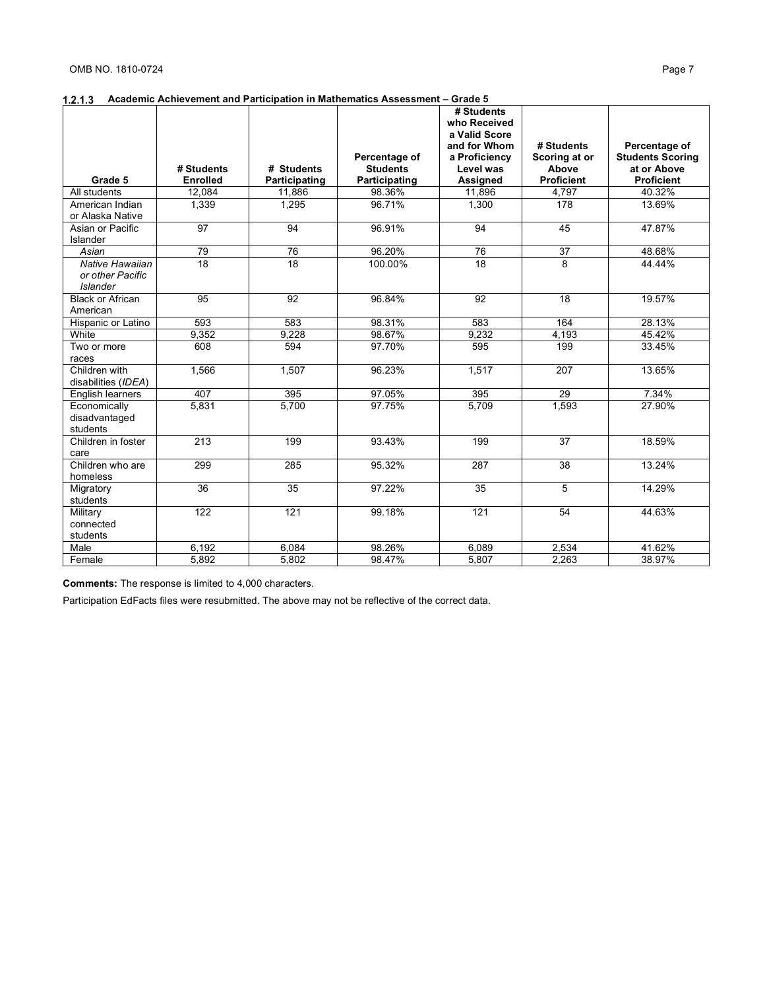|                                     |                 |               |                 | # Students<br>who Received |                   |                         |
|-------------------------------------|-----------------|---------------|-----------------|----------------------------|-------------------|-------------------------|
|                                     |                 |               |                 | a Valid Score              |                   |                         |
|                                     |                 |               |                 | and for Whom               | # Students        | Percentage of           |
|                                     |                 |               | Percentage of   | a Proficiency              | Scoring at or     | <b>Students Scoring</b> |
|                                     | # Students      | # Students    | <b>Students</b> | Level was                  | Above             | at or Above             |
| Grade 5                             | <b>Enrolled</b> | Participating | Participating   | Assigned                   | <b>Proficient</b> | <b>Proficient</b>       |
| All students                        | 12.084          | 11,886        | 98.36%          | 11,896                     | 4,797             | 40.32%                  |
| American Indian<br>or Alaska Native | 1,339           | 1,295         | 96.71%          | 1,300                      | 178               | 13.69%                  |
| Asian or Pacific                    | 97              | 94            | 96.91%          | 94                         | 45                | 47.87%                  |
| Islander                            |                 |               |                 |                            |                   |                         |
| Asian                               | 79              | 76            | 96.20%          | 76                         | 37                | 48.68%                  |
| Native Hawaiian                     | 18              | 18            | 100.00%         | 18                         | 8                 | 44.44%                  |
| or other Pacific<br><b>Islander</b> |                 |               |                 |                            |                   |                         |
| <b>Black or African</b>             | 95              | 92            | 96.84%          | 92                         | 18                | 19.57%                  |
| American                            |                 |               |                 |                            |                   |                         |
| Hispanic or Latino                  | 593             | 583           | 98.31%          | 583                        | 164               | 28.13%                  |
| White                               | 9,352           | 9,228         | 98.67%          | 9,232                      | 4,193             | 45.42%                  |
| Two or more                         | 608             | 594           | 97.70%          | 595                        | 199               | 33.45%                  |
| races                               |                 |               |                 |                            |                   |                         |
| Children with                       | 1.566           | 1.507         | 96.23%          | 1.517                      | 207               | 13.65%                  |
| disabilities (IDEA)                 |                 |               |                 |                            |                   |                         |
| <b>English learners</b>             | 407             | 395           | 97.05%          | 395                        | 29                | 7.34%                   |
| Economically                        | 5,831           | 5,700         | 97.75%          | 5,709                      | 1.593             | 27.90%                  |
| disadvantaged                       |                 |               |                 |                            |                   |                         |
| students                            |                 |               |                 |                            |                   |                         |
| Children in foster                  | 213             | 199           | 93.43%          | 199                        | 37                | 18.59%                  |
| care<br>Children who are            | 299             | 285           | 95.32%          | 287                        | 38                | 13.24%                  |
| homeless                            |                 |               |                 |                            |                   |                         |
| Migratory                           | 36              | 35            | 97.22%          | 35                         | 5                 | 14.29%                  |
| students                            |                 |               |                 |                            |                   |                         |
| Military                            | 122             | 121           | 99.18%          | 121                        | 54                | 44.63%                  |
| connected                           |                 |               |                 |                            |                   |                         |
| students                            |                 |               |                 |                            |                   |                         |
| Male                                | 6,192           | 6,084         | 98.26%          | 6,089                      | 2,534             | 41.62%                  |
| Female                              | 5.892           | 5.802         | 98.47%          | 5,807                      | 2,263             | 38.97%                  |

**Comments:** The response is limited to 4,000 characters.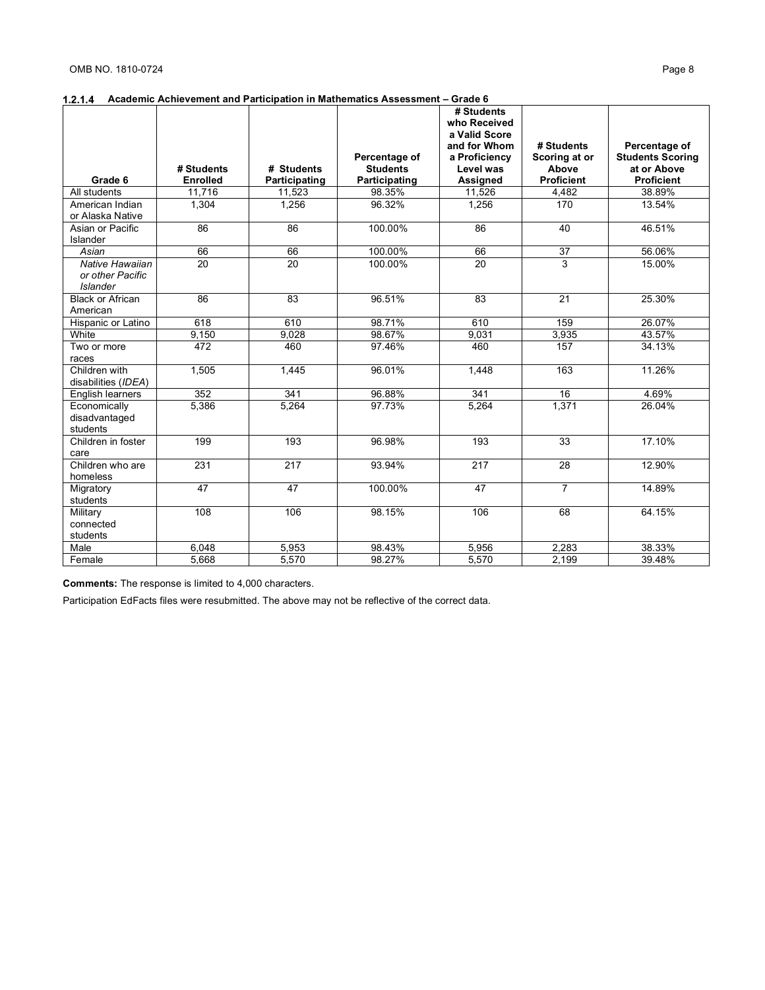|                                                        |                 |                 |                 | # Students<br>who Received<br>a Valid Score |                             |                                          |
|--------------------------------------------------------|-----------------|-----------------|-----------------|---------------------------------------------|-----------------------------|------------------------------------------|
|                                                        |                 |                 | Percentage of   | and for Whom<br>a Proficiency               | # Students<br>Scoring at or | Percentage of<br><b>Students Scoring</b> |
|                                                        | # Students      | # Students      | <b>Students</b> | Level was                                   | Above                       | at or Above                              |
| Grade 6                                                | <b>Enrolled</b> | Participating   | Participating   | Assigned                                    | <b>Proficient</b>           | <b>Proficient</b>                        |
| All students                                           | 11,716          | 11,523          | 98.35%          | 11,526                                      | 4,482                       | 38.89%                                   |
| American Indian<br>or Alaska Native                    | 1,304           | 1,256           | 96.32%          | 1,256                                       | 170                         | 13.54%                                   |
| Asian or Pacific<br>Islander                           | 86              | 86              | 100.00%         | 86                                          | 40                          | 46.51%                                   |
| Asian                                                  | 66              | 66              | 100.00%         | 66                                          | 37                          | 56.06%                                   |
| Native Hawaiian<br>or other Pacific<br><b>Islander</b> | 20              | 20              | 100.00%         | 20                                          | 3                           | 15.00%                                   |
| <b>Black or African</b><br>American                    | 86              | 83              | 96.51%          | 83                                          | 21                          | 25.30%                                   |
| Hispanic or Latino                                     | 618             | 610             | 98.71%          | 610                                         | 159                         | 26.07%                                   |
| White                                                  | 9,150           | 9,028           | 98.67%          | 9,031                                       | 3,935                       | 43.57%                                   |
| Two or more<br>races                                   | 472             | 460             | 97.46%          | 460                                         | 157                         | 34.13%                                   |
| Children with<br>disabilities (IDEA)                   | 1,505           | 1,445           | 96.01%          | 1,448                                       | 163                         | 11.26%                                   |
| English learners                                       | 352             | 341             | 96.88%          | 341                                         | 16                          | 4.69%                                    |
| Economically<br>disadvantaged<br>students              | 5,386           | 5,264           | 97.73%          | 5,264                                       | 1,371                       | 26.04%                                   |
| Children in foster<br>care                             | 199             | 193             | 96.98%          | 193                                         | 33                          | 17.10%                                   |
| Children who are<br>homeless                           | 231             | 217             | 93.94%          | 217                                         | 28                          | 12.90%                                   |
| Migratory<br>students                                  | $\overline{47}$ | $\overline{47}$ | 100.00%         | $\overline{47}$                             | $\overline{7}$              | 14.89%                                   |
| Military<br>connected<br>students                      | 108             | 106             | 98.15%          | 106                                         | 68                          | 64.15%                                   |
| Male                                                   | 6,048           | 5,953           | 98.43%          | 5,956                                       | 2,283                       | 38.33%                                   |
| Female                                                 | 5,668           | 5,570           | 98.27%          | 5,570                                       | 2,199                       | 39.48%                                   |

**Comments:** The response is limited to 4,000 characters.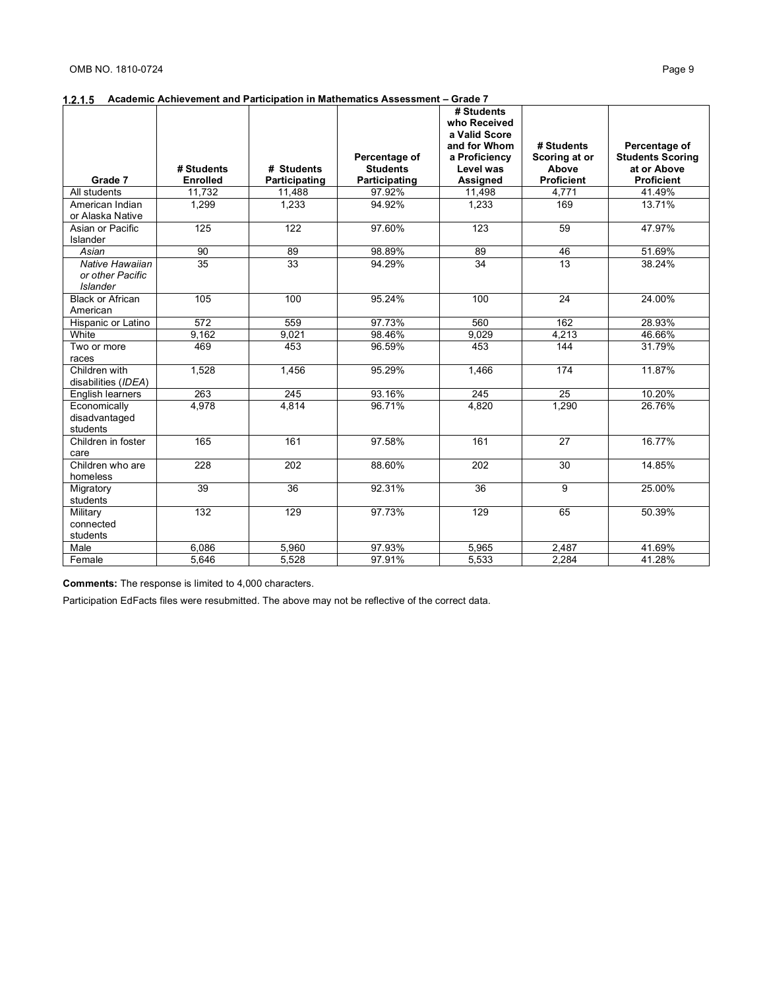|                                                        |                               |                             |                                  | # Students<br>who Received<br>a Valid Score<br>and for Whom | # Students                 | Percentage of                    |
|--------------------------------------------------------|-------------------------------|-----------------------------|----------------------------------|-------------------------------------------------------------|----------------------------|----------------------------------|
|                                                        |                               |                             | Percentage of                    | a Proficiency                                               | Scoring at or              | <b>Students Scoring</b>          |
| Grade 7                                                | # Students<br><b>Enrolled</b> | # Students<br>Participating | <b>Students</b><br>Participating | Level was<br>Assigned                                       | Above<br><b>Proficient</b> | at or Above<br><b>Proficient</b> |
| All students                                           | 11,732                        | 11,488                      | 97.92%                           | 11,498                                                      | 4,771                      | 41.49%                           |
| American Indian<br>or Alaska Native                    | 1,299                         | 1,233                       | 94.92%                           | 1,233                                                       | 169                        | 13.71%                           |
| Asian or Pacific<br>Islander                           | 125                           | 122                         | 97.60%                           | 123                                                         | 59                         | 47.97%                           |
| Asian                                                  | 90                            | 89                          | 98.89%                           | 89                                                          | 46                         | 51.69%                           |
| Native Hawaiian<br>or other Pacific<br><b>Islander</b> | 35                            | 33                          | 94.29%                           | 34                                                          | 13                         | 38.24%                           |
| <b>Black or African</b><br>American                    | 105                           | 100                         | 95.24%                           | 100                                                         | 24                         | 24.00%                           |
| Hispanic or Latino                                     | $\overline{572}$              | 559                         | 97.73%                           | 560                                                         | 162                        | 28.93%                           |
| White                                                  | 9,162                         | 9,021                       | 98.46%                           | 9,029                                                       | 4,213                      | 46.66%                           |
| Two or more<br>races                                   | 469                           | 453                         | 96.59%                           | 453                                                         | 144                        | 31.79%                           |
| Children with<br>disabilities (IDEA)                   | 1,528                         | 1,456                       | 95.29%                           | 1.466                                                       | 174                        | 11.87%                           |
| English learners                                       | 263                           | 245                         | 93.16%                           | 245                                                         | 25                         | 10.20%                           |
| Economically<br>disadvantaged<br>students              | 4,978                         | 4,814                       | 96.71%                           | 4,820                                                       | 1,290                      | 26.76%                           |
| Children in foster<br>care                             | 165                           | 161                         | 97.58%                           | 161                                                         | $\overline{27}$            | 16.77%                           |
| Children who are<br>homeless                           | 228                           | 202                         | 88.60%                           | 202                                                         | 30                         | 14.85%                           |
| Migratory<br>students                                  | $\overline{39}$               | $\overline{36}$             | 92.31%                           | 36                                                          | 9                          | 25.00%                           |
| Military<br>connected<br>students                      | 132                           | 129                         | 97.73%                           | 129                                                         | 65                         | 50.39%                           |
| Male                                                   | 6,086                         | 5,960                       | 97.93%                           | 5,965                                                       | 2,487                      | 41.69%                           |
| Female                                                 | 5,646                         | 5,528                       | 97.91%                           | 5,533                                                       | 2,284                      | 41.28%                           |

**Comments:** The response is limited to 4,000 characters.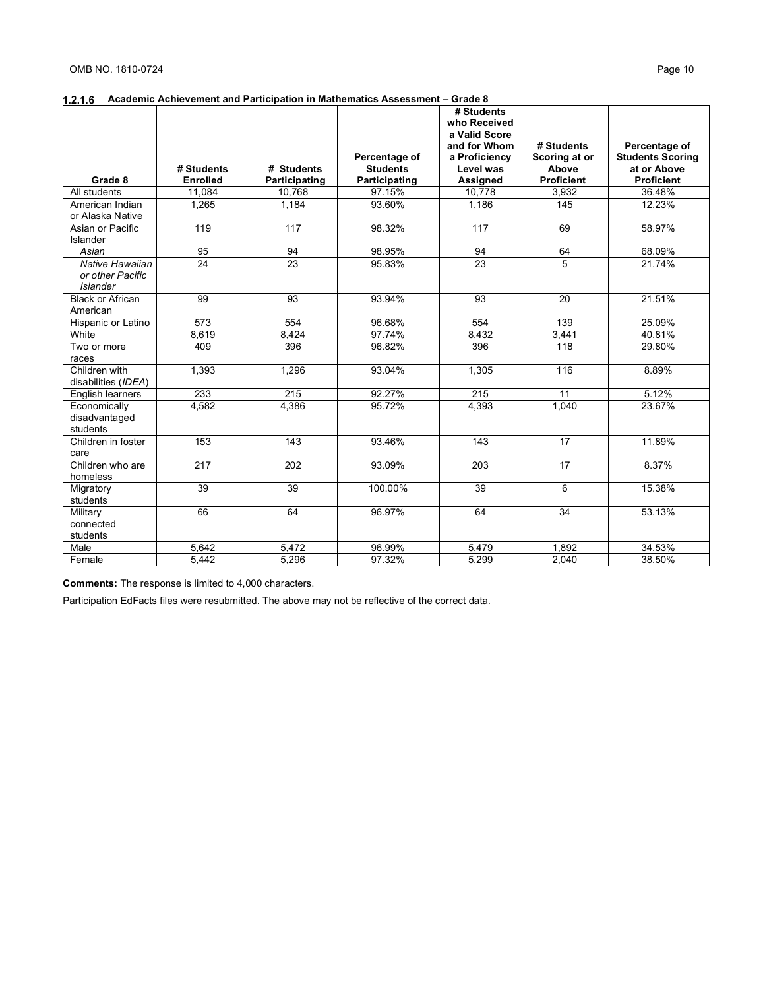|                                                        |                    |               |                 | # Students<br>who Received<br>a Valid Score |                             |                                          |
|--------------------------------------------------------|--------------------|---------------|-----------------|---------------------------------------------|-----------------------------|------------------------------------------|
|                                                        |                    |               | Percentage of   | and for Whom<br>a Proficiency               | # Students<br>Scoring at or | Percentage of<br><b>Students Scoring</b> |
|                                                        | # Students         | # Students    | <b>Students</b> | Level was                                   | Above                       | at or Above                              |
| Grade 8                                                | <b>Enrolled</b>    | Participating | Participating   | Assigned                                    | <b>Proficient</b>           | <b>Proficient</b>                        |
| All students                                           | 11,084             | 10,768        | 97.15%          | 10,778                                      | 3,932                       | 36.48%                                   |
| American Indian<br>or Alaska Native                    | 1,265              | 1,184         | 93.60%          | 1.186                                       | 145                         | 12.23%                                   |
| Asian or Pacific<br>Islander                           | 119                | 117           | 98.32%          | 117                                         | 69                          | 58.97%                                   |
| Asian                                                  | 95                 | 94            | 98.95%          | 94                                          | 64                          | 68.09%                                   |
| Native Hawaiian<br>or other Pacific<br><b>Islander</b> | 24                 | 23            | 95.83%          | 23                                          | 5                           | 21.74%                                   |
| <b>Black or African</b><br>American                    | 99                 | 93            | 93.94%          | 93                                          | 20                          | 21.51%                                   |
| Hispanic or Latino                                     | $\overline{573}$   | 554           | 96.68%          | 554                                         | 139                         | 25.09%                                   |
| White                                                  | 8,619              | 8,424         | 97.74%          | 8,432                                       | 3,441                       | 40.81%                                   |
| Two or more<br>races                                   | 409                | 396           | 96.82%          | 396                                         | 118                         | 29.80%                                   |
| Children with<br>disabilities (IDEA)                   | 1,393              | 1,296         | 93.04%          | 1,305                                       | 116                         | 8.89%                                    |
| English learners                                       | 233                | 215           | 92.27%          | 215                                         | 11                          | 5.12%                                    |
| Economically<br>disadvantaged<br>students              | 4,582              | 4,386         | 95.72%          | 4,393                                       | 1,040                       | 23.67%                                   |
| Children in foster<br>care                             | 153                | 143           | 93.46%          | 143                                         | 17                          | 11.89%                                   |
| Children who are<br>homeless                           | 217                | 202           | 93.09%          | 203                                         | 17                          | 8.37%                                    |
| Migratory<br>students                                  | $\overline{39}$    | 39            | 100.00%         | 39                                          | 6                           | 15.38%                                   |
| Military<br>connected<br>students                      | 66                 | 64            | 96.97%          | 64                                          | 34                          | 53.13%                                   |
| Male                                                   | 5,642              | 5.472         | 96.99%          | 5,479                                       | 1,892                       | 34.53%                                   |
| Female                                                 | $\overline{5,}442$ | 5,296         | 97.32%          | 5,299                                       | 2.040                       | 38.50%                                   |

**Comments:** The response is limited to 4,000 characters.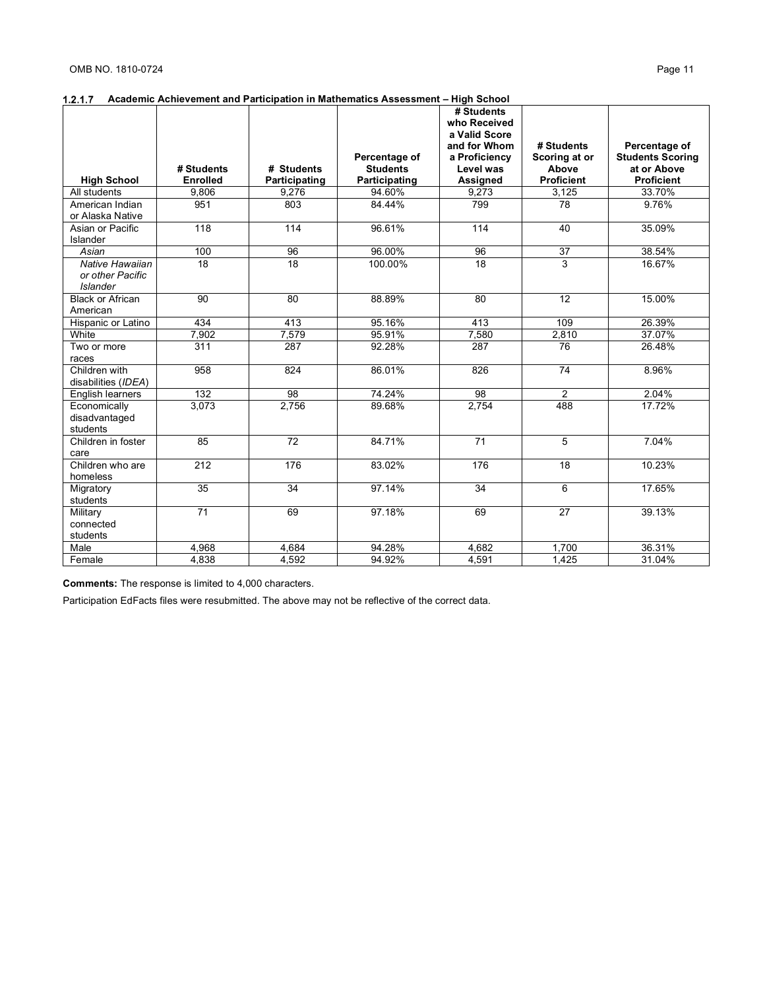### **Academic Achievement and Participation in Mathematics Assessment – High School**

|                                                        |                 |               |                 | # Students<br>who Received<br>a Valid Score<br>and for Whom | # Students        | Percentage of           |
|--------------------------------------------------------|-----------------|---------------|-----------------|-------------------------------------------------------------|-------------------|-------------------------|
|                                                        |                 |               | Percentage of   | a Proficiency                                               | Scoring at or     | <b>Students Scoring</b> |
|                                                        | # Students      | # Students    | <b>Students</b> | Level was                                                   | Above             | at or Above             |
| <b>High School</b>                                     | <b>Enrolled</b> | Participating | Participating   | Assigned                                                    | <b>Proficient</b> | <b>Proficient</b>       |
| All students                                           | 9,806           | 9,276         | 94.60%          | 9,273                                                       | 3,125             | 33.70%                  |
| American Indian<br>or Alaska Native                    | 951             | 803           | 84.44%          | 799                                                         | 78                | 9.76%                   |
| Asian or Pacific<br>Islander                           | 118             | 114           | 96.61%          | 114                                                         | 40                | 35.09%                  |
| Asian                                                  | 100             | 96            | 96.00%          | 96                                                          | 37                | 38.54%                  |
| Native Hawaiian<br>or other Pacific<br><b>Islander</b> | 18              | 18            | 100.00%         | 18                                                          | 3                 | 16.67%                  |
| <b>Black or African</b><br>American                    | 90              | 80            | 88.89%          | 80                                                          | 12                | 15.00%                  |
| Hispanic or Latino                                     | 434             | 413           | 95.16%          | 413                                                         | 109               | 26.39%                  |
| White                                                  | 7,902           | 7,579         | 95.91%          | 7,580                                                       | 2,810             | 37.07%                  |
| Two or more<br>races                                   | 311             | 287           | 92.28%          | 287                                                         | 76                | 26.48%                  |
| Children with<br>disabilities (IDEA)                   | 958             | 824           | 86.01%          | 826                                                         | 74                | 8.96%                   |
| English learners                                       | 132             | 98            | 74.24%          | 98                                                          | $\overline{2}$    | 2.04%                   |
| Economically<br>disadvantaged<br>students              | 3,073           | 2,756         | 89.68%          | 2,754                                                       | 488               | 17.72%                  |
| Children in foster<br>care                             | 85              | 72            | 84.71%          | $\overline{71}$                                             | 5                 | 7.04%                   |
| Children who are<br>homeless                           | 212             | 176           | 83.02%          | 176                                                         | 18                | 10.23%                  |
| Migratory<br>students                                  | 35              | 34            | 97.14%          | 34                                                          | 6                 | 17.65%                  |
| Military<br>connected<br>students                      | $\overline{71}$ | 69            | 97.18%          | 69                                                          | 27                | 39.13%                  |
| Male                                                   | 4,968           | 4,684         | 94.28%          | 4,682                                                       | 1,700             | 36.31%                  |
| Female                                                 | 4,838           | 4,592         | 94.92%          | 4,591                                                       | 1,425             | 31.04%                  |

**Comments:** The response is limited to 4,000 characters.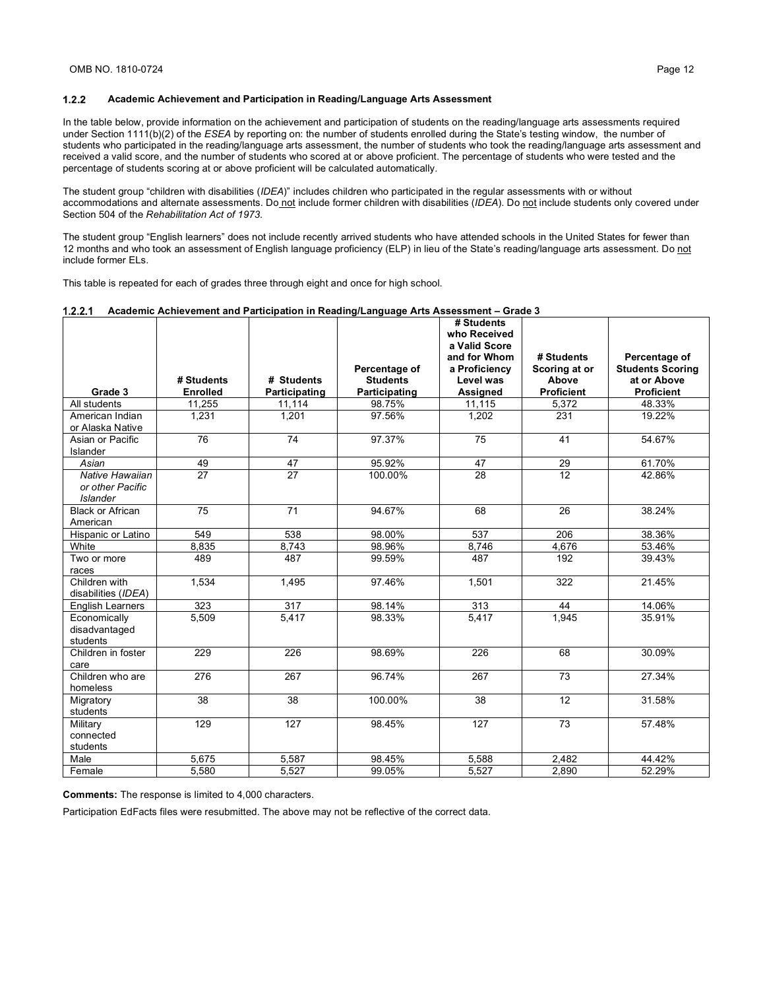In the table below, provide information on the achievement and participation of students on the reading/language arts assessments required under Section 1111(b)(2) of the *ESEA* by reporting on: the number of students enrolled during the State's testing window, the number of students who participated in the reading/language arts assessment, the number of students who took the reading/language arts assessment and received a valid score, and the number of students who scored at or above proficient. The percentage of students who were tested and the percentage of students scoring at or above proficient will be calculated automatically.

The student group "children with disabilities (*IDEA*)" includes children who participated in the regular assessments with or without accommodations and alternate assessments. Do not include former children with disabilities (IDEA). Do not include students only covered under Section 504 of the *Rehabilitation Act of 1973*.

The student group "English learners" does not include recently arrived students who have attended schools in the United States for fewer than 12 months and who took an assessment of English language proficiency (ELP) in lieu of the State's reading/language arts assessment. Do not include former ELs.

This table is repeated for each of grades three through eight and once for high school.

#### **Academic Achievement and Participation in Reading/Language Arts Assessment – Grade 3**

|                                                        | # Students      | # Students    | Percentage of<br><b>Students</b> | # Students<br>who Received<br>a Valid Score<br>and for Whom<br>a Proficiency<br>Level was | # Students<br>Scoring at or<br>Above | Percentage of<br><b>Students Scoring</b><br>at or Above |
|--------------------------------------------------------|-----------------|---------------|----------------------------------|-------------------------------------------------------------------------------------------|--------------------------------------|---------------------------------------------------------|
| Grade 3                                                | <b>Enrolled</b> | Participating | Participating                    | Assigned                                                                                  | <b>Proficient</b>                    | <b>Proficient</b>                                       |
| All students                                           | 11,255          | 11,114        | 98.75%                           | 11,115                                                                                    | 5,372                                | 48.33%                                                  |
| American Indian<br>or Alaska Native                    | 1,231           | 1,201         | 97.56%                           | 1,202                                                                                     | 231                                  | 19.22%                                                  |
| Asian or Pacific<br><b>Islander</b>                    | 76              | 74            | 97.37%                           | 75                                                                                        | 41                                   | 54.67%                                                  |
| Asian                                                  | 49              | 47            | 95.92%                           | 47                                                                                        | 29                                   | 61.70%                                                  |
| Native Hawaiian<br>or other Pacific<br><b>Islander</b> | $\overline{27}$ | 27            | 100.00%                          | 28                                                                                        | $\overline{12}$                      | 42.86%                                                  |
| <b>Black or African</b><br>American                    | 75              | 71            | 94.67%                           | 68                                                                                        | 26                                   | 38.24%                                                  |
| Hispanic or Latino                                     | 549             | 538           | 98.00%                           | 537                                                                                       | 206                                  | 38.36%                                                  |
| White                                                  | 8,835           | 8,743         | 98.96%                           | 8,746                                                                                     | 4,676                                | 53.46%                                                  |
| Two or more<br>races                                   | 489             | 487           | 99.59%                           | 487                                                                                       | 192                                  | 39.43%                                                  |
| Children with<br>disabilities (IDEA)                   | 1.534           | 1.495         | 97.46%                           | 1.501                                                                                     | 322                                  | 21.45%                                                  |
| <b>English Learners</b>                                | 323             | 317           | 98.14%                           | 313                                                                                       | 44                                   | 14.06%                                                  |
| Economically<br>disadvantaged<br>students              | 5,509           | 5,417         | 98.33%                           | 5,417                                                                                     | 1.945                                | 35.91%                                                  |
| Children in foster<br>care                             | 229             | 226           | 98.69%                           | 226                                                                                       | 68                                   | 30.09%                                                  |
| Children who are<br>homeless                           | 276             | 267           | 96.74%                           | 267                                                                                       | 73                                   | 27.34%                                                  |
| Migratory<br>students                                  | $\overline{38}$ | 38            | 100.00%                          | 38                                                                                        | 12                                   | 31.58%                                                  |
| Military<br>connected<br>students                      | 129             | 127           | 98.45%                           | 127                                                                                       | $\overline{73}$                      | 57.48%                                                  |
| Male                                                   | 5,675           | 5,587         | 98.45%                           | 5,588                                                                                     | 2,482                                | 44.42%                                                  |
| Female                                                 | 5.580           | 5,527         | 99.05%                           | 5,527                                                                                     | 2,890                                | 52.29%                                                  |

**Comments:** The response is limited to 4,000 characters.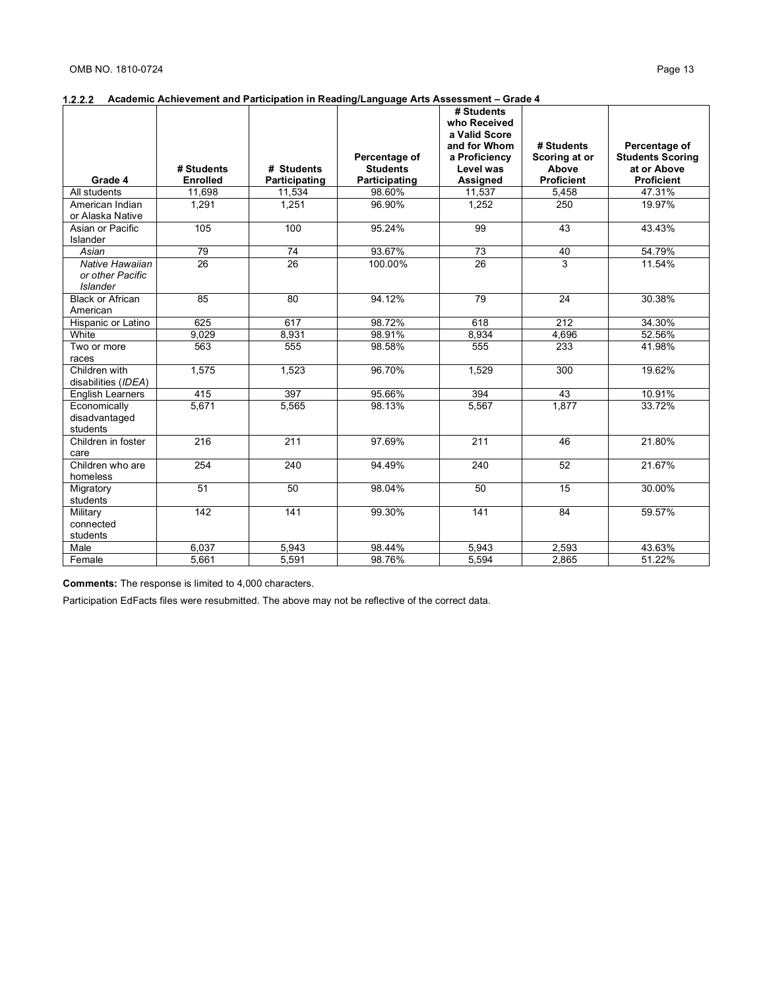|                                           |                 |               |                 | # Students<br>who Received    |                   |                         |
|-------------------------------------------|-----------------|---------------|-----------------|-------------------------------|-------------------|-------------------------|
|                                           |                 |               |                 | a Valid Score<br>and for Whom | # Students        | Percentage of           |
|                                           |                 |               | Percentage of   | a Proficiency                 | Scoring at or     | <b>Students Scoring</b> |
|                                           | # Students      | # Students    | <b>Students</b> | Level was                     | Above             | at or Above             |
| Grade 4                                   | <b>Enrolled</b> | Participating | Participating   | Assigned                      | <b>Proficient</b> | <b>Proficient</b>       |
| All students                              | 11,698          | 11,534        | 98.60%          | 11,537                        | 5,458             | 47.31%                  |
| American Indian<br>or Alaska Native       | 1.291           | 1,251         | 96.90%          | 1,252                         | $\overline{250}$  | 19.97%                  |
| Asian or Pacific<br>Islander              | 105             | 100           | 95.24%          | 99                            | 43                | 43.43%                  |
| Asian                                     | 79              | 74            | 93.67%          | 73                            | 40                | 54.79%                  |
| Native Hawaiian<br>or other Pacific       | 26              | 26            | 100.00%         | 26                            | 3                 | 11.54%                  |
| <b>Islander</b>                           |                 |               |                 |                               |                   |                         |
| <b>Black or African</b><br>American       | 85              | 80            | 94.12%          | 79                            | 24                | 30.38%                  |
| Hispanic or Latino                        | 625             | 617           | 98.72%          | 618                           | $\overline{212}$  | 34.30%                  |
| White                                     | 9,029           | 8,931         | 98.91%          | 8,934                         | 4,696             | 52.56%                  |
| Two or more<br>races                      | 563             | 555           | 98.58%          | 555                           | 233               | 41.98%                  |
| Children with<br>disabilities (IDEA)      | 1.575           | 1.523         | 96.70%          | 1.529                         | 300               | 19.62%                  |
| <b>English Learners</b>                   | 415             | 397           | 95.66%          | 394                           | 43                | 10.91%                  |
| Economically<br>disadvantaged<br>students | 5,671           | 5,565         | 98.13%          | 5,567                         | 1.877             | 33.72%                  |
| Children in foster<br>care                | 216             | 211           | 97.69%          | 211                           | 46                | 21.80%                  |
| Children who are<br>homeless              | 254             | 240           | 94.49%          | 240                           | 52                | 21.67%                  |
| Migratory<br>students                     | $\overline{51}$ | 50            | 98.04%          | $\overline{50}$               | 15                | 30.00%                  |
| Military<br>connected<br>students         | 142             | 141           | 99.30%          | 141                           | 84                | 59.57%                  |
| Male                                      | 6,037           | 5,943         | 98.44%          | 5,943                         | 2,593             | 43.63%                  |
| Female                                    | 5,661           | 5,591         | 98.76%          | 5,594                         | 2.865             | 51.22%                  |

**Comments:** The response is limited to 4,000 characters.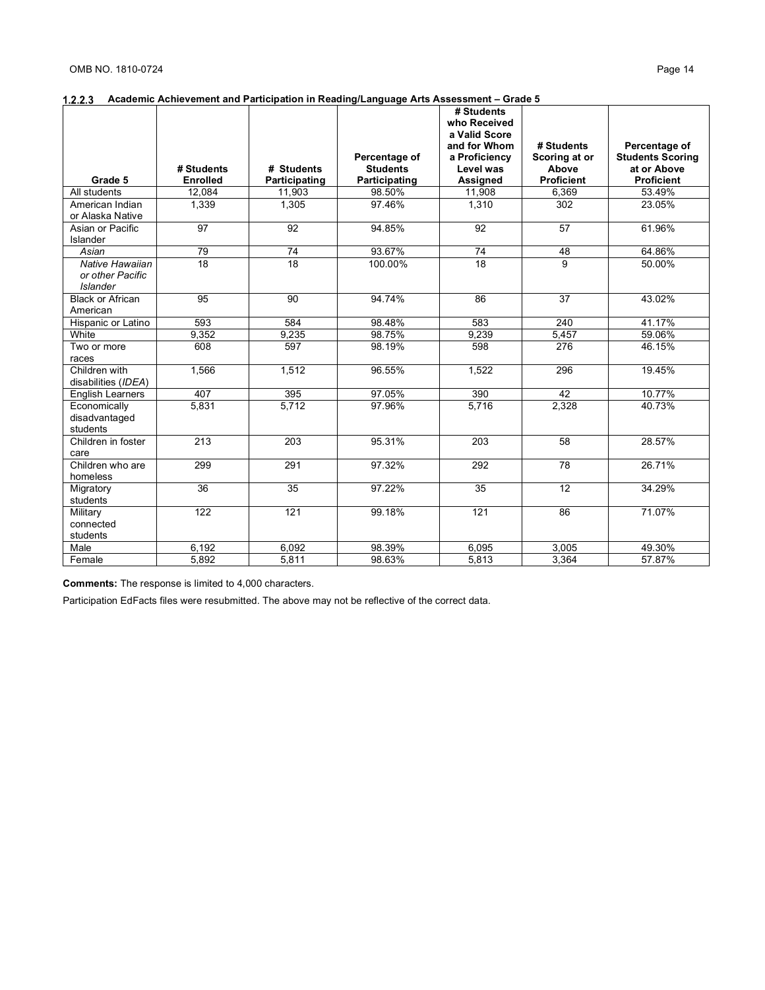|                                                        |                 |                   |                 | # Students<br>who Received    |                   |                                          |
|--------------------------------------------------------|-----------------|-------------------|-----------------|-------------------------------|-------------------|------------------------------------------|
|                                                        |                 |                   |                 | a Valid Score<br>and for Whom | # Students        |                                          |
|                                                        |                 |                   | Percentage of   | a Proficiency                 | Scoring at or     | Percentage of<br><b>Students Scoring</b> |
|                                                        | # Students      | # Students        | <b>Students</b> | Level was                     | Above             | at or Above                              |
| Grade 5                                                | <b>Enrolled</b> | Participating     | Participating   | Assigned                      | <b>Proficient</b> | <b>Proficient</b>                        |
| All students                                           | 12,084          | 11,903            | 98.50%          | 11,908                        | 6,369             | 53.49%                                   |
| American Indian<br>or Alaska Native                    | 1,339           | 1,305             | 97.46%          | 1,310                         | $\overline{302}$  | 23.05%                                   |
| Asian or Pacific<br>Islander                           | 97              | 92                | 94.85%          | 92                            | 57                | 61.96%                                   |
| Asian                                                  | 79              | 74                | 93.67%          | 74                            | 48                | 64.86%                                   |
| Native Hawaiian<br>or other Pacific<br><b>Islander</b> | 18              | 18                | 100.00%         | 18                            | 9                 | 50.00%                                   |
| <b>Black or African</b><br>American                    | 95              | 90                | 94.74%          | 86                            | 37                | 43.02%                                   |
| Hispanic or Latino                                     | 593             | 584               | 98.48%          | 583                           | $\overline{240}$  | 41.17%                                   |
| White                                                  | 9,352           | 9,235             | 98.75%          | 9,239                         | 5,457             | 59.06%                                   |
| Two or more<br>races                                   | 608             | 597               | 98.19%          | 598                           | 276               | 46.15%                                   |
| Children with<br>disabilities (IDEA)                   | 1.566           | 1.512             | 96.55%          | 1.522                         | 296               | 19.45%                                   |
| <b>English Learners</b>                                | 407             | 395               | 97.05%          | 390                           | 42                | 10.77%                                   |
| Economically<br>disadvantaged<br>students              | 5,831           | $\frac{1}{5,712}$ | 97.96%          | 5.716                         | 2,328             | 40.73%                                   |
| Children in foster<br>care                             | 213             | 203               | 95.31%          | 203                           | 58                | 28.57%                                   |
| Children who are<br>homeless                           | 299             | 291               | 97.32%          | 292                           | 78                | 26.71%                                   |
| Migratory<br>students                                  | $\overline{36}$ | $\overline{35}$   | 97.22%          | $\overline{35}$               | $\overline{12}$   | 34.29%                                   |
| Military<br>connected<br>students                      | 122             | 121               | 99.18%          | 121                           | 86                | 71.07%                                   |
| Male                                                   | 6,192           | 6,092             | 98.39%          | 6,095                         | 3,005             | 49.30%                                   |
| Female                                                 | 5,892           | 5,811             | 98.63%          | 5,813                         | 3,364             | 57.87%                                   |

**Comments:** The response is limited to 4,000 characters.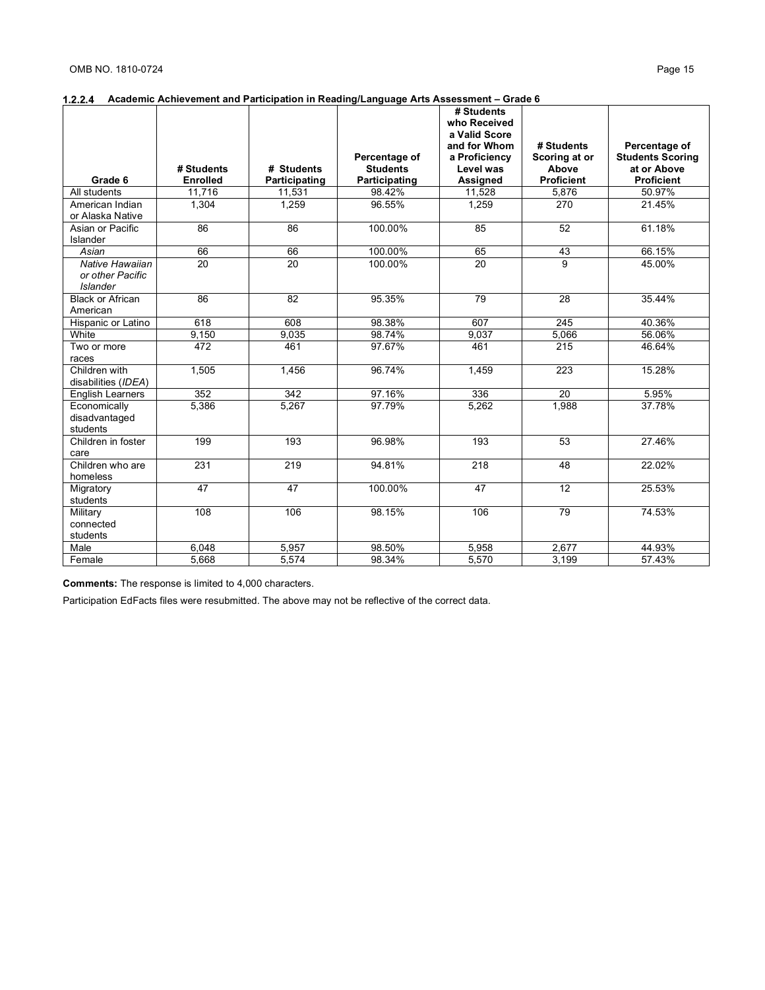|                                                        |                 |                 |                 | # Students<br>who Received |                   |                         |
|--------------------------------------------------------|-----------------|-----------------|-----------------|----------------------------|-------------------|-------------------------|
|                                                        |                 |                 |                 | a Valid Score              |                   |                         |
|                                                        |                 |                 |                 | and for Whom               | # Students        | Percentage of           |
|                                                        |                 |                 | Percentage of   | a Proficiency              | Scoring at or     | <b>Students Scoring</b> |
|                                                        | # Students      | # Students      | <b>Students</b> | Level was                  | Above             | at or Above             |
| Grade 6                                                | <b>Enrolled</b> | Participating   | Participating   | Assigned                   | <b>Proficient</b> | <b>Proficient</b>       |
| All students                                           | 11,716          | 11,531          | 98.42%          | 11,528                     | 5,876             | 50.97%                  |
| American Indian<br>or Alaska Native                    | 1,304           | 1,259           | 96.55%          | 1,259                      | $\overline{270}$  | 21.45%                  |
| Asian or Pacific                                       | 86              | 86              | 100.00%         | 85                         | $\overline{52}$   | 61.18%                  |
| Islander                                               |                 |                 |                 |                            |                   |                         |
| Asian                                                  | 66              | 66              | 100.00%         | 65                         | 43                | 66.15%                  |
| Native Hawaiian<br>or other Pacific<br><b>Islander</b> | 20              | 20              | 100.00%         | 20                         | 9                 | 45.00%                  |
| <b>Black or African</b><br>American                    | 86              | 82              | 95.35%          | 79                         | 28                | 35.44%                  |
| Hispanic or Latino                                     | 618             | 608             | 98.38%          | 607                        | $\overline{245}$  | 40.36%                  |
| White                                                  | 9,150           | 9.035           | 98.74%          | 9,037                      | 5,066             | 56.06%                  |
| Two or more<br>races                                   | 472             | 461             | 97.67%          | 461                        | 215               | 46.64%                  |
| Children with<br>disabilities (IDEA)                   | 1.505           | 1.456           | 96.74%          | 1.459                      | 223               | 15.28%                  |
| <b>English Learners</b>                                | 352             | 342             | 97.16%          | 336                        | 20                | 5.95%                   |
| Economically<br>disadvantaged<br>students              | 5,386           | 5,267           | 97.79%          | 5,262                      | 1,988             | 37.78%                  |
| Children in foster<br>care                             | 199             | 193             | 96.98%          | 193                        | 53                | 27.46%                  |
| Children who are<br>homeless                           | 231             | 219             | 94.81%          | 218                        | 48                | 22.02%                  |
| Migratory<br>students                                  | 47              | $\overline{47}$ | 100.00%         | $\overline{47}$            | 12                | 25.53%                  |
| Military<br>connected<br>students                      | 108             | 106             | 98.15%          | 106                        | 79                | 74.53%                  |
| Male                                                   | 6,048           | 5,957           | 98.50%          | 5,958                      | 2,677             | 44.93%                  |
| Female                                                 | 5,668           | 5,574           | 98.34%          | 5,570                      | 3,199             | 57.43%                  |

**Comments:** The response is limited to 4,000 characters.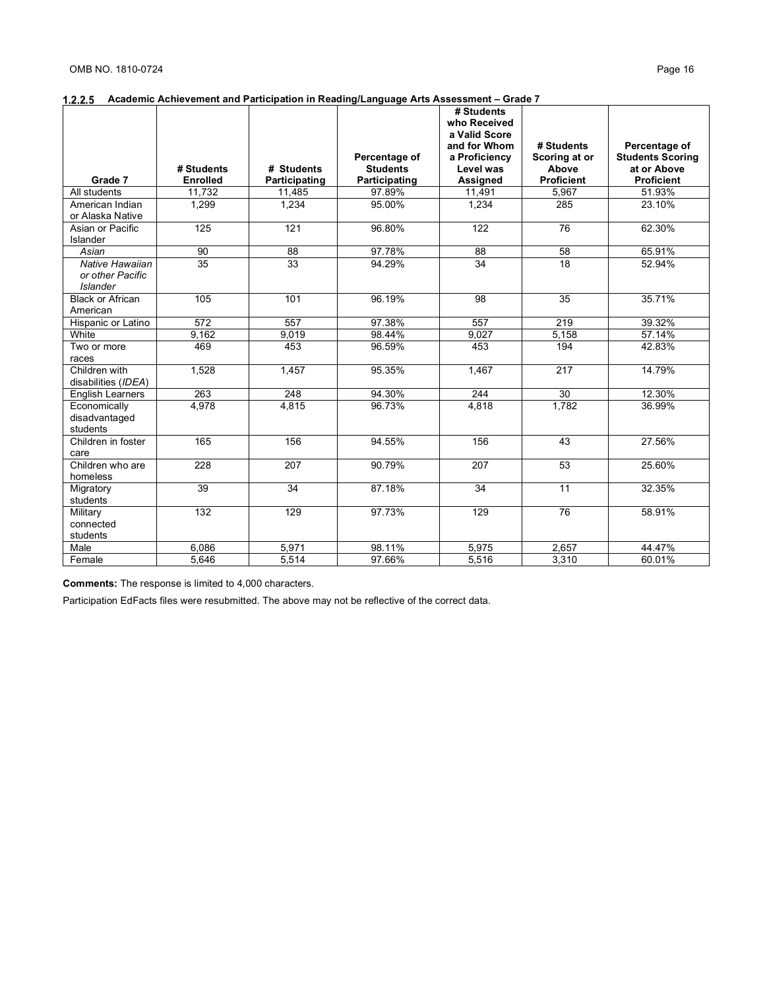|                                                        |                               |                             |                                                   | # Students<br>who Received                                              |                                                           |                                                                              |
|--------------------------------------------------------|-------------------------------|-----------------------------|---------------------------------------------------|-------------------------------------------------------------------------|-----------------------------------------------------------|------------------------------------------------------------------------------|
| Grade 7                                                | # Students<br><b>Enrolled</b> | # Students<br>Participating | Percentage of<br><b>Students</b><br>Participating | a Valid Score<br>and for Whom<br>a Proficiency<br>Level was<br>Assigned | # Students<br>Scoring at or<br>Above<br><b>Proficient</b> | Percentage of<br><b>Students Scoring</b><br>at or Above<br><b>Proficient</b> |
| All students                                           | 11,732                        | 11,485                      | 97.89%                                            | 11,491                                                                  | 5,967                                                     | 51.93%                                                                       |
| American Indian<br>or Alaska Native                    | 1,299                         | 1,234                       | 95.00%                                            | 1,234                                                                   | 285                                                       | 23.10%                                                                       |
| Asian or Pacific<br>Islander                           | 125                           | 121                         | 96.80%                                            | 122                                                                     | 76                                                        | 62.30%                                                                       |
| Asian                                                  | 90                            | 88                          | 97.78%                                            | 88                                                                      | 58                                                        | 65.91%                                                                       |
| Native Hawaiian<br>or other Pacific<br><b>Islander</b> | 35                            | 33                          | 94.29%                                            | 34                                                                      | 18                                                        | 52.94%                                                                       |
| <b>Black or African</b><br>American                    | 105                           | 101                         | 96.19%                                            | 98                                                                      | 35                                                        | 35.71%                                                                       |
| Hispanic or Latino                                     | $\overline{572}$              | 557                         | 97.38%                                            | 557                                                                     | 219                                                       | 39.32%                                                                       |
| White                                                  | 9,162                         | 9,019                       | 98.44%                                            | 9,027                                                                   | 5,158                                                     | 57.14%                                                                       |
| Two or more<br>races                                   | 469                           | 453                         | 96.59%                                            | 453                                                                     | 194                                                       | 42.83%                                                                       |
| Children with<br>disabilities (IDEA)                   | 1,528                         | 1,457                       | 95.35%                                            | 1,467                                                                   | 217                                                       | 14.79%                                                                       |
| <b>English Learners</b>                                | 263                           | 248                         | 94.30%                                            | 244                                                                     | 30                                                        | 12.30%                                                                       |
| Economically<br>disadvantaged<br>students              | 4.978                         | 4.815                       | 96.73%                                            | 4.818                                                                   | 1.782                                                     | 36.99%                                                                       |
| Children in foster<br>care                             | 165                           | 156                         | 94.55%                                            | 156                                                                     | 43                                                        | 27.56%                                                                       |
| Children who are<br>homeless                           | 228                           | 207                         | 90.79%                                            | 207                                                                     | 53                                                        | 25.60%                                                                       |
| Migratory<br>students                                  | 39                            | 34                          | 87.18%                                            | 34                                                                      | $\overline{11}$                                           | 32.35%                                                                       |
| Military<br>connected<br>students                      | 132                           | 129                         | 97.73%                                            | 129                                                                     | 76                                                        | 58.91%                                                                       |
| Male                                                   | 6.086                         | 5,971                       | 98.11%                                            | 5,975                                                                   | 2,657                                                     | 44.47%                                                                       |
| Female                                                 | 5,646                         | 5,514                       | 97.66%                                            | 5,516                                                                   | 3,310                                                     | 60.01%                                                                       |

**Comments:** The response is limited to 4,000 characters.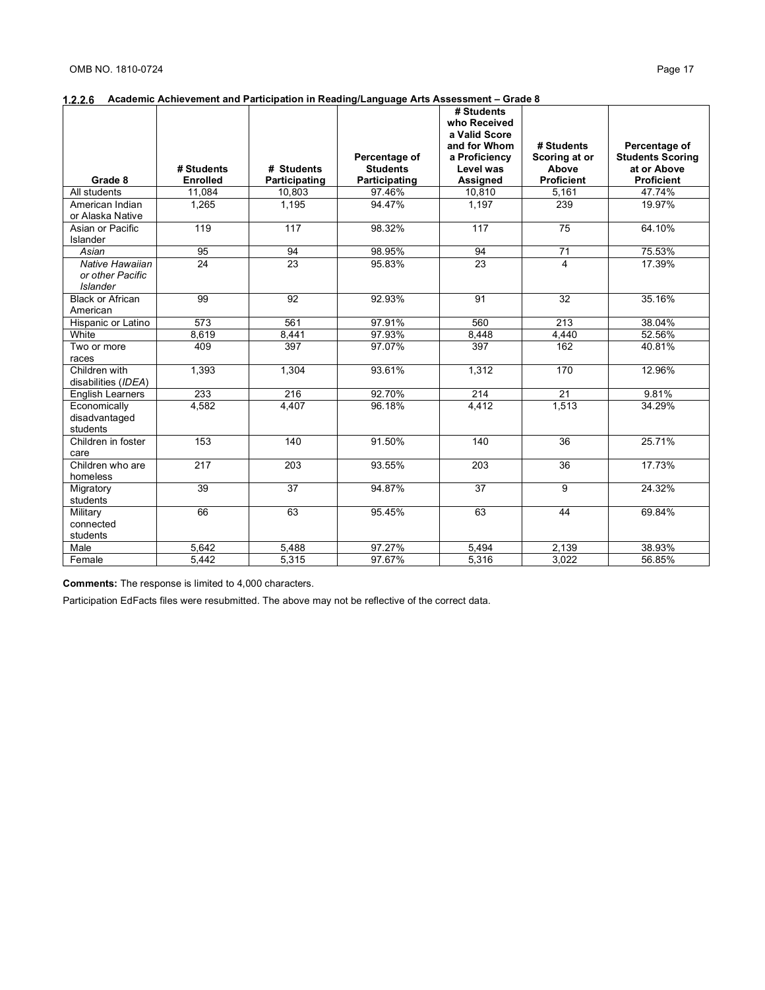|                                                        |                 |               |                 | # Students<br>who Received    |                             |                                          |
|--------------------------------------------------------|-----------------|---------------|-----------------|-------------------------------|-----------------------------|------------------------------------------|
|                                                        |                 |               |                 | a Valid Score                 |                             |                                          |
|                                                        |                 |               | Percentage of   | and for Whom<br>a Proficiency | # Students<br>Scoring at or | Percentage of<br><b>Students Scoring</b> |
|                                                        | # Students      | # Students    | <b>Students</b> | Level was                     | Above                       | at or Above                              |
| Grade 8                                                | <b>Enrolled</b> | Participating | Participating   | Assigned                      | <b>Proficient</b>           | <b>Proficient</b>                        |
| All students                                           | 11,084          | 10,803        | 97.46%          | 10.810                        | 5,161                       | 47.74%                                   |
| American Indian<br>or Alaska Native                    | 1,265           | 1,195         | 94.47%          | 1,197                         | 239                         | 19.97%                                   |
| Asian or Pacific<br>Islander                           | 119             | 117           | 98.32%          | 117                           | $\overline{75}$             | 64.10%                                   |
| Asian                                                  | 95              | 94            | 98.95%          | 94                            | 71                          | 75.53%                                   |
| Native Hawaiian<br>or other Pacific<br><b>Islander</b> | 24              | 23            | 95.83%          | 23                            | $\overline{4}$              | 17.39%                                   |
| <b>Black or African</b><br>American                    | 99              | 92            | 92.93%          | 91                            | 32                          | 35.16%                                   |
| Hispanic or Latino                                     | 573             | 561           | 97.91%          | 560                           | 213                         | 38.04%                                   |
| White                                                  | 8.619           | 8,441         | 97.93%          | 8,448                         | 4,440                       | 52.56%                                   |
| Two or more<br>races                                   | 409             | 397           | 97.07%          | 397                           | 162                         | 40.81%                                   |
| Children with<br>disabilities (IDEA)                   | 1,393           | 1,304         | 93.61%          | 1,312                         | 170                         | 12.96%                                   |
| <b>English Learners</b>                                | 233             | 216           | 92.70%          | 214                           | $\overline{21}$             | 9.81%                                    |
| Economically<br>disadvantaged<br>students              | 4,582           | 4,407         | 96.18%          | 4,412                         | 1,513                       | 34.29%                                   |
| Children in foster<br>care                             | 153             | 140           | 91.50%          | 140                           | 36                          | 25.71%                                   |
| Children who are<br>homeless                           | 217             | 203           | 93.55%          | 203                           | 36                          | 17.73%                                   |
| Migratory<br>students                                  | 39              | 37            | 94.87%          | 37                            | 9                           | 24.32%                                   |
| Military<br>connected<br>students                      | 66              | 63            | 95.45%          | 63                            | 44                          | 69.84%                                   |
| Male                                                   | 5,642           | 5,488         | 97.27%          | 5,494                         | 2,139                       | 38.93%                                   |
| Female                                                 | 5.442           | 5,315         | 97.67%          | 5,316                         | 3,022                       | 56.85%                                   |

**Comments:** The response is limited to 4,000 characters.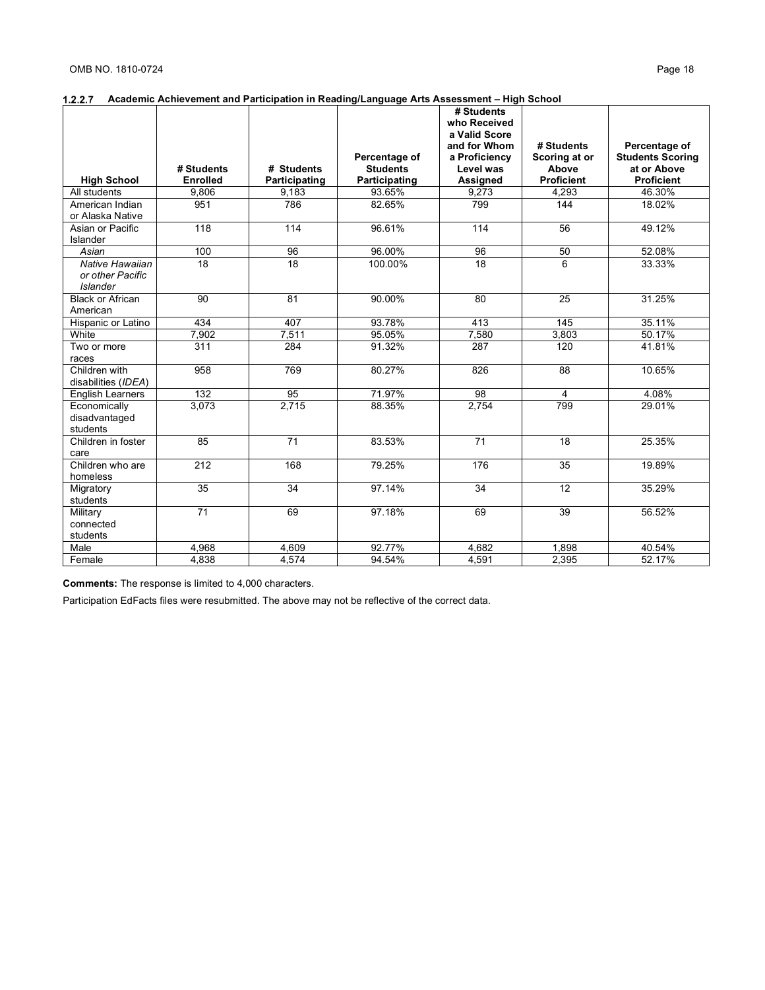|                                                        |                               |                             |                                  | $#$ Students<br>who Received |                            |                                  |
|--------------------------------------------------------|-------------------------------|-----------------------------|----------------------------------|------------------------------|----------------------------|----------------------------------|
|                                                        |                               |                             |                                  | a Valid Score                |                            |                                  |
|                                                        |                               |                             |                                  | and for Whom                 | # Students                 | Percentage of                    |
|                                                        |                               |                             | Percentage of                    | a Proficiency                | Scoring at or              | <b>Students Scoring</b>          |
| <b>High School</b>                                     | # Students<br><b>Enrolled</b> | # Students<br>Participating | <b>Students</b><br>Participating | Level was<br>Assigned        | Above<br><b>Proficient</b> | at or Above<br><b>Proficient</b> |
| All students                                           | 9,806                         | 9,183                       | 93.65%                           | 9,273                        | 4,293                      | 46.30%                           |
| American Indian<br>or Alaska Native                    | 951                           | 786                         | 82.65%                           | 799                          | 144                        | 18.02%                           |
| Asian or Pacific<br>Islander                           | 118                           | 114                         | 96.61%                           | 114                          | 56                         | 49.12%                           |
| Asian                                                  | 100                           | 96                          | 96.00%                           | 96                           | 50                         | 52.08%                           |
| Native Hawaiian<br>or other Pacific<br><b>Islander</b> | 18                            | 18                          | 100.00%                          | 18                           | 6                          | 33.33%                           |
| <b>Black or African</b><br>American                    | 90                            | 81                          | 90.00%                           | 80                           | 25                         | 31.25%                           |
| Hispanic or Latino                                     | 434                           | 407                         | 93.78%                           | 413                          | 145                        | 35.11%                           |
| White                                                  | 7,902                         | 7,511                       | 95.05%                           | 7,580                        | 3,803                      | 50.17%                           |
| Two or more<br>races                                   | 311                           | 284                         | 91.32%                           | 287                          | 120                        | 41.81%                           |
| Children with<br>disabilities (IDEA)                   | 958                           | 769                         | 80.27%                           | 826                          | 88                         | 10.65%                           |
| <b>English Learners</b>                                | 132                           | 95                          | 71.97%                           | 98                           | $\overline{4}$             | 4.08%                            |
| Economically<br>disadvantaged<br>students              | 3.073                         | 2,715                       | 88.35%                           | 2.754                        | 799                        | 29.01%                           |
| Children in foster<br>care                             | 85                            | $\overline{71}$             | 83.53%                           | $\overline{71}$              | 18                         | 25.35%                           |
| Children who are<br>homeless                           | 212                           | 168                         | 79.25%                           | 176                          | 35                         | 19.89%                           |
| Migratory<br>students                                  | $\overline{35}$               | 34                          | 97.14%                           | 34                           | $\overline{12}$            | 35.29%                           |
| Military<br>connected<br>students                      | $\overline{71}$               | 69                          | 97.18%                           | 69                           | 39                         | 56.52%                           |
| Male                                                   | 4,968                         | 4,609                       | 92.77%                           | 4,682                        | 1,898                      | 40.54%                           |
| Female                                                 | 4,838                         | 4,574                       | 94.54%                           | 4,591                        | 2,395                      | 52.17%                           |

**Comments:** The response is limited to 4,000 characters.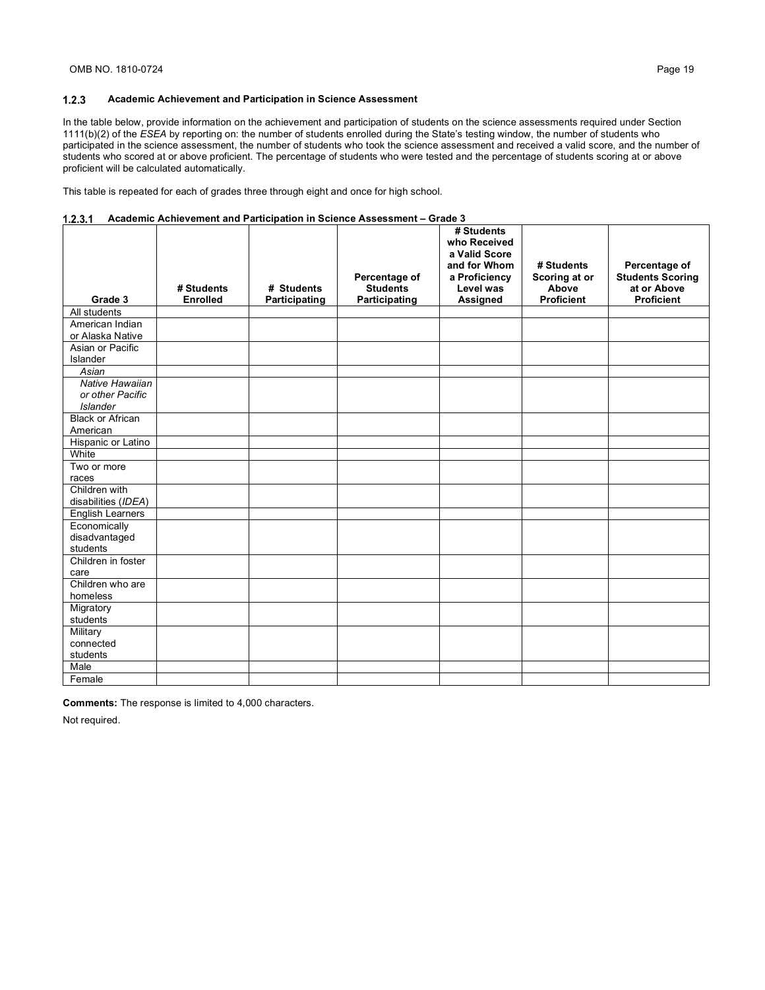In the table below, provide information on the achievement and participation of students on the science assessments required under Section 1111(b)(2) of the *ESEA* by reporting on: the number of students enrolled during the State's testing window, the number of students who participated in the science assessment, the number of students who took the science assessment and received a valid score, and the number of students who scored at or above proficient. The percentage of students who were tested and the percentage of students scoring at or above proficient will be calculated automatically.

This table is repeated for each of grades three through eight and once for high school.

| 1.2.3.1 |  |  |  | Academic Achievement and Participation in Science Assessment – Grade 3 |
|---------|--|--|--|------------------------------------------------------------------------|
|---------|--|--|--|------------------------------------------------------------------------|

| Grade 3                   | # Students<br><b>Enrolled</b> | # Students<br>Participating | Percentage of<br><b>Students</b><br>Participating | # Students<br>who Received<br>a Valid Score<br>and for Whom<br>a Proficiency<br>Level was<br>Assigned | # Students<br>Scoring at or<br>Above<br><b>Proficient</b> | Percentage of<br><b>Students Scoring</b><br>at or Above<br><b>Proficient</b> |
|---------------------------|-------------------------------|-----------------------------|---------------------------------------------------|-------------------------------------------------------------------------------------------------------|-----------------------------------------------------------|------------------------------------------------------------------------------|
| All students              |                               |                             |                                                   |                                                                                                       |                                                           |                                                                              |
| American Indian           |                               |                             |                                                   |                                                                                                       |                                                           |                                                                              |
| or Alaska Native          |                               |                             |                                                   |                                                                                                       |                                                           |                                                                              |
| Asian or Pacific          |                               |                             |                                                   |                                                                                                       |                                                           |                                                                              |
| <b>Islander</b>           |                               |                             |                                                   |                                                                                                       |                                                           |                                                                              |
| Asian                     |                               |                             |                                                   |                                                                                                       |                                                           |                                                                              |
| Native Hawaiian           |                               |                             |                                                   |                                                                                                       |                                                           |                                                                              |
| or other Pacific          |                               |                             |                                                   |                                                                                                       |                                                           |                                                                              |
| <b>Islander</b>           |                               |                             |                                                   |                                                                                                       |                                                           |                                                                              |
| <b>Black or African</b>   |                               |                             |                                                   |                                                                                                       |                                                           |                                                                              |
| American                  |                               |                             |                                                   |                                                                                                       |                                                           |                                                                              |
| Hispanic or Latino        |                               |                             |                                                   |                                                                                                       |                                                           |                                                                              |
| White                     |                               |                             |                                                   |                                                                                                       |                                                           |                                                                              |
| Two or more               |                               |                             |                                                   |                                                                                                       |                                                           |                                                                              |
| races                     |                               |                             |                                                   |                                                                                                       |                                                           |                                                                              |
| Children with             |                               |                             |                                                   |                                                                                                       |                                                           |                                                                              |
| disabilities (IDEA)       |                               |                             |                                                   |                                                                                                       |                                                           |                                                                              |
| <b>English Learners</b>   |                               |                             |                                                   |                                                                                                       |                                                           |                                                                              |
| Economically              |                               |                             |                                                   |                                                                                                       |                                                           |                                                                              |
| disadvantaged<br>students |                               |                             |                                                   |                                                                                                       |                                                           |                                                                              |
| Children in foster        |                               |                             |                                                   |                                                                                                       |                                                           |                                                                              |
| care                      |                               |                             |                                                   |                                                                                                       |                                                           |                                                                              |
| Children who are          |                               |                             |                                                   |                                                                                                       |                                                           |                                                                              |
| homeless                  |                               |                             |                                                   |                                                                                                       |                                                           |                                                                              |
| Migratory                 |                               |                             |                                                   |                                                                                                       |                                                           |                                                                              |
| students                  |                               |                             |                                                   |                                                                                                       |                                                           |                                                                              |
| Military                  |                               |                             |                                                   |                                                                                                       |                                                           |                                                                              |
| connected                 |                               |                             |                                                   |                                                                                                       |                                                           |                                                                              |
| students                  |                               |                             |                                                   |                                                                                                       |                                                           |                                                                              |
| Male                      |                               |                             |                                                   |                                                                                                       |                                                           |                                                                              |
| Female                    |                               |                             |                                                   |                                                                                                       |                                                           |                                                                              |

**Comments:** The response is limited to 4,000 characters.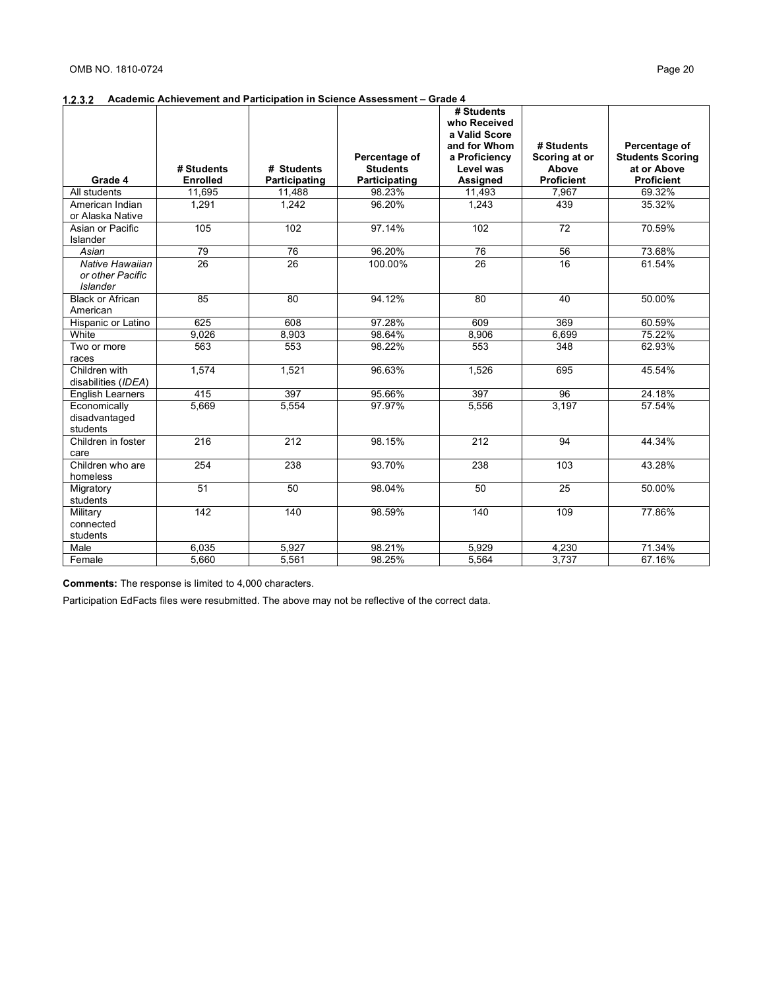|                                                        |                  |                  |                                  | # Students<br>who Received<br>a Valid Score<br>and for Whom | # Students             | Percentage of                          |
|--------------------------------------------------------|------------------|------------------|----------------------------------|-------------------------------------------------------------|------------------------|----------------------------------------|
|                                                        | # Students       | # Students       | Percentage of<br><b>Students</b> | a Proficiency<br>Level was                                  | Scoring at or<br>Above | <b>Students Scoring</b><br>at or Above |
| Grade 4                                                | <b>Enrolled</b>  | Participating    | Participating                    | Assigned                                                    | <b>Proficient</b>      | <b>Proficient</b>                      |
| All students                                           | 11,695           | 11,488           | 98.23%                           | 11,493                                                      | 7,967                  | 69.32%                                 |
| American Indian<br>or Alaska Native                    | 1,291            | 1,242            | 96.20%                           | 1,243                                                       | 439                    | 35.32%                                 |
| Asian or Pacific<br>Islander                           | 105              | 102              | 97.14%                           | 102                                                         | 72                     | 70.59%                                 |
| Asian                                                  | 79               | 76               | 96.20%                           | 76                                                          | 56                     | 73.68%                                 |
| Native Hawaiian<br>or other Pacific<br><b>Islander</b> | 26               | 26               | 100.00%                          | 26                                                          | 16                     | 61.54%                                 |
| <b>Black or African</b><br>American                    | 85               | 80               | 94.12%                           | 80                                                          | 40                     | 50.00%                                 |
| Hispanic or Latino                                     | 625              | 608              | 97.28%                           | 609                                                         | 369                    | 60.59%                                 |
| White                                                  | 9,026            | 8,903            | 98.64%                           | 8,906                                                       | 6,699                  | 75.22%                                 |
| Two or more<br>races                                   | 563              | 553              | 98.22%                           | 553                                                         | 348                    | 62.93%                                 |
| Children with<br>disabilities (IDEA)                   | 1,574            | 1,521            | 96.63%                           | 1,526                                                       | 695                    | 45.54%                                 |
| <b>English Learners</b>                                | 415              | 397              | 95.66%                           | 397                                                         | 96                     | 24.18%                                 |
| Economically<br>disadvantaged<br>students              | 5,669            | 5,554            | 97.97%                           | 5,556                                                       | 3,197                  | 57.54%                                 |
| Children in foster<br>care                             | $\overline{216}$ | $\overline{212}$ | 98.15%                           | $\overline{212}$                                            | 94                     | 44.34%                                 |
| Children who are<br>homeless                           | 254              | 238              | 93.70%                           | 238                                                         | 103                    | 43.28%                                 |
| Migratory<br>students                                  | 51               | 50               | 98.04%                           | 50                                                          | $\overline{25}$        | 50.00%                                 |
| Military<br>connected<br>students                      | 142              | 140              | 98.59%                           | 140                                                         | 109                    | 77.86%                                 |
| Male                                                   | 6,035            | 5.927            | 98.21%                           | 5,929                                                       | 4,230                  | 71.34%                                 |
| Female                                                 | 5,660            | 5,561            | 98.25%                           | 5,564                                                       | 3,737                  | 67.16%                                 |

**Comments:** The response is limited to 4,000 characters.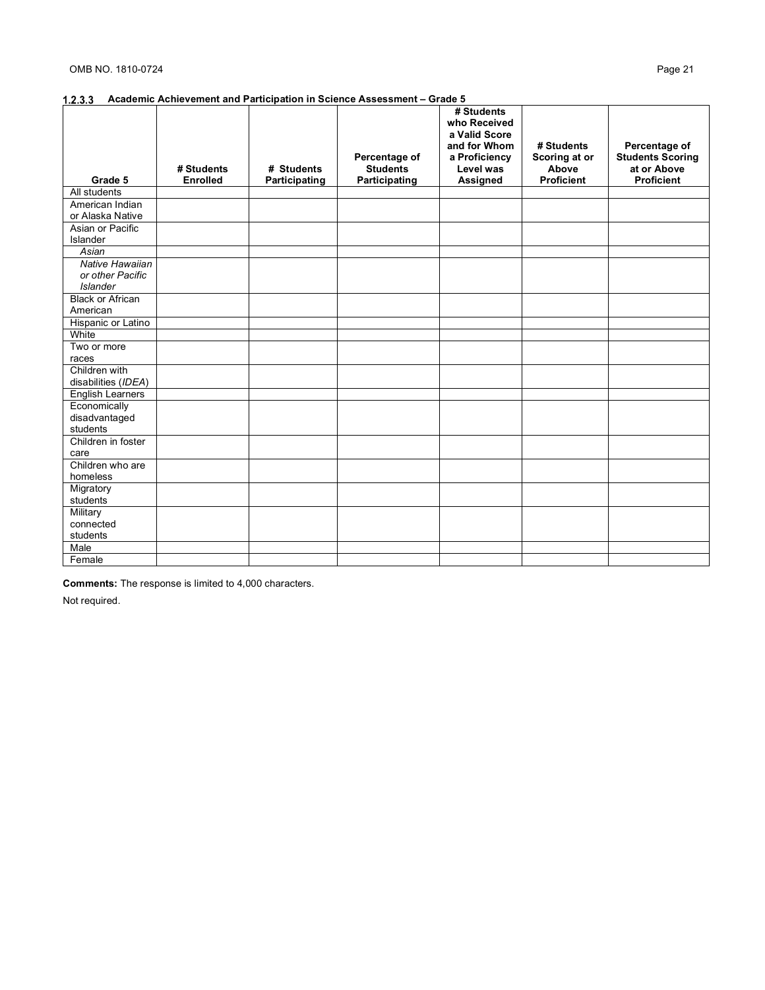| Grade 5                                                | # Students<br><b>Enrolled</b> | # Students<br>Participating | Percentage of<br><b>Students</b><br>Participating | # Students<br>who Received<br>a Valid Score<br>and for Whom<br>a Proficiency<br>Level was<br>Assigned | # Students<br>Scoring at or<br>Above<br><b>Proficient</b> | Percentage of<br><b>Students Scoring</b><br>at or Above<br><b>Proficient</b> |
|--------------------------------------------------------|-------------------------------|-----------------------------|---------------------------------------------------|-------------------------------------------------------------------------------------------------------|-----------------------------------------------------------|------------------------------------------------------------------------------|
| All students                                           |                               |                             |                                                   |                                                                                                       |                                                           |                                                                              |
| American Indian<br>or Alaska Native                    |                               |                             |                                                   |                                                                                                       |                                                           |                                                                              |
| Asian or Pacific<br>Islander                           |                               |                             |                                                   |                                                                                                       |                                                           |                                                                              |
| Asian                                                  |                               |                             |                                                   |                                                                                                       |                                                           |                                                                              |
| Native Hawaiian<br>or other Pacific<br><b>Islander</b> |                               |                             |                                                   |                                                                                                       |                                                           |                                                                              |
| <b>Black or African</b><br>American                    |                               |                             |                                                   |                                                                                                       |                                                           |                                                                              |
| Hispanic or Latino                                     |                               |                             |                                                   |                                                                                                       |                                                           |                                                                              |
| White                                                  |                               |                             |                                                   |                                                                                                       |                                                           |                                                                              |
| Two or more                                            |                               |                             |                                                   |                                                                                                       |                                                           |                                                                              |
| races                                                  |                               |                             |                                                   |                                                                                                       |                                                           |                                                                              |
| Children with<br>disabilities (IDEA)                   |                               |                             |                                                   |                                                                                                       |                                                           |                                                                              |
| <b>English Learners</b>                                |                               |                             |                                                   |                                                                                                       |                                                           |                                                                              |
| Economically<br>disadvantaged<br>students              |                               |                             |                                                   |                                                                                                       |                                                           |                                                                              |
| Children in foster<br>care                             |                               |                             |                                                   |                                                                                                       |                                                           |                                                                              |
| Children who are<br>homeless                           |                               |                             |                                                   |                                                                                                       |                                                           |                                                                              |
| Migratory<br>students                                  |                               |                             |                                                   |                                                                                                       |                                                           |                                                                              |
| Military<br>connected<br>students                      |                               |                             |                                                   |                                                                                                       |                                                           |                                                                              |
| Male                                                   |                               |                             |                                                   |                                                                                                       |                                                           |                                                                              |
| Female                                                 |                               |                             |                                                   |                                                                                                       |                                                           |                                                                              |

**Comments:** The response is limited to 4,000 characters.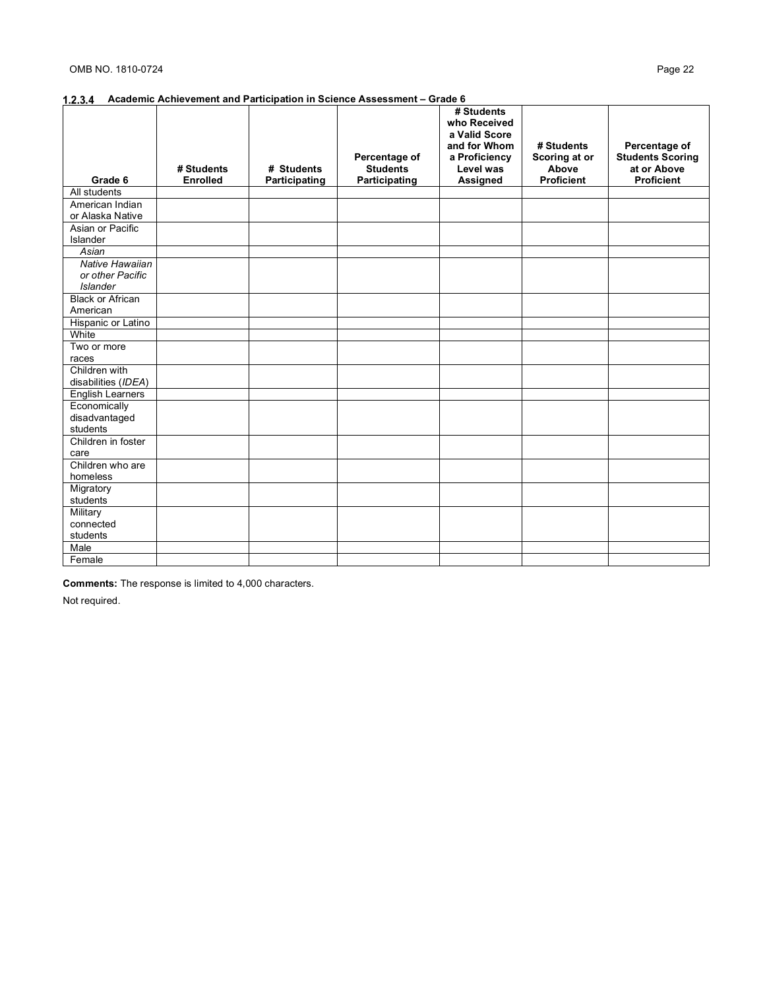|                                                        | # Students      | # Students    | Percentage of<br><b>Students</b> | # Students<br>who Received<br>a Valid Score<br>and for Whom<br>a Proficiency<br>Level was | # Students<br>Scoring at or<br>Above | Percentage of<br><b>Students Scoring</b><br>at or Above |
|--------------------------------------------------------|-----------------|---------------|----------------------------------|-------------------------------------------------------------------------------------------|--------------------------------------|---------------------------------------------------------|
| Grade 6                                                | <b>Enrolled</b> | Participating | Participating                    | Assigned                                                                                  | <b>Proficient</b>                    | <b>Proficient</b>                                       |
| All students                                           |                 |               |                                  |                                                                                           |                                      |                                                         |
| American Indian<br>or Alaska Native                    |                 |               |                                  |                                                                                           |                                      |                                                         |
| Asian or Pacific<br>Islander                           |                 |               |                                  |                                                                                           |                                      |                                                         |
| Asian                                                  |                 |               |                                  |                                                                                           |                                      |                                                         |
| Native Hawaiian<br>or other Pacific<br><b>Islander</b> |                 |               |                                  |                                                                                           |                                      |                                                         |
| <b>Black or African</b><br>American                    |                 |               |                                  |                                                                                           |                                      |                                                         |
| Hispanic or Latino                                     |                 |               |                                  |                                                                                           |                                      |                                                         |
| White                                                  |                 |               |                                  |                                                                                           |                                      |                                                         |
| Two or more                                            |                 |               |                                  |                                                                                           |                                      |                                                         |
| races                                                  |                 |               |                                  |                                                                                           |                                      |                                                         |
| Children with<br>disabilities (IDEA)                   |                 |               |                                  |                                                                                           |                                      |                                                         |
| <b>English Learners</b>                                |                 |               |                                  |                                                                                           |                                      |                                                         |
| Economically                                           |                 |               |                                  |                                                                                           |                                      |                                                         |
| disadvantaged<br>students                              |                 |               |                                  |                                                                                           |                                      |                                                         |
| Children in foster                                     |                 |               |                                  |                                                                                           |                                      |                                                         |
| care                                                   |                 |               |                                  |                                                                                           |                                      |                                                         |
| Children who are<br>homeless                           |                 |               |                                  |                                                                                           |                                      |                                                         |
| Migratory<br>students                                  |                 |               |                                  |                                                                                           |                                      |                                                         |
| Military<br>connected<br>students                      |                 |               |                                  |                                                                                           |                                      |                                                         |
| Male                                                   |                 |               |                                  |                                                                                           |                                      |                                                         |
| Female                                                 |                 |               |                                  |                                                                                           |                                      |                                                         |

**Comments:** The response is limited to 4,000 characters.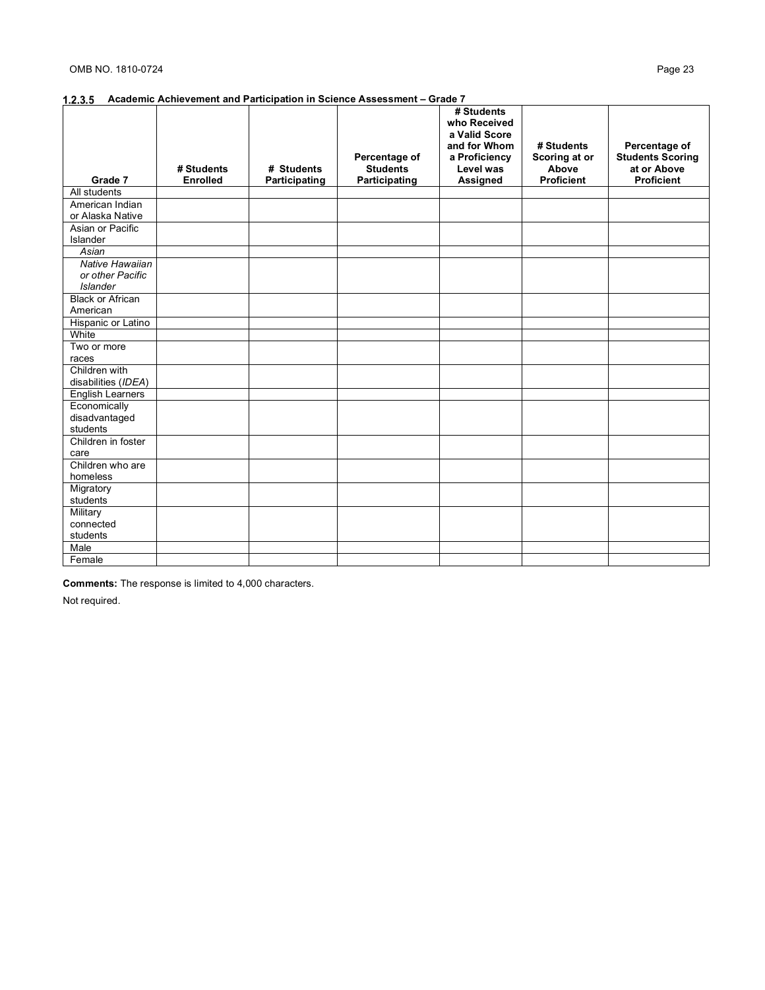|                                                        |                               |                             | Percentage of                    | # Students<br>who Received<br>a Valid Score<br>and for Whom<br>a Proficiency | # Students<br>Scoring at or | Percentage of<br><b>Students Scoring</b> |
|--------------------------------------------------------|-------------------------------|-----------------------------|----------------------------------|------------------------------------------------------------------------------|-----------------------------|------------------------------------------|
| Grade 7                                                | # Students<br><b>Enrolled</b> | # Students<br>Participating | <b>Students</b><br>Participating | Level was<br>Assigned                                                        | Above<br><b>Proficient</b>  | at or Above<br><b>Proficient</b>         |
| All students                                           |                               |                             |                                  |                                                                              |                             |                                          |
| American Indian<br>or Alaska Native                    |                               |                             |                                  |                                                                              |                             |                                          |
| Asian or Pacific<br>Islander                           |                               |                             |                                  |                                                                              |                             |                                          |
| Asian                                                  |                               |                             |                                  |                                                                              |                             |                                          |
| Native Hawaiian<br>or other Pacific<br><b>Islander</b> |                               |                             |                                  |                                                                              |                             |                                          |
| <b>Black or African</b><br>American                    |                               |                             |                                  |                                                                              |                             |                                          |
| Hispanic or Latino                                     |                               |                             |                                  |                                                                              |                             |                                          |
| White                                                  |                               |                             |                                  |                                                                              |                             |                                          |
| Two or more                                            |                               |                             |                                  |                                                                              |                             |                                          |
| races                                                  |                               |                             |                                  |                                                                              |                             |                                          |
| Children with<br>disabilities (IDEA)                   |                               |                             |                                  |                                                                              |                             |                                          |
| <b>English Learners</b>                                |                               |                             |                                  |                                                                              |                             |                                          |
| Economically                                           |                               |                             |                                  |                                                                              |                             |                                          |
| disadvantaged<br>students                              |                               |                             |                                  |                                                                              |                             |                                          |
| Children in foster<br>care                             |                               |                             |                                  |                                                                              |                             |                                          |
| Children who are<br>homeless                           |                               |                             |                                  |                                                                              |                             |                                          |
| Migratory<br>students                                  |                               |                             |                                  |                                                                              |                             |                                          |
| Military<br>connected<br>students                      |                               |                             |                                  |                                                                              |                             |                                          |
| Male                                                   |                               |                             |                                  |                                                                              |                             |                                          |
| Female                                                 |                               |                             |                                  |                                                                              |                             |                                          |

**Comments:** The response is limited to 4,000 characters.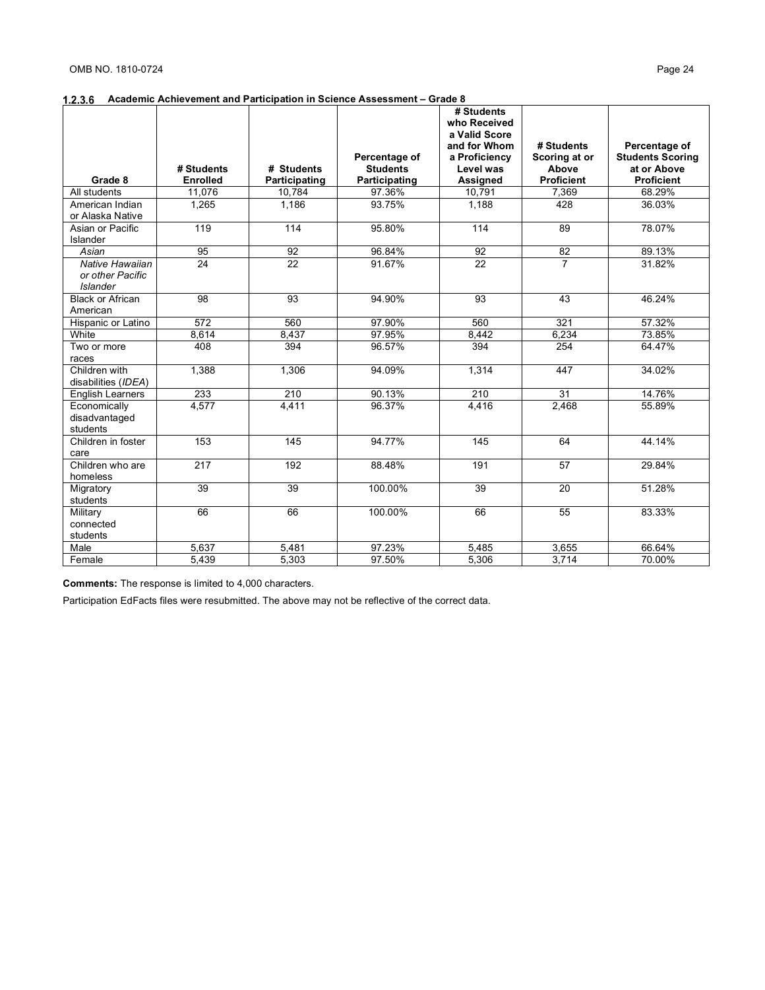|                                                        |                 |                 |                 | # Students<br>who Received<br>a Valid Score<br>and for Whom | # Students        | Percentage of           |
|--------------------------------------------------------|-----------------|-----------------|-----------------|-------------------------------------------------------------|-------------------|-------------------------|
|                                                        |                 |                 | Percentage of   | a Proficiency                                               | Scoring at or     | <b>Students Scoring</b> |
|                                                        | # Students      | # Students      | <b>Students</b> | Level was                                                   | Above             | at or Above             |
| Grade 8                                                | <b>Enrolled</b> | Participating   | Participating   | Assigned                                                    | <b>Proficient</b> | <b>Proficient</b>       |
| All students                                           | 11,076          | 10,784          | 97.36%          | 10,791                                                      | 7,369             | 68.29%                  |
| American Indian<br>or Alaska Native                    | 1,265           | 1,186           | 93.75%          | 1,188                                                       | 428               | 36.03%                  |
| Asian or Pacific<br>Islander                           | 119             | 114             | 95.80%          | 114                                                         | 89                | 78.07%                  |
| Asian                                                  | 95              | 92              | 96.84%          | 92                                                          | 82                | 89.13%                  |
| Native Hawaiian<br>or other Pacific<br><b>Islander</b> | 24              | 22              | 91.67%          | 22                                                          | $\overline{7}$    | 31.82%                  |
| <b>Black or African</b><br>American                    | 98              | 93              | 94.90%          | 93                                                          | 43                | 46.24%                  |
| Hispanic or Latino                                     | 572             | 560             | 97.90%          | 560                                                         | 321               | 57.32%                  |
| White                                                  | 8.614           | 8,437           | 97.95%          | 8,442                                                       | 6,234             | 73.85%                  |
| Two or more<br>races                                   | 408             | 394             | 96.57%          | 394                                                         | 254               | 64.47%                  |
| Children with<br>disabilities (IDEA)                   | 1.388           | 1,306           | 94.09%          | 1.314                                                       | 447               | 34.02%                  |
| <b>English Learners</b>                                | 233             | 210             | 90.13%          | 210                                                         | 31                | 14.76%                  |
| Economically<br>disadvantaged<br>students              | 4.577           | 4,411           | 96.37%          | 4.416                                                       | 2,468             | 55.89%                  |
| Children in foster<br>care                             | 153             | 145             | 94.77%          | 145                                                         | 64                | 44.14%                  |
| Children who are<br>homeless                           | 217             | 192             | 88.48%          | 191                                                         | 57                | 29.84%                  |
| Migratory<br>students                                  | $\overline{39}$ | $\overline{39}$ | 100.00%         | $\overline{39}$                                             | $\overline{20}$   | 51.28%                  |
| Military<br>connected<br>students                      | 66              | 66              | 100.00%         | 66                                                          | 55                | 83.33%                  |
| Male                                                   | 5,637           | 5,481           | 97.23%          | 5,485                                                       | 3,655             | 66.64%                  |
| Female                                                 | 5,439           | 5,303           | 97.50%          | 5,306                                                       | 3,714             | 70.00%                  |

**Comments:** The response is limited to 4,000 characters.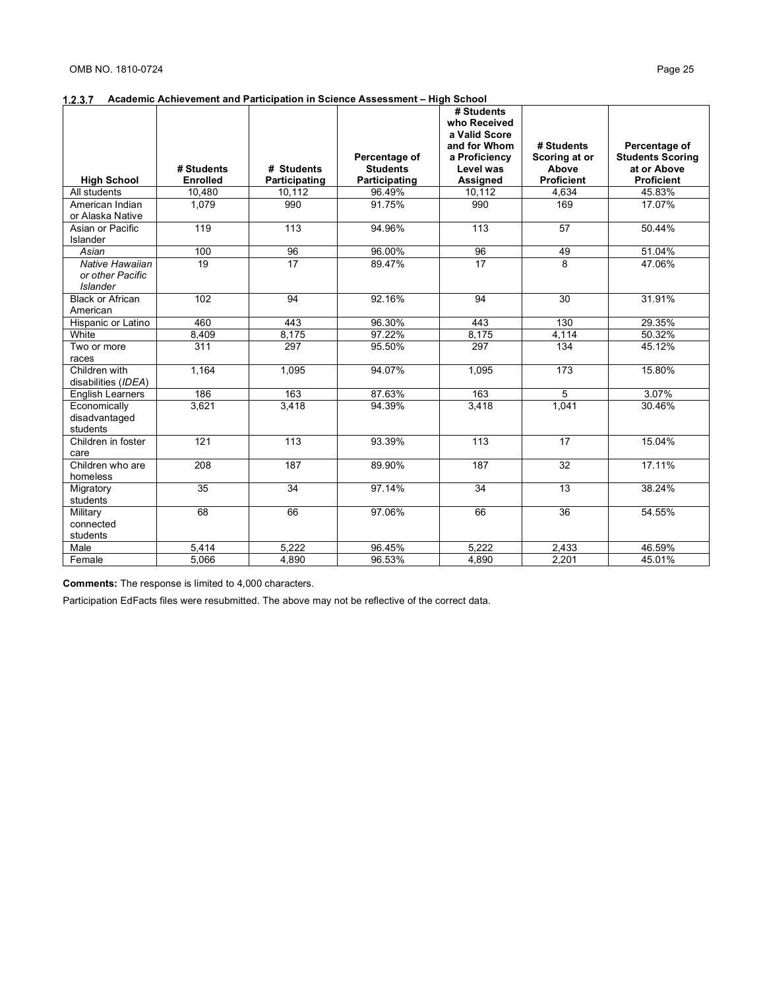### **Academic Achievement and Participation in Science Assessment – High School**

|                                                        |                               |                             |                                                   | # Students<br>who Received<br>a Valid Score            |                                                           |                                                                              |
|--------------------------------------------------------|-------------------------------|-----------------------------|---------------------------------------------------|--------------------------------------------------------|-----------------------------------------------------------|------------------------------------------------------------------------------|
| <b>High School</b>                                     | # Students<br><b>Enrolled</b> | # Students<br>Participating | Percentage of<br><b>Students</b><br>Participating | and for Whom<br>a Proficiency<br>Level was<br>Assigned | # Students<br>Scoring at or<br>Above<br><b>Proficient</b> | Percentage of<br><b>Students Scoring</b><br>at or Above<br><b>Proficient</b> |
| All students                                           | 10,480                        | 10,112                      | 96.49%                                            | 10,112                                                 | 4,634                                                     | 45.83%                                                                       |
| American Indian<br>or Alaska Native                    | 1,079                         | 990                         | 91.75%                                            | 990                                                    | 169                                                       | 17.07%                                                                       |
| Asian or Pacific<br>Islander                           | 119                           | $\overline{113}$            | 94.96%                                            | $\overline{113}$                                       | $\overline{57}$                                           | 50.44%                                                                       |
| Asian                                                  | 100                           | 96                          | 96.00%                                            | 96                                                     | 49                                                        | 51.04%                                                                       |
| Native Hawaiian<br>or other Pacific<br><b>Islander</b> | 19                            | 17                          | 89.47%                                            | 17                                                     | 8                                                         | 47.06%                                                                       |
| <b>Black or African</b><br>American                    | 102                           | 94                          | 92.16%                                            | 94                                                     | 30                                                        | 31.91%                                                                       |
| Hispanic or Latino                                     | 460                           | 443                         | 96.30%                                            | 443                                                    | 130                                                       | 29.35%                                                                       |
| White                                                  | 8,409                         | 8,175                       | 97.22%                                            | 8,175                                                  | 4,114                                                     | 50.32%                                                                       |
| Two or more<br>races                                   | 311                           | 297                         | 95.50%                                            | 297                                                    | 134                                                       | 45.12%                                                                       |
| Children with<br>disabilities (IDEA)                   | 1.164                         | 1.095                       | 94.07%                                            | 1.095                                                  | $\overline{173}$                                          | 15.80%                                                                       |
| <b>English Learners</b>                                | 186                           | 163                         | 87.63%                                            | 163                                                    | 5                                                         | 3.07%                                                                        |
| Economically<br>disadvantaged<br>students              | 3,621                         | 3,418                       | 94.39%                                            | 3,418                                                  | 1,041                                                     | 30.46%                                                                       |
| Children in foster<br>care                             | 121                           | $\overline{113}$            | 93.39%                                            | $\overline{113}$                                       | $\overline{17}$                                           | 15.04%                                                                       |
| Children who are<br>homeless                           | 208                           | 187                         | 89.90%                                            | 187                                                    | 32                                                        | 17.11%                                                                       |
| Migratory<br>students                                  | 35                            | 34                          | 97.14%                                            | 34                                                     | 13                                                        | 38.24%                                                                       |
| Military<br>connected<br>students                      | 68                            | 66                          | 97.06%                                            | 66                                                     | 36                                                        | 54.55%                                                                       |
| Male                                                   | 5,414                         | 5,222                       | 96.45%                                            | 5,222                                                  | 2,433                                                     | 46.59%                                                                       |
| Female                                                 | 5,066                         | 4,890                       | 96.53%                                            | 4,890                                                  | 2,201                                                     | 45.01%                                                                       |

**Comments:** The response is limited to 4,000 characters.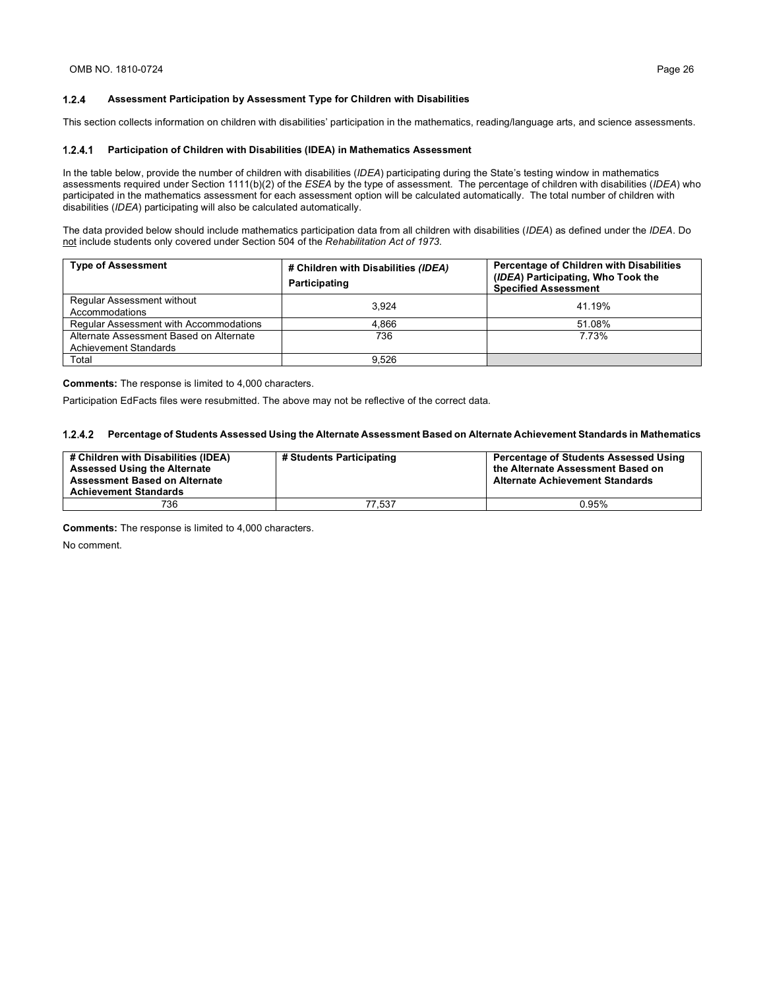#### $1.2.4$ **Assessment Participation by Assessment Type for Children with Disabilities**

This section collects information on children with disabilities' participation in the mathematics, reading/language arts, and science assessments.

#### **Participation of Children with Disabilities (IDEA) in Mathematics Assessment**

In the table below, provide the number of children with disabilities (*IDEA*) participating during the State's testing window in mathematics assessments required under Section 1111(b)(2) of the *ESEA* by the type of assessment. The percentage of children with disabilities (*IDEA*) who participated in the mathematics assessment for each assessment option will be calculated automatically. The total number of children with disabilities (*IDEA*) participating will also be calculated automatically.

The data provided below should include mathematics participation data from all children with disabilities (*IDEA*) as defined under the *IDEA*. Do not include students only covered under Section 504 of the *Rehabilitation Act of 1973*.

| <b>Type of Assessment</b>                                        | # Children with Disabilities (IDEA)<br>Participating | Percentage of Children with Disabilities<br>(IDEA) Participating, Who Took the<br><b>Specified Assessment</b> |
|------------------------------------------------------------------|------------------------------------------------------|---------------------------------------------------------------------------------------------------------------|
| Regular Assessment without<br>Accommodations                     | 3.924                                                | 41.19%                                                                                                        |
| Regular Assessment with Accommodations                           | 4.866                                                | 51.08%                                                                                                        |
| Alternate Assessment Based on Alternate<br>Achievement Standards | 736                                                  | 7.73%                                                                                                         |
| Total                                                            | 9.526                                                |                                                                                                               |

**Comments:** The response is limited to 4,000 characters.

Participation EdFacts files were resubmitted. The above may not be reflective of the correct data.

#### **Percentage of Students Assessed Using the Alternate Assessment Based on Alternate Achievement Standards in Mathematics**

| # Children with Disabilities (IDEA)<br><b>Assessed Using the Alternate</b><br><b>Assessment Based on Alternate</b><br><b>Achievement Standards</b> | # Students Participating | <b>Percentage of Students Assessed Using</b><br>the Alternate Assessment Based on<br><b>Alternate Achievement Standards</b> |
|----------------------------------------------------------------------------------------------------------------------------------------------------|--------------------------|-----------------------------------------------------------------------------------------------------------------------------|
| 736                                                                                                                                                | 77.537                   | 0.95%                                                                                                                       |

**Comments:** The response is limited to 4,000 characters.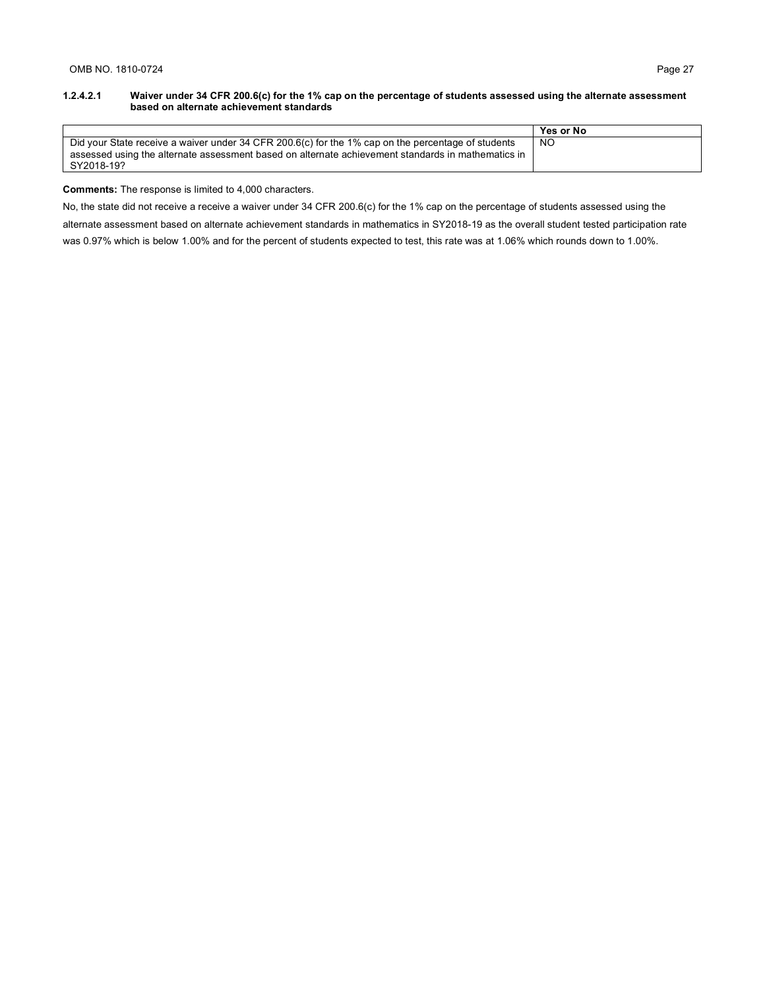#### **1.2.4.2.1 Waiver under 34 CFR 200.6(c) for the 1% cap on the percentage of students assessed using the alternate assessment based on alternate achievement standards**

|                                                                                                    | Yes or No |
|----------------------------------------------------------------------------------------------------|-----------|
| Did your State receive a waiver under 34 CFR 200.6(c) for the 1% cap on the percentage of students | NO        |
| assessed using the alternate assessment based on alternate achievement standards in mathematics in |           |
| SY2018-19?                                                                                         |           |

### **Comments:** The response is limited to 4,000 characters.

No, the state did not receive a receive a waiver under 34 CFR 200.6(c) for the 1% cap on the percentage of students assessed using the

alternate assessment based on alternate achievement standards in mathematics in SY2018-19 as the overall student tested participation rate was 0.97% which is below 1.00% and for the percent of students expected to test, this rate was at 1.06% which rounds down to 1.00%.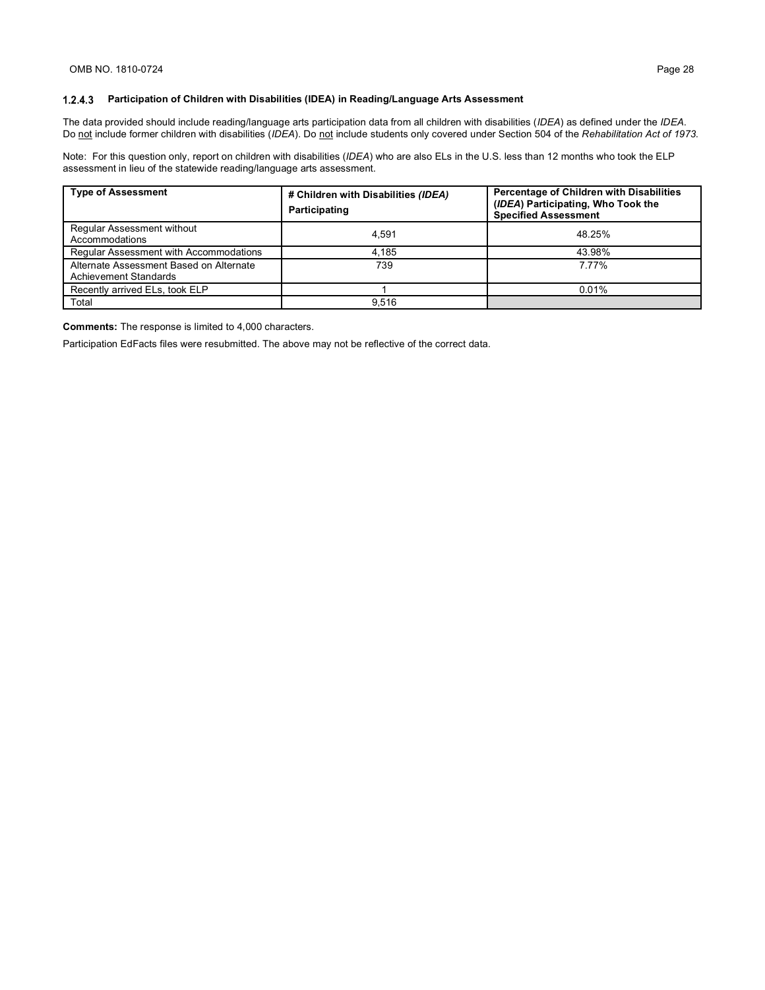### **Participation of Children with Disabilities (IDEA) in Reading/Language Arts Assessment**

The data provided should include reading/language arts participation data from all children with disabilities (*IDEA*) as defined under the *IDEA*. Do not include former children with disabilities (IDEA). Do not include students only covered under Section 504 of the Rehabilitation Act of 1973.

Note: For this question only, report on children with disabilities (*IDEA*) who are also ELs in the U.S. less than 12 months who took the ELP assessment in lieu of the statewide reading/language arts assessment.

| <b>Type of Assessment</b>                                        | # Children with Disabilities (IDEA)<br>Participating | <b>Percentage of Children with Disabilities</b><br>(IDEA) Participating, Who Took the<br><b>Specified Assessment</b> |
|------------------------------------------------------------------|------------------------------------------------------|----------------------------------------------------------------------------------------------------------------------|
| Regular Assessment without<br>Accommodations                     | 4.591                                                | 48.25%                                                                                                               |
| Regular Assessment with Accommodations                           | 4.185                                                | 43.98%                                                                                                               |
| Alternate Assessment Based on Alternate<br>Achievement Standards | 739                                                  | 7.77%                                                                                                                |
| Recently arrived ELs, took ELP                                   |                                                      | $0.01\%$                                                                                                             |
| Total                                                            | 9.516                                                |                                                                                                                      |

**Comments:** The response is limited to 4,000 characters.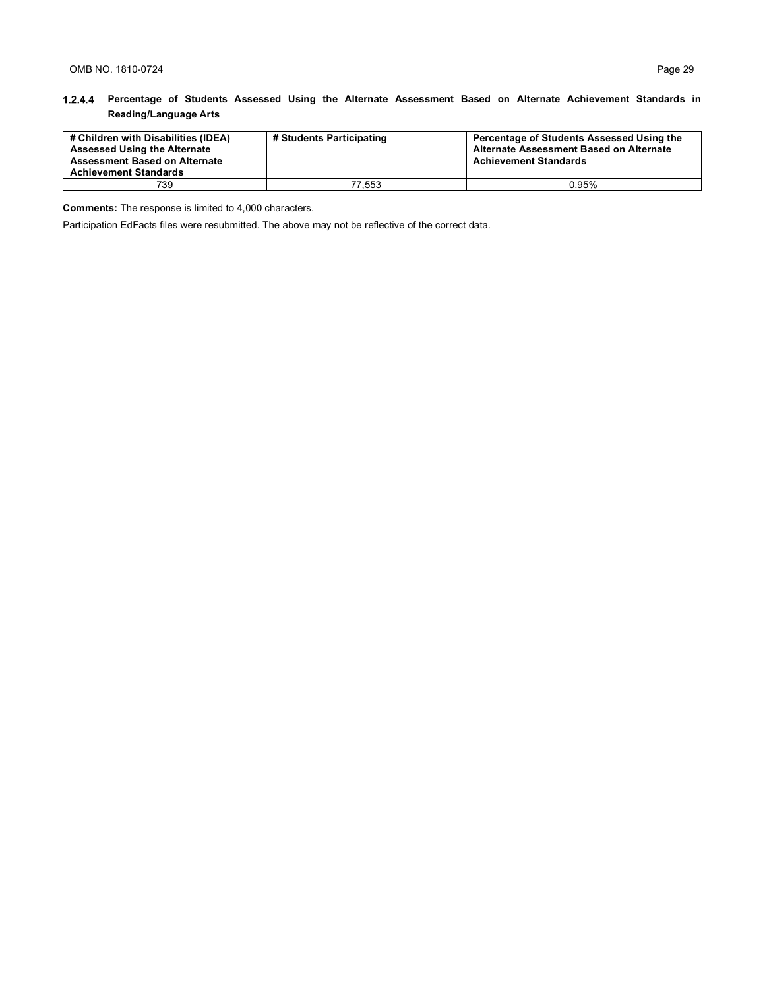# **Percentage of Students Assessed Using the Alternate Assessment Based on Alternate Achievement Standards in Reading/Language Arts**

| # Children with Disabilities (IDEA)<br><b>Assessed Using the Alternate</b><br>Assessment Based on Alternate<br><b>Achievement Standards</b> | # Students Participating | Percentage of Students Assessed Using the<br>Alternate Assessment Based on Alternate<br><b>Achievement Standards</b> |
|---------------------------------------------------------------------------------------------------------------------------------------------|--------------------------|----------------------------------------------------------------------------------------------------------------------|
| 739                                                                                                                                         | 77.553                   | 0.95%                                                                                                                |

**Comments:** The response is limited to 4,000 characters.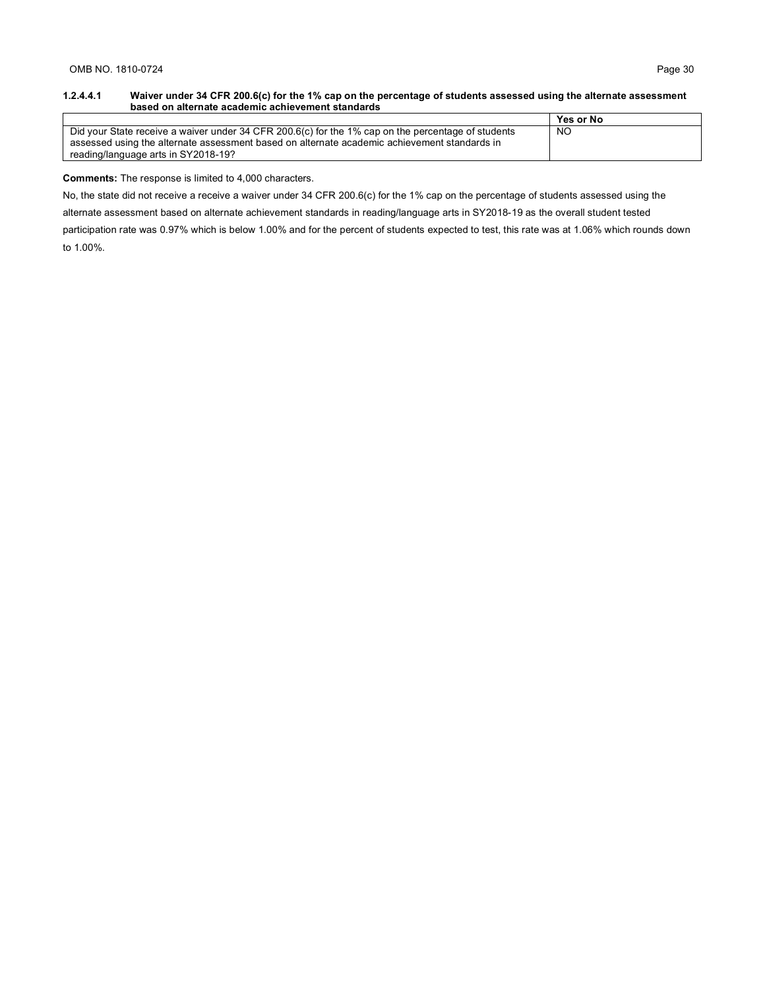#### **1.2.4.4.1 Waiver under 34 CFR 200.6(c) for the 1% cap on the percentage of students assessed using the alternate assessment based on alternate academic achievement standards**

|                                                                                                    | Yes or No |
|----------------------------------------------------------------------------------------------------|-----------|
| Did your State receive a waiver under 34 CFR 200.6(c) for the 1% cap on the percentage of students | NO.       |
| assessed using the alternate assessment based on alternate academic achievement standards in       |           |
| reading/language arts in SY2018-19?                                                                |           |

**Comments:** The response is limited to 4,000 characters.

No, the state did not receive a receive a waiver under 34 CFR 200.6(c) for the 1% cap on the percentage of students assessed using the

alternate assessment based on alternate achievement standards in reading/language arts in SY2018-19 as the overall student tested

participation rate was 0.97% which is below 1.00% and for the percent of students expected to test, this rate was at 1.06% which rounds down to 1.00%.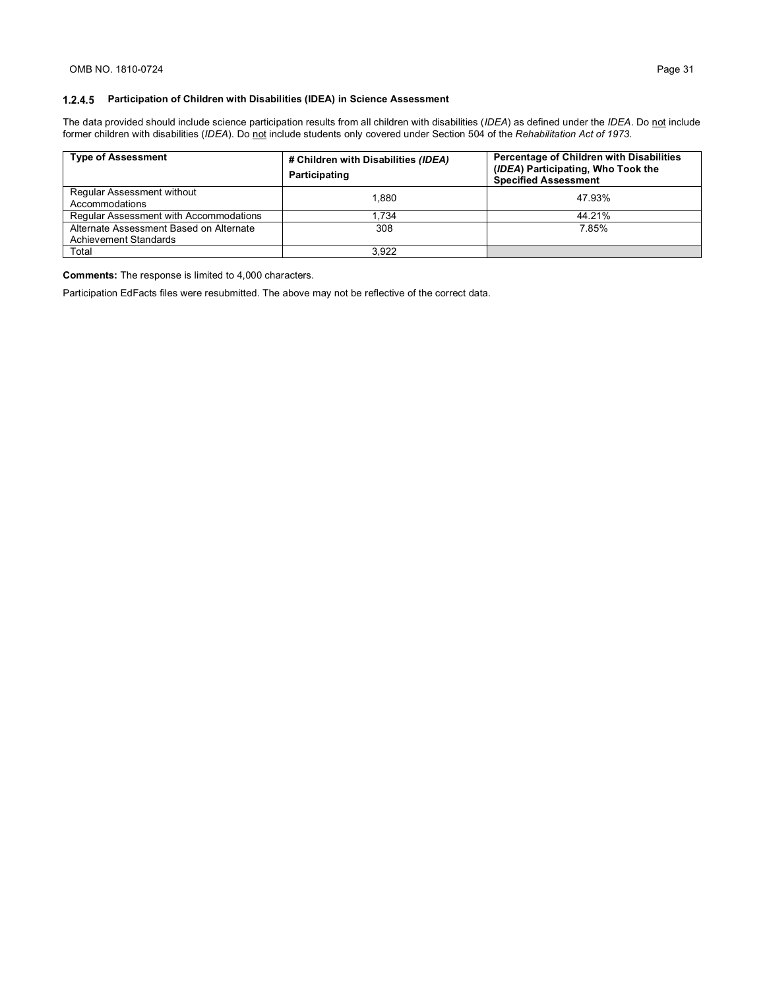### **Participation of Children with Disabilities (IDEA) in Science Assessment**

The data provided should include science participation results from all children with disabilities (*IDEA*) as defined under the *IDEA*. Do not include former children with disabilities (*IDEA*). Do not include students only covered under Section 504 of the *Rehabilitation Act of 1973*.

| <b>Type of Assessment</b>                                        | # Children with Disabilities (IDEA)<br>Participating | Percentage of Children with Disabilities<br>(IDEA) Participating, Who Took the<br><b>Specified Assessment</b> |  |
|------------------------------------------------------------------|------------------------------------------------------|---------------------------------------------------------------------------------------------------------------|--|
| Regular Assessment without<br>Accommodations                     | 1.880                                                | 47.93%                                                                                                        |  |
| Regular Assessment with Accommodations                           | 1.734                                                | 44.21%                                                                                                        |  |
| Alternate Assessment Based on Alternate<br>Achievement Standards | 308                                                  | 7.85%                                                                                                         |  |
| Total                                                            | 3.922                                                |                                                                                                               |  |

**Comments:** The response is limited to 4,000 characters.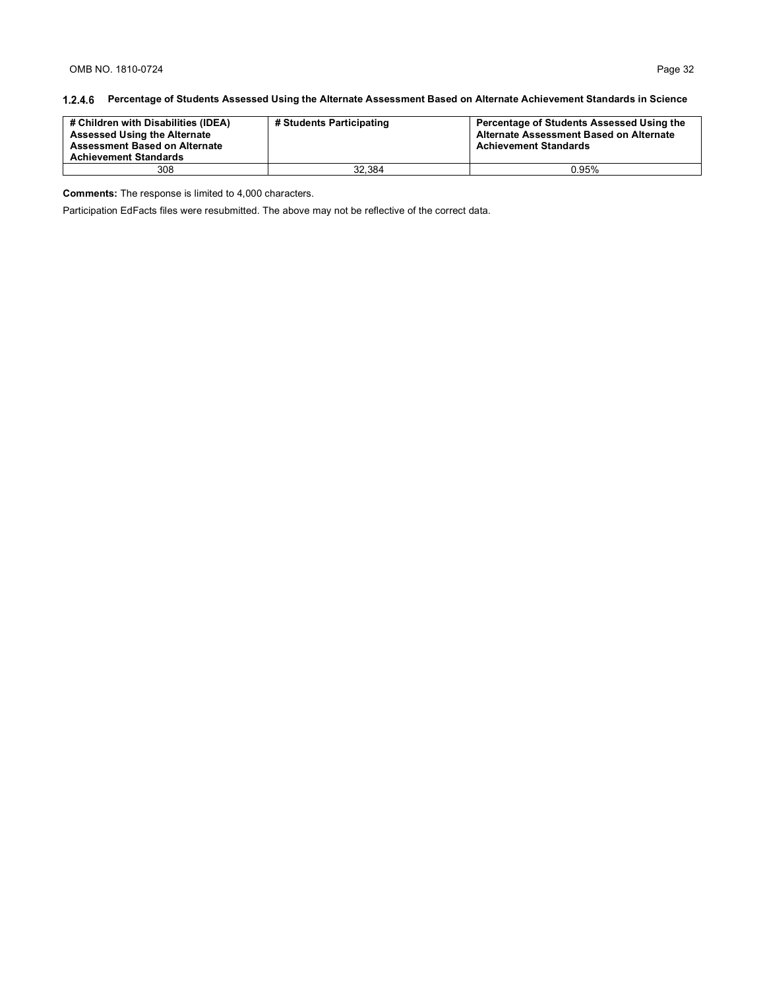# **Percentage of Students Assessed Using the Alternate Assessment Based on Alternate Achievement Standards in Science**

| # Children with Disabilities (IDEA)<br><b>Assessed Using the Alternate</b><br><b>Assessment Based on Alternate</b><br><b>Achievement Standards</b> | # Students Participating | Percentage of Students Assessed Using the<br>Alternate Assessment Based on Alternate<br><b>Achievement Standards</b> |
|----------------------------------------------------------------------------------------------------------------------------------------------------|--------------------------|----------------------------------------------------------------------------------------------------------------------|
| 308                                                                                                                                                | 32.384                   | 0.95%                                                                                                                |

**Comments:** The response is limited to 4,000 characters.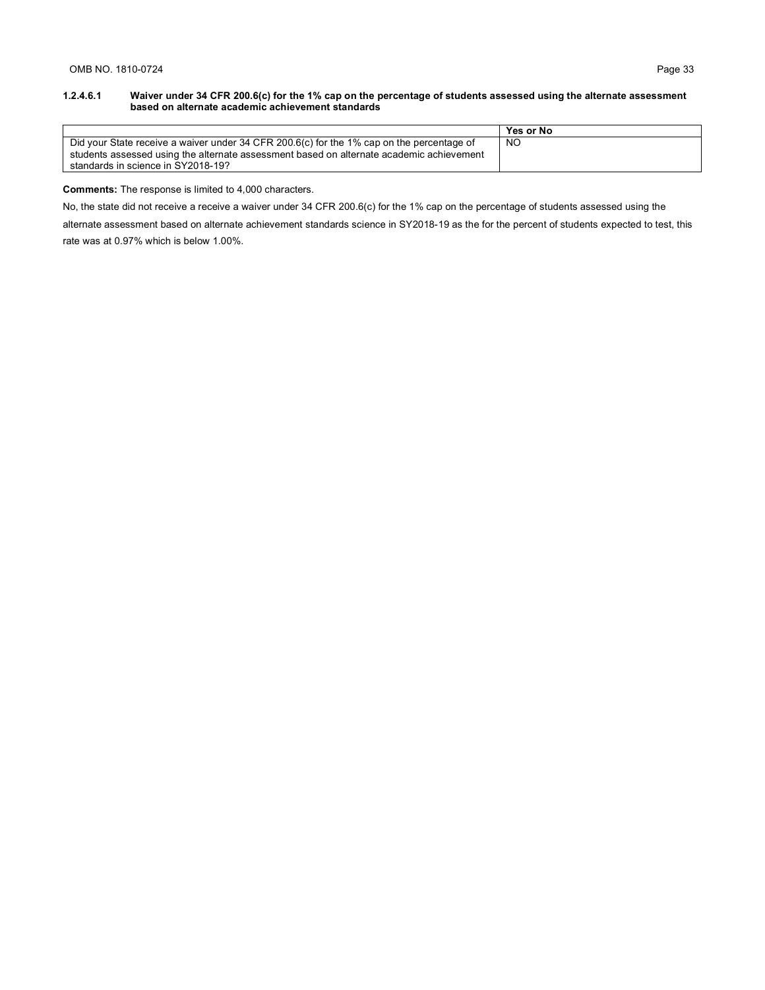### **1.2.4.6.1 Waiver under 34 CFR 200.6(c) for the 1% cap on the percentage of students assessed using the alternate assessment based on alternate academic achievement standards**

|                                                                                           | Yes or No      |
|-------------------------------------------------------------------------------------------|----------------|
| Did your State receive a waiver under 34 CFR 200.6(c) for the 1% cap on the percentage of | N <sub>O</sub> |
| students assessed using the alternate assessment based on alternate academic achievement  |                |
| standards in science in SY2018-19?                                                        |                |

**Comments:** The response is limited to 4,000 characters.

No, the state did not receive a receive a waiver under 34 CFR 200.6(c) for the 1% cap on the percentage of students assessed using the

alternate assessment based on alternate achievement standards science in SY2018-19 as the for the percent of students expected to test, this rate was at 0.97% which is below 1.00%.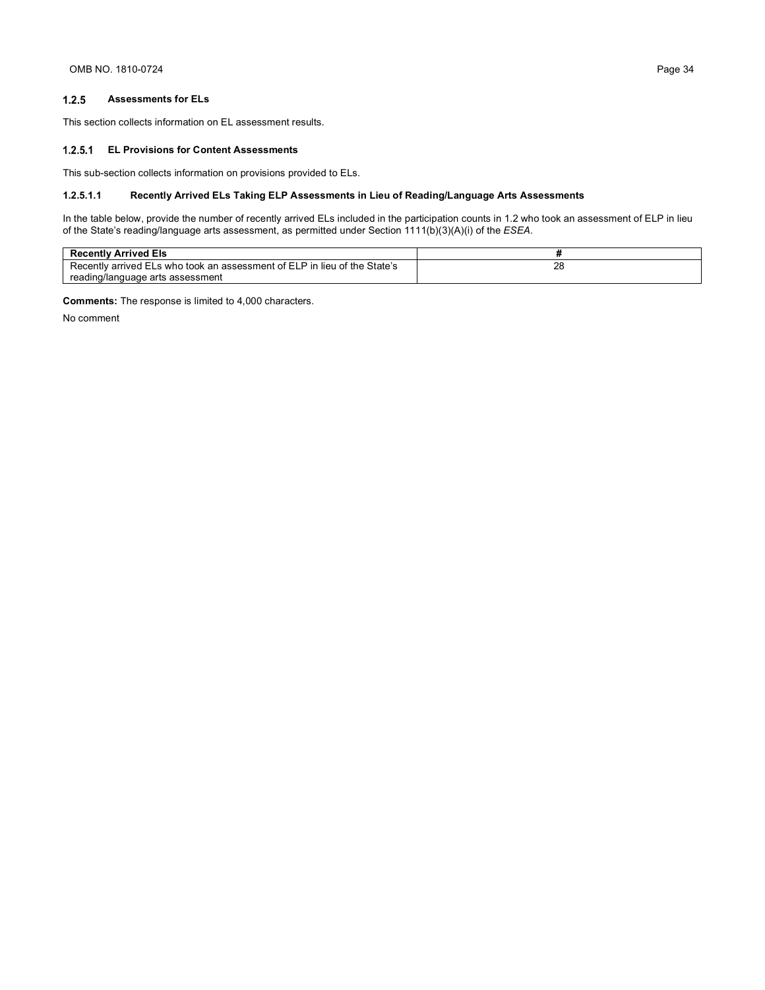#### $1.2.5$ **Assessments for ELs**

This section collects information on EL assessment results.

#### **EL Provisions for Content Assessments**

This sub-section collects information on provisions provided to ELs.

### **1.2.5.1.1 Recently Arrived ELs Taking ELP Assessments in Lieu of Reading/Language Arts Assessments**

In the table below, provide the number of recently arrived ELs included in the participation counts in 1.2 who took an assessment of ELP in lieu of the State's reading/language arts assessment, as permitted under Section 1111(b)(3)(A)(i) of the *ESEA*.

| <b>Recently Arrived Els</b>                                                  |         |
|------------------------------------------------------------------------------|---------|
| assessment of ELP in lieu of the State's<br>Recently arrived ELs who took an | าc<br>w |
| reading/language arts assessment                                             |         |

**Comments:** The response is limited to 4,000 characters.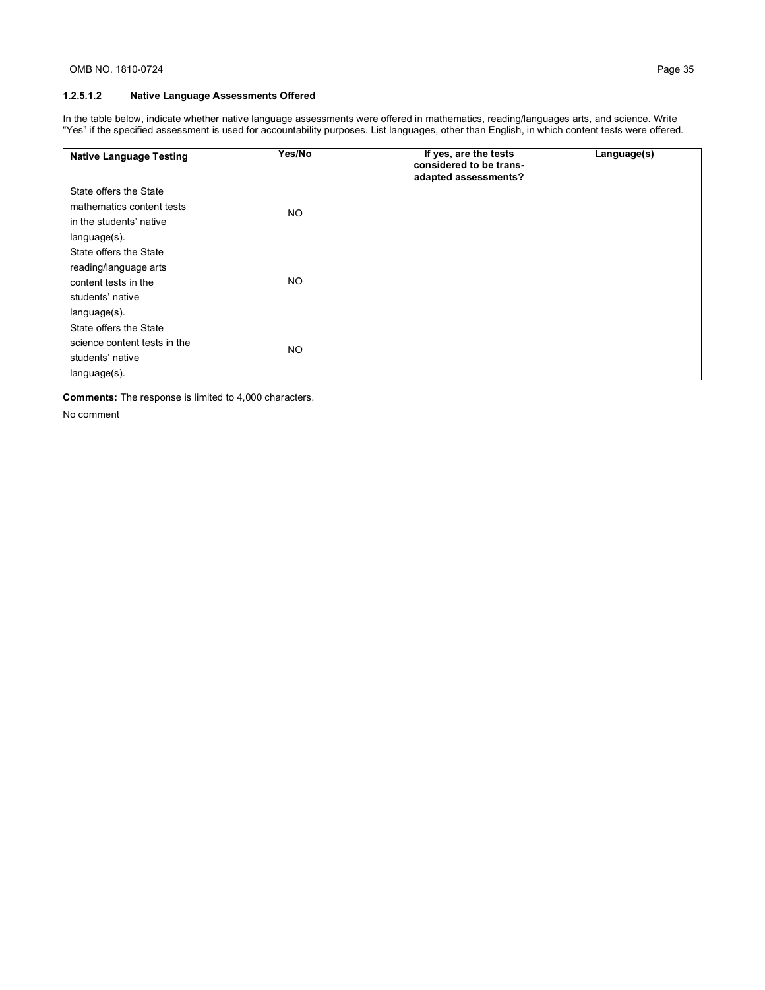### **1.2.5.1.2 Native Language Assessments Offered**

In the table below, indicate whether native language assessments were offered in mathematics, reading/languages arts, and science. Write "Yes" if the specified assessment is used for accountability purposes. List languages, other than English, in which content tests were offered.

| <b>Native Language Testing</b> | Yes/No | If yes, are the tests<br>considered to be trans-<br>adapted assessments? | Language(s) |
|--------------------------------|--------|--------------------------------------------------------------------------|-------------|
| State offers the State         |        |                                                                          |             |
| mathematics content tests      | NO.    |                                                                          |             |
| in the students' native        |        |                                                                          |             |
| language(s).                   |        |                                                                          |             |
| State offers the State         |        |                                                                          |             |
| reading/language arts          |        |                                                                          |             |
| content tests in the           | NO.    |                                                                          |             |
| students' native               |        |                                                                          |             |
| language(s).                   |        |                                                                          |             |
| State offers the State         |        |                                                                          |             |
| science content tests in the   | NO.    |                                                                          |             |
| students' native               |        |                                                                          |             |
| $language(s)$ .                |        |                                                                          |             |

**Comments:** The response is limited to 4,000 characters.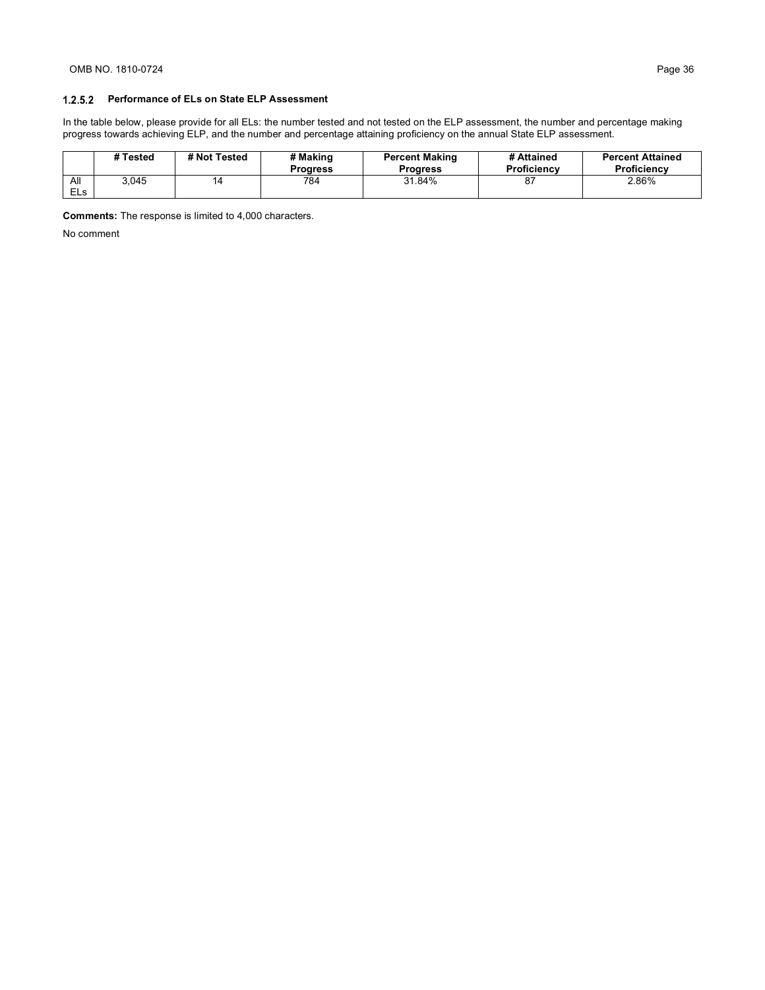### **Performance of ELs on State ELP Assessment**

In the table below, please provide for all ELs: the number tested and not tested on the ELP assessment, the number and percentage making progress towards achieving ELP, and the number and percentage attaining proficiency on the annual State ELP assessment.

|                   | # Tested | # Not Tested | # Making<br><b>Progress</b> | <b>Percent Making</b><br><b>Progress</b> | # Attained<br><b>Proficiency</b> | <b>Percent Attained</b><br>Proficiency |
|-------------------|----------|--------------|-----------------------------|------------------------------------------|----------------------------------|----------------------------------------|
| All<br><b>ELs</b> | 3.045    | 14           | 784                         | 31.84%                                   | o۱                               | 2.86%                                  |

**Comments:** The response is limited to 4,000 characters.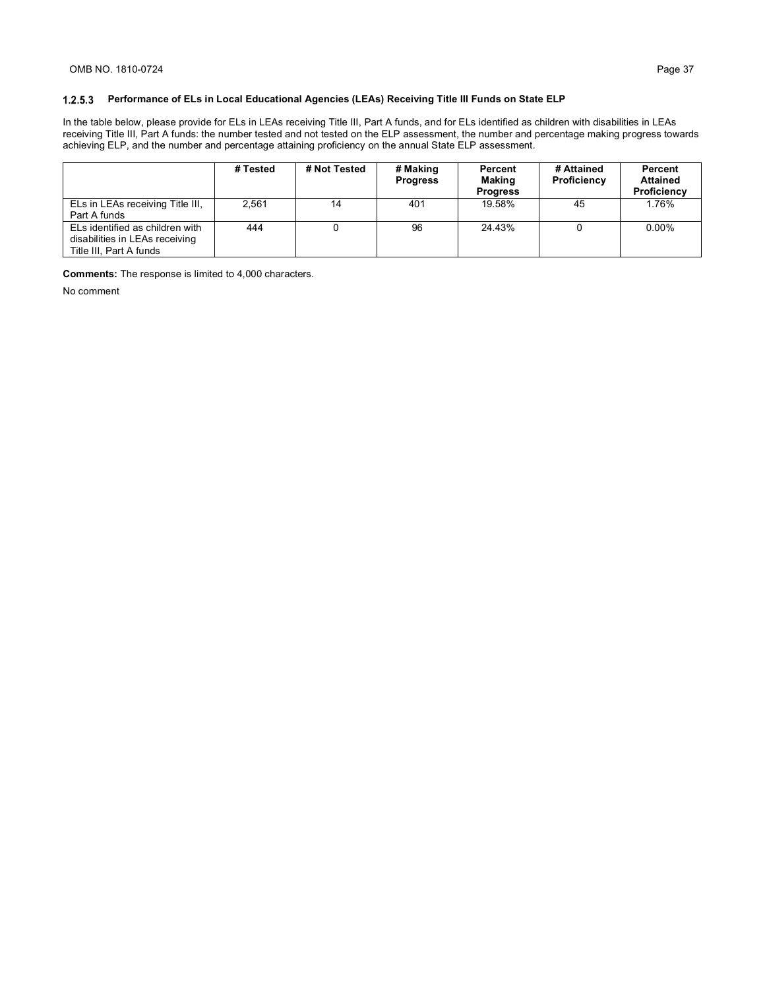In the table below, please provide for ELs in LEAs receiving Title III, Part A funds, and for ELs identified as children with disabilities in LEAs receiving Title III, Part A funds: the number tested and not tested on the ELP assessment, the number and percentage making progress towards achieving ELP, and the number and percentage attaining proficiency on the annual State ELP assessment.

|                                                                                              | # Tested | # Not Tested | # Making<br><b>Progress</b> | Percent<br>Making<br><b>Progress</b> | # Attained<br>Proficiency | Percent<br><b>Attained</b><br>Proficiency |
|----------------------------------------------------------------------------------------------|----------|--------------|-----------------------------|--------------------------------------|---------------------------|-------------------------------------------|
| ELs in LEAs receiving Title III,<br>Part A funds                                             | 2.561    | 14           | 401                         | 19.58%                               | 45                        | 1.76%                                     |
| ELs identified as children with<br>disabilities in LEAs receiving<br>Title III. Part A funds | 444      |              | 96                          | 24.43%                               |                           | $0.00\%$                                  |

**Comments:** The response is limited to 4,000 characters.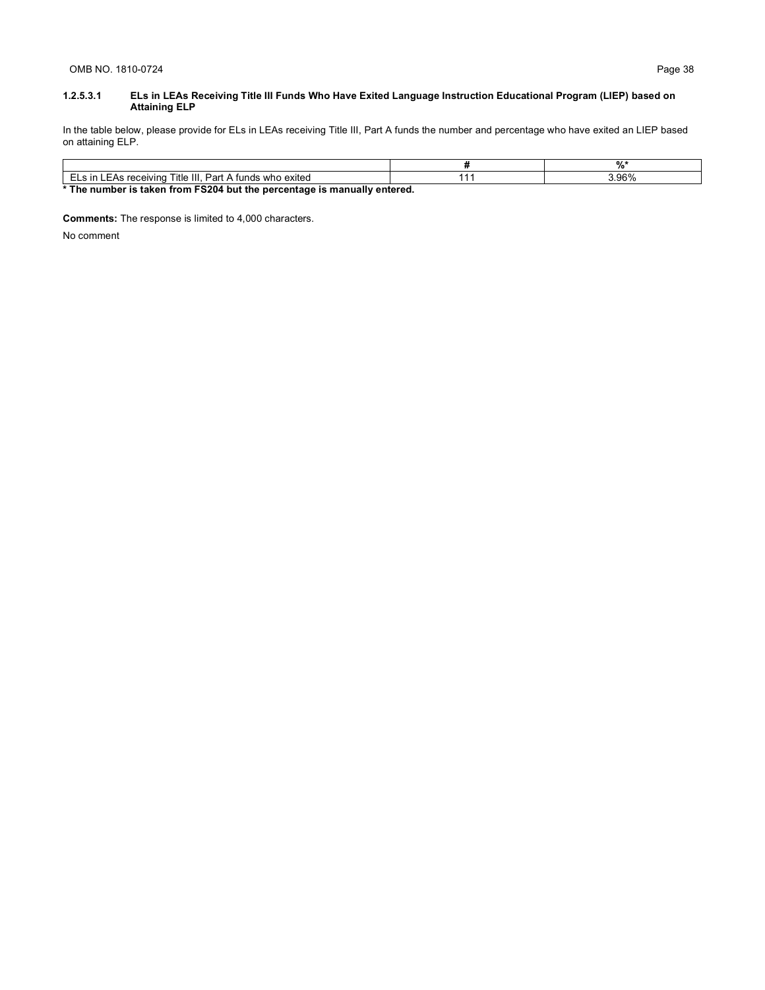#### **1.2.5.3.1 ELs in LEAs Receiving Title III Funds Who Have Exited Language Instruction Educational Program (LIEP) based on Attaining ELP**

In the table below, please provide for ELs in LEAs receiving Title III, Part A funds the number and percentage who have exited an LIEP based on attaining ELP.

| Title III. Part A funds who exited<br>ELs in LEAs receiving              |  | \ 96% |  |  |
|--------------------------------------------------------------------------|--|-------|--|--|
| * The number is taken from FS204 but the percentage is manually entered. |  |       |  |  |

**Comments:** The response is limited to 4,000 characters.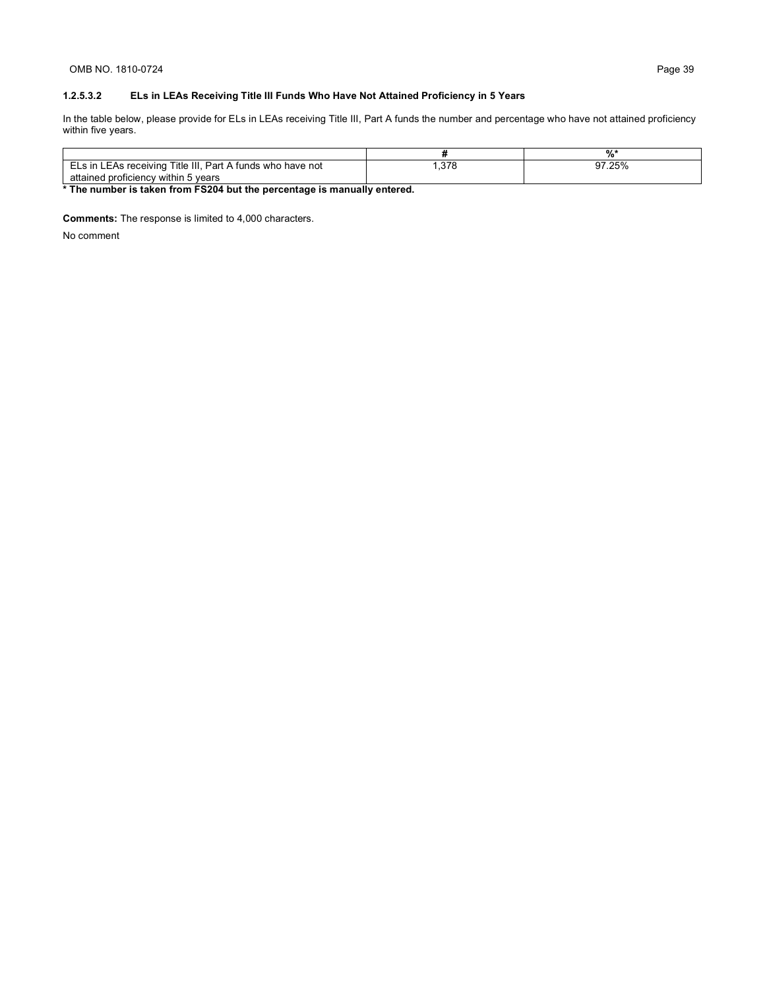# **1.2.5.3.2 ELs in LEAs Receiving Title III Funds Who Have Not Attained Proficiency in 5 Years**

In the table below, please provide for ELs in LEAs receiving Title III, Part A funds the number and percentage who have not attained proficiency within five years.

|                                                                      |      | 07<br>70 |
|----------------------------------------------------------------------|------|----------|
| Title III.<br>Part<br>∟s in LEAs receiving<br>t A funds who have not | .378 | 07 OE 07 |
| attained<br>J proficiency within 5<br>vears                          |      |          |

**\* The number is taken from FS204 but the percentage is manually entered.**

**Comments:** The response is limited to 4,000 characters.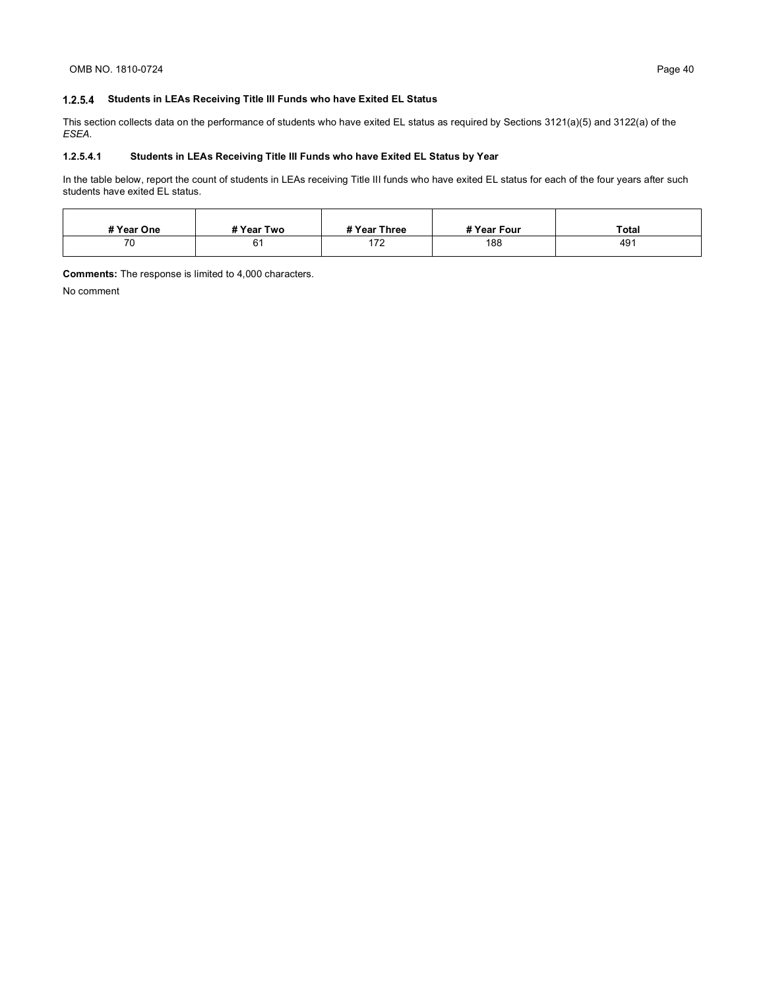### **Students in LEAs Receiving Title III Funds who have Exited EL Status**

This section collects data on the performance of students who have exited EL status as required by Sections 3121(a)(5) and 3122(a) of the *ESEA*.

### **1.2.5.4.1 Students in LEAs Receiving Title III Funds who have Exited EL Status by Year**

In the table below, report the count of students in LEAs receiving Title III funds who have exited EL status for each of the four years after such students have exited EL status.

| # Year One | # Year Two | # Year Three          | # Year Four | Total |
|------------|------------|-----------------------|-------------|-------|
| 70         | ັ          | 170<br>$\cdot$ $\sim$ | 188         | 491   |

**Comments:** The response is limited to 4,000 characters.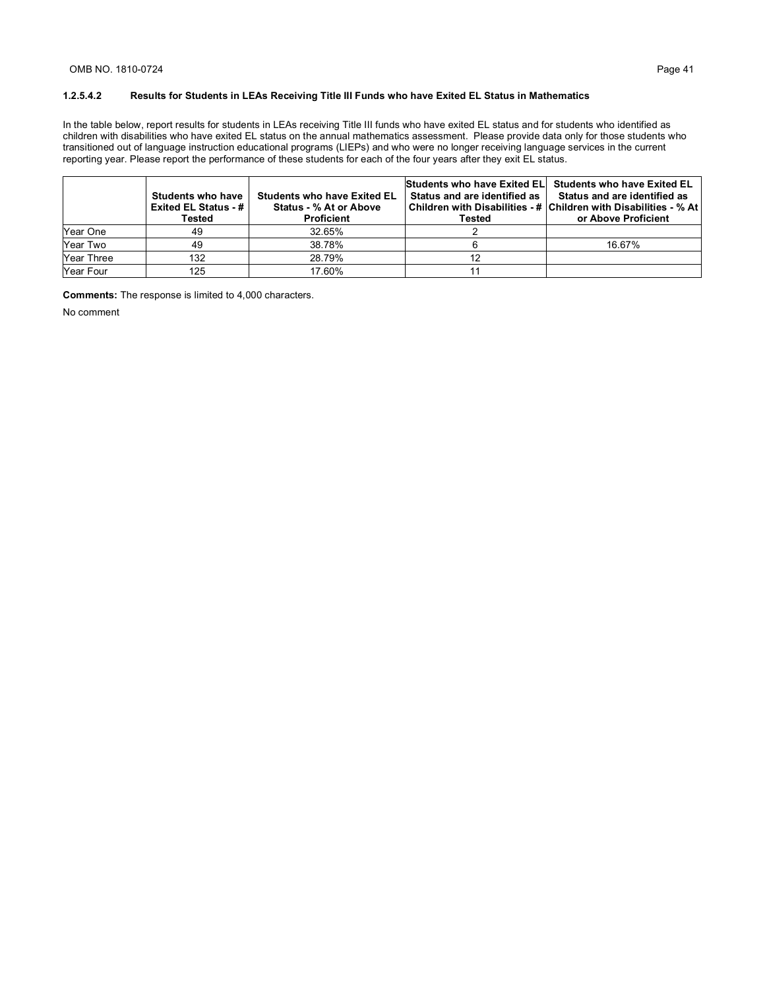### **1.2.5.4.2 Results for Students in LEAs Receiving Title III Funds who have Exited EL Status in Mathematics**

In the table below, report results for students in LEAs receiving Title III funds who have exited EL status and for students who identified as children with disabilities who have exited EL status on the annual mathematics assessment. Please provide data only for those students who transitioned out of language instruction educational programs (LIEPs) and who were no longer receiving language services in the current reporting year. Please report the performance of these students for each of the four years after they exit EL status.

|                   | <b>Students who have</b><br>Exited EL Status - #  <br>Tested | <b>Students who have Exited EL</b><br>Status - % At or Above<br><b>Proficient</b> | Tested | <b>Students who have Exited ELI Students who have Exited EL</b><br>Status and are identified as   Status and are identified as<br>Children with Disabilities - # Children with Disabilities - % At<br>or Above Proficient |
|-------------------|--------------------------------------------------------------|-----------------------------------------------------------------------------------|--------|---------------------------------------------------------------------------------------------------------------------------------------------------------------------------------------------------------------------------|
| Year One          | 49                                                           | 32.65%                                                                            |        |                                                                                                                                                                                                                           |
| Year Two          | 49                                                           | 38.78%                                                                            |        | 16.67%                                                                                                                                                                                                                    |
| <b>Year Three</b> | 132                                                          | 28.79%                                                                            |        |                                                                                                                                                                                                                           |
| Year Four         | 125                                                          | 17.60%                                                                            |        |                                                                                                                                                                                                                           |

**Comments:** The response is limited to 4,000 characters.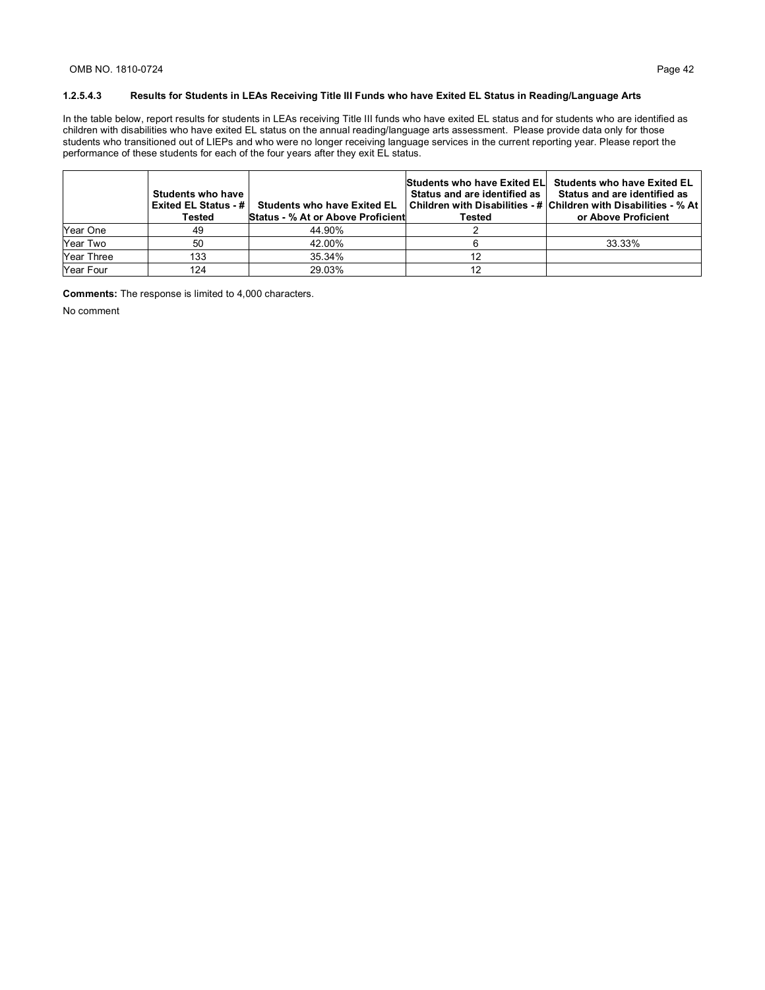### **1.2.5.4.3 Results for Students in LEAs Receiving Title III Funds who have Exited EL Status in Reading/Language Arts**

In the table below, report results for students in LEAs receiving Title III funds who have exited EL status and for students who are identified as children with disabilities who have exited EL status on the annual reading/language arts assessment. Please provide data only for those students who transitioned out of LIEPs and who were no longer receiving language services in the current reporting year. Please report the performance of these students for each of the four years after they exit EL status.

|                   | Students who have<br>Exited EL Status - #<br>Tested | <b>Students who have Exited EL</b><br><b>Status - % At or Above Proficient</b> | Status and are identified as I<br>Tested | <b>Students who have Exited ELI Students who have Exited EL</b><br>Status and are identified as<br>Children with Disabilities - # Children with Disabilities - % At<br>or Above Proficient |
|-------------------|-----------------------------------------------------|--------------------------------------------------------------------------------|------------------------------------------|--------------------------------------------------------------------------------------------------------------------------------------------------------------------------------------------|
| <b>Year One</b>   | 49                                                  | 44.90%                                                                         |                                          |                                                                                                                                                                                            |
| <b>Year Two</b>   | 50                                                  | 42.00%                                                                         |                                          | 33.33%                                                                                                                                                                                     |
| <b>Year Three</b> | 133                                                 | 35.34%                                                                         | 12                                       |                                                                                                                                                                                            |
| Year Four         | 124                                                 | 29.03%                                                                         | 12                                       |                                                                                                                                                                                            |

**Comments:** The response is limited to 4,000 characters.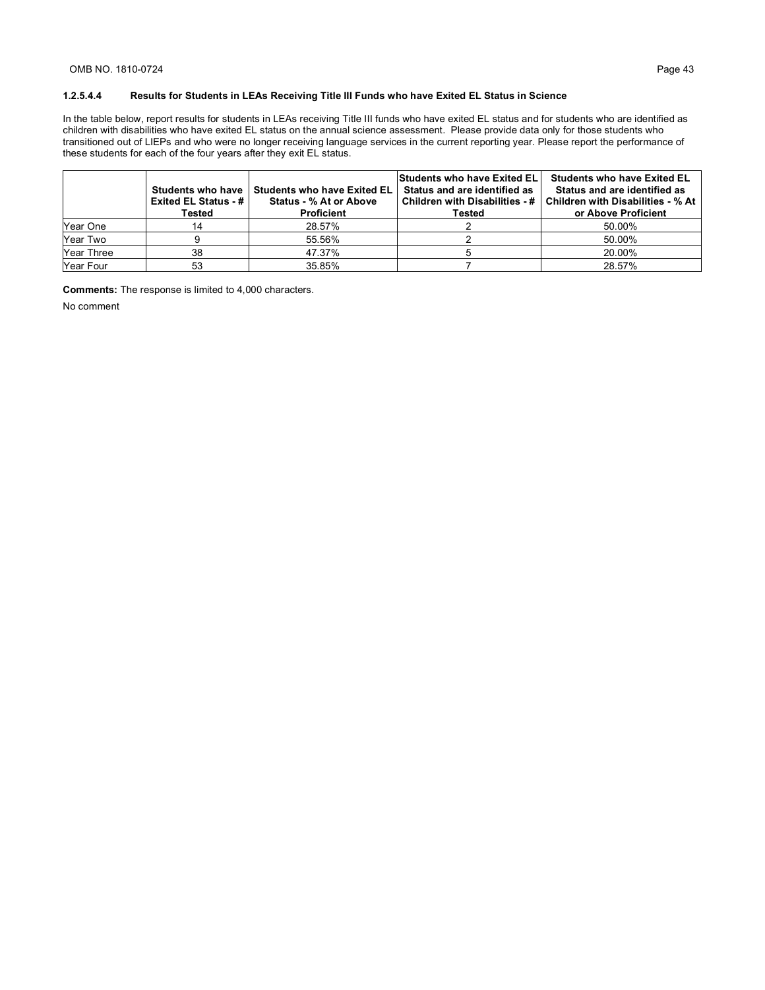### **1.2.5.4.4 Results for Students in LEAs Receiving Title III Funds who have Exited EL Status in Science**

In the table below, report results for students in LEAs receiving Title III funds who have exited EL status and for students who are identified as children with disabilities who have exited EL status on the annual science assessment. Please provide data only for those students who transitioned out of LIEPs and who were no longer receiving language services in the current reporting year. Please report the performance of these students for each of the four years after they exit EL status.

|                   | Exited EL Status - #  <br>Tested | Students who have I Students who have Exited EL<br>Status - % At or Above<br><b>Proficient</b> | <b>Students who have Exited EL</b><br>Status and are identified as<br><b>Children with Disabilities - #  </b><br>Tested | <b>Students who have Exited EL</b><br>Status and are identified as<br>Children with Disabilities - % At<br>or Above Proficient |
|-------------------|----------------------------------|------------------------------------------------------------------------------------------------|-------------------------------------------------------------------------------------------------------------------------|--------------------------------------------------------------------------------------------------------------------------------|
| <b>Year One</b>   |                                  | 28.57%                                                                                         |                                                                                                                         | 50.00%                                                                                                                         |
| Year Two          |                                  | 55.56%                                                                                         |                                                                                                                         | 50.00%                                                                                                                         |
| <b>Year Three</b> | 38                               | 47.37%                                                                                         |                                                                                                                         | 20.00%                                                                                                                         |
| <b>Year Four</b>  | 53                               | 35.85%                                                                                         |                                                                                                                         | 28.57%                                                                                                                         |

**Comments:** The response is limited to 4,000 characters.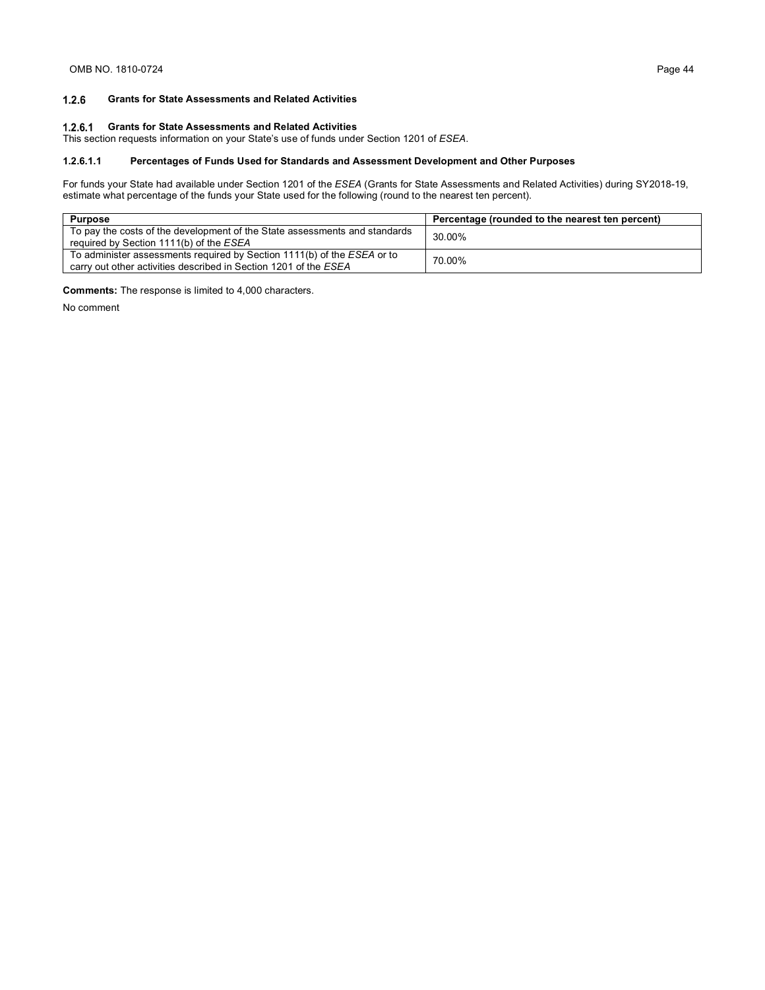#### $1.2.6$ **Grants for State Assessments and Related Activities**

# **Grants for State Assessments and Related Activities**

This section requests information on your State's use of funds under Section 1201 of *ESEA*.

#### **1.2.6.1.1 Percentages of Funds Used for Standards and Assessment Development and Other Purposes**

For funds your State had available under Section 1201 of the *ESEA* (Grants for State Assessments and Related Activities) during SY2018-19, estimate what percentage of the funds your State used for the following (round to the nearest ten percent).

| <b>Purpose</b>                                                                                                                                     | Percentage (rounded to the nearest ten percent) |  |
|----------------------------------------------------------------------------------------------------------------------------------------------------|-------------------------------------------------|--|
| To pay the costs of the development of the State assessments and standards<br>required by Section 1111(b) of the ESEA                              | 30.00%                                          |  |
| To administer assessments required by Section 1111(b) of the <i>ESEA</i> or to<br>carry out other activities described in Section 1201 of the ESEA | 70.00%                                          |  |

**Comments:** The response is limited to 4,000 characters.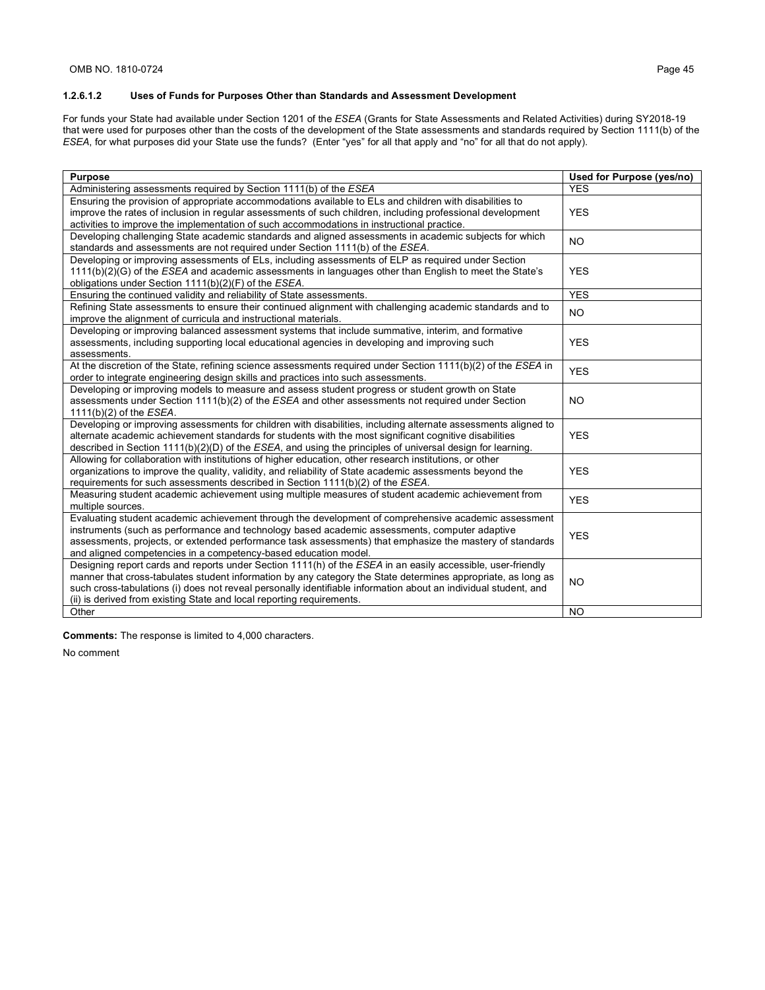### **1.2.6.1.2 Uses of Funds for Purposes Other than Standards and Assessment Development**

For funds your State had available under Section 1201 of the *ESEA* (Grants for State Assessments and Related Activities) during SY2018-19 that were used for purposes other than the costs of the development of the State assessments and standards required by Section 1111(b) of the *ESEA*, for what purposes did your State use the funds? (Enter "yes" for all that apply and "no" for all that do not apply).

| <b>Purpose</b>                                                                                                       | Used for Purpose (yes/no) |
|----------------------------------------------------------------------------------------------------------------------|---------------------------|
| Administering assessments required by Section 1111(b) of the ESEA                                                    | <b>YES</b>                |
| Ensuring the provision of appropriate accommodations available to ELs and children with disabilities to              |                           |
| improve the rates of inclusion in regular assessments of such children, including professional development           | <b>YES</b>                |
| activities to improve the implementation of such accommodations in instructional practice.                           |                           |
| Developing challenging State academic standards and aligned assessments in academic subjects for which               | <b>NO</b>                 |
| standards and assessments are not required under Section 1111(b) of the ESEA.                                        |                           |
| Developing or improving assessments of ELs, including assessments of ELP as required under Section                   |                           |
| 1111(b)(2)(G) of the ESEA and academic assessments in languages other than English to meet the State's               | <b>YES</b>                |
| obligations under Section 1111(b)(2)(F) of the ESEA.                                                                 |                           |
| Ensuring the continued validity and reliability of State assessments.                                                | <b>YES</b>                |
| Refining State assessments to ensure their continued alignment with challenging academic standards and to            | <b>NO</b>                 |
| improve the alignment of curricula and instructional materials.                                                      |                           |
| Developing or improving balanced assessment systems that include summative, interim, and formative                   |                           |
| assessments, including supporting local educational agencies in developing and improving such                        | <b>YES</b>                |
| assessments.                                                                                                         |                           |
| At the discretion of the State, refining science assessments required under Section 1111(b)(2) of the ESEA in        | <b>YES</b>                |
| order to integrate engineering design skills and practices into such assessments.                                    |                           |
| Developing or improving models to measure and assess student progress or student growth on State                     |                           |
| assessments under Section 1111(b)(2) of the ESEA and other assessments not required under Section                    | NO.                       |
| $1111(b)(2)$ of the <i>ESEA</i> .                                                                                    |                           |
| Developing or improving assessments for children with disabilities, including alternate assessments aligned to       |                           |
| alternate academic achievement standards for students with the most significant cognitive disabilities               | <b>YES</b>                |
| described in Section $111(1b)(2)(D)$ of the <i>ESEA</i> , and using the principles of universal design for learning. |                           |
| Allowing for collaboration with institutions of higher education, other research institutions, or other              |                           |
| organizations to improve the quality, validity, and reliability of State academic assessments beyond the             | <b>YES</b>                |
| requirements for such assessments described in Section 1111(b)(2) of the ESEA.                                       |                           |
| Measuring student academic achievement using multiple measures of student academic achievement from                  | <b>YES</b>                |
| multiple sources.                                                                                                    |                           |
| Evaluating student academic achievement through the development of comprehensive academic assessment                 |                           |
| instruments (such as performance and technology based academic assessments, computer adaptive                        | <b>YES</b>                |
| assessments, projects, or extended performance task assessments) that emphasize the mastery of standards             |                           |
| and aligned competencies in a competency-based education model.                                                      |                           |
| Designing report cards and reports under Section 1111(h) of the ESEA in an easily accessible, user-friendly          |                           |
| manner that cross-tabulates student information by any category the State determines appropriate, as long as         | <b>NO</b>                 |
| such cross-tabulations (i) does not reveal personally identifiable information about an individual student, and      |                           |
| (ii) is derived from existing State and local reporting requirements.                                                |                           |
| Other                                                                                                                | <b>NO</b>                 |

**Comments:** The response is limited to 4,000 characters.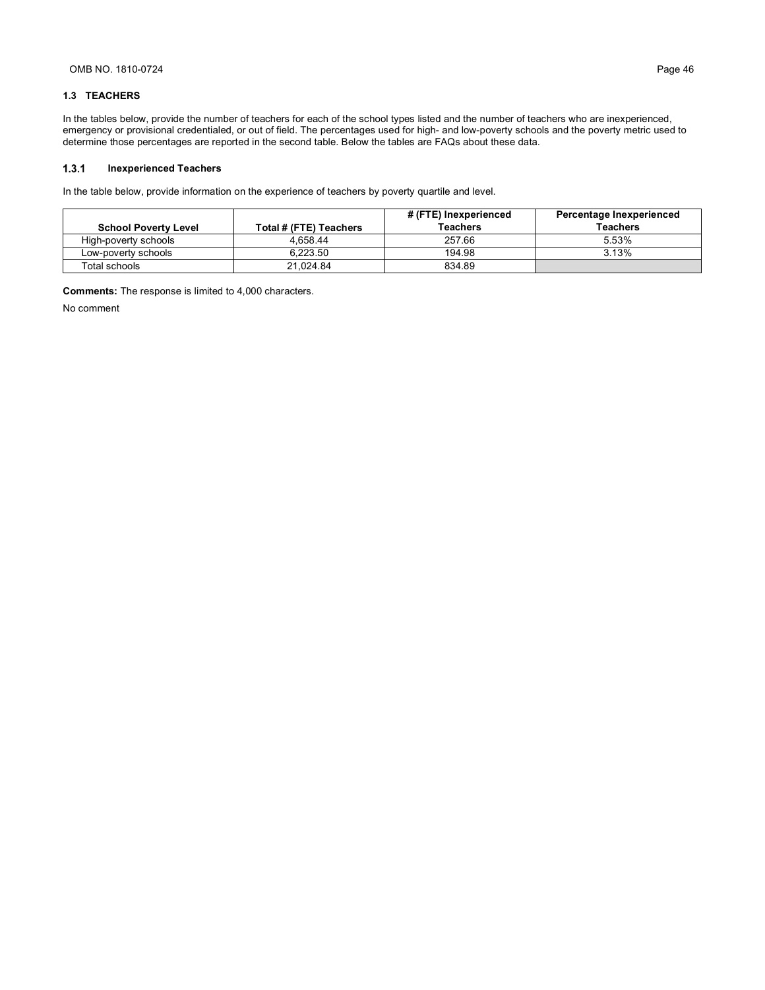#### **1.3 TEACHERS**

In the tables below, provide the number of teachers for each of the school types listed and the number of teachers who are inexperienced, emergency or provisional credentialed, or out of field. The percentages used for high- and low-poverty schools and the poverty metric used to determine those percentages are reported in the second table. Below the tables are FAQs about these data.

#### **Inexperienced Teachers**  $1.3.1$

In the table below, provide information on the experience of teachers by poverty quartile and level.

|                             |                        | # (FTE) Inexperienced | Percentage Inexperienced |
|-----------------------------|------------------------|-----------------------|--------------------------|
| <b>School Poverty Level</b> | Total # (FTE) Teachers | Teachers              | Teachers                 |
| High-poverty schools        | 4.658.44               | 257.66                | 5.53%                    |
| Low-poverty schools         | 6.223.50               | 194.98                | 3.13%                    |
| Total schools               | 21.024.84              | 834.89                |                          |

**Comments:** The response is limited to 4,000 characters.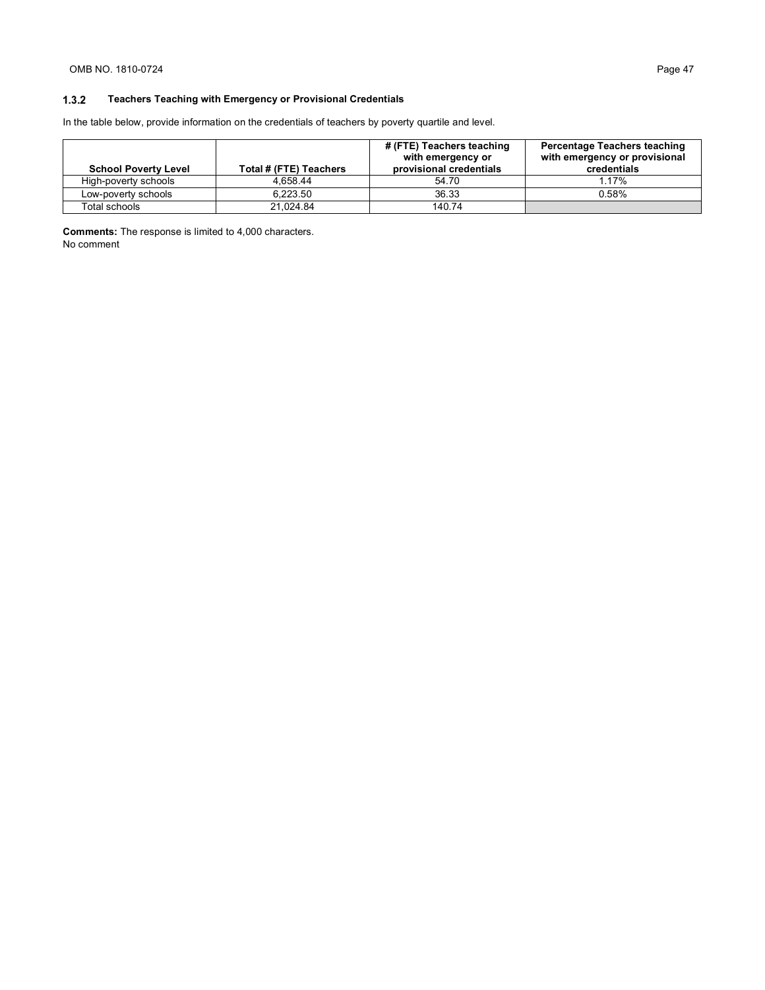#### $1.3.2$ **Teachers Teaching with Emergency or Provisional Credentials**

In the table below, provide information on the credentials of teachers by poverty quartile and level.

| <b>School Poverty Level</b> | Total # (FTE) Teachers | # (FTE) Teachers teaching<br>with emergency or<br>provisional credentials | Percentage Teachers teaching<br>with emergency or provisional<br>credentials |
|-----------------------------|------------------------|---------------------------------------------------------------------------|------------------------------------------------------------------------------|
| High-poverty schools        | 4.658.44               | 54.70                                                                     | 1 17%                                                                        |
| Low-poverty schools         | 6.223.50               | 36.33                                                                     | 0.58%                                                                        |
| Total schools               | 21.024.84              | 140.74                                                                    |                                                                              |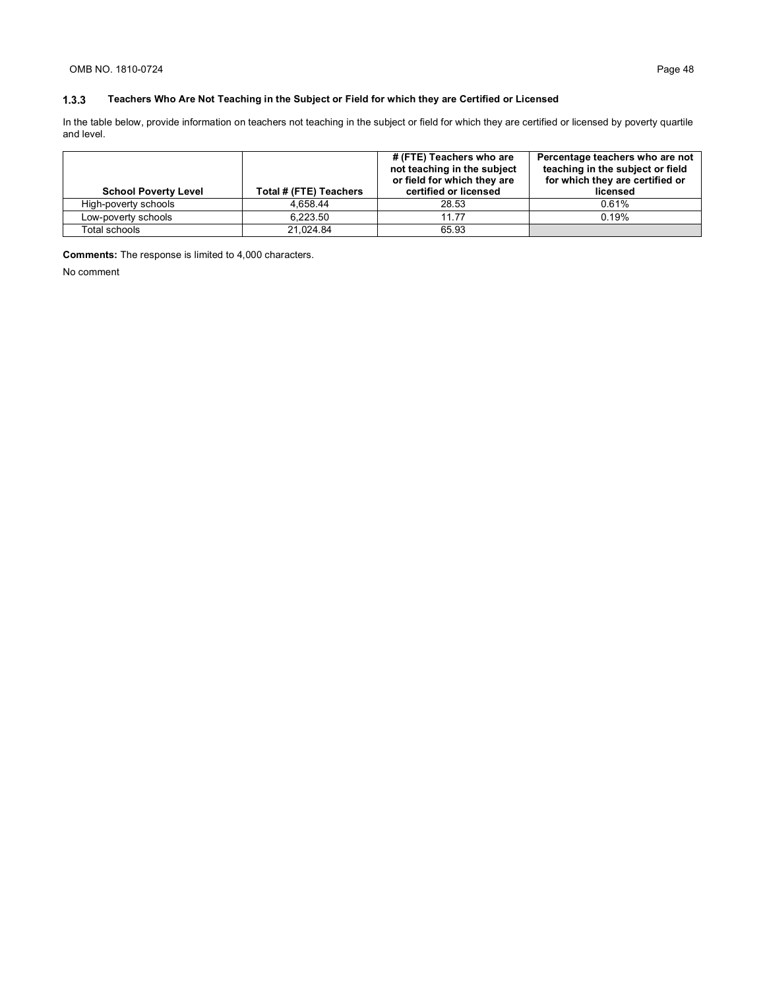### OMB NO. 1810-0724 Page 48

#### $1.3.3$ **Teachers Who Are Not Teaching in the Subject or Field for which they are Certified or Licensed**

In the table below, provide information on teachers not teaching in the subject or field for which they are certified or licensed by poverty quartile and level.

| <b>School Poverty Level</b> | Total # (FTE) Teachers | # (FTE) Teachers who are<br>not teaching in the subject<br>or field for which they are<br>certified or licensed | Percentage teachers who are not<br>teaching in the subject or field<br>for which they are certified or<br>licensed |
|-----------------------------|------------------------|-----------------------------------------------------------------------------------------------------------------|--------------------------------------------------------------------------------------------------------------------|
| High-poverty schools        | 4.658.44               | 28.53                                                                                                           | 0.61%                                                                                                              |
| Low-poverty schools         | 6.223.50               | 1177                                                                                                            | 0.19%                                                                                                              |
| Total schools               | 21.024.84              | 65.93                                                                                                           |                                                                                                                    |

**Comments:** The response is limited to 4,000 characters.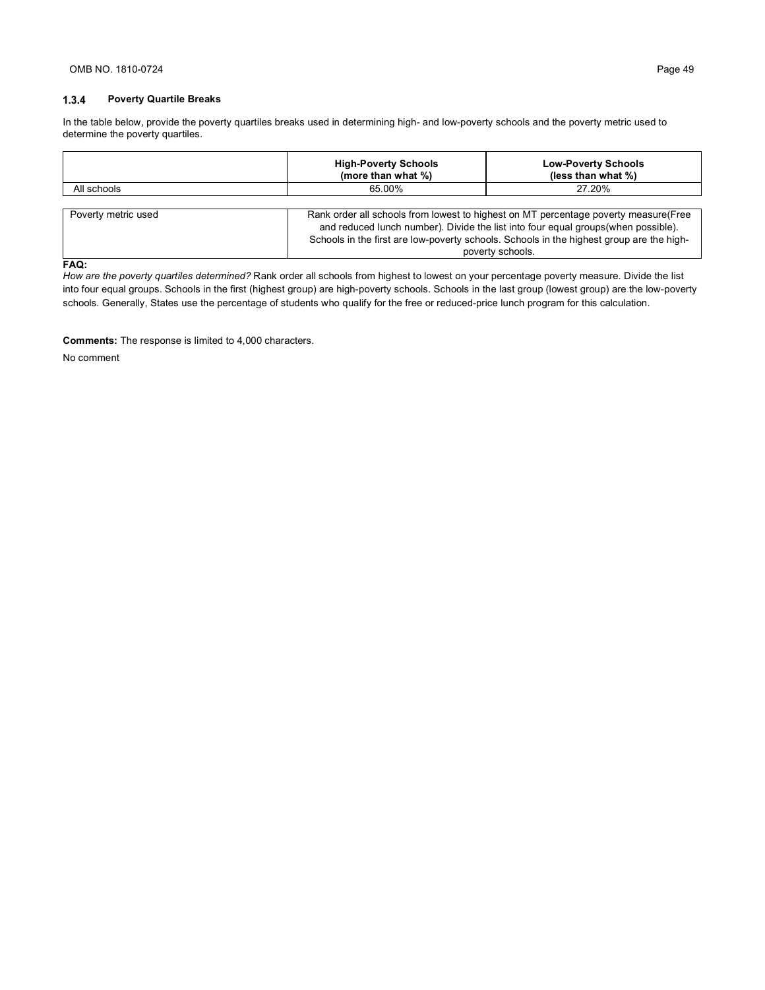#### $1.3.4$ **Poverty Quartile Breaks**

In the table below, provide the poverty quartiles breaks used in determining high- and low-poverty schools and the poverty metric used to determine the poverty quartiles.

|                     | <b>High-Poverty Schools</b><br>(more than what %) | <b>Low-Poverty Schools</b><br>(less than what %)                                                                                                                                                                                                                                           |  |
|---------------------|---------------------------------------------------|--------------------------------------------------------------------------------------------------------------------------------------------------------------------------------------------------------------------------------------------------------------------------------------------|--|
| All schools         | 65.00%                                            | 27.20%                                                                                                                                                                                                                                                                                     |  |
|                     |                                                   |                                                                                                                                                                                                                                                                                            |  |
| Poverty metric used |                                                   | Rank order all schools from lowest to highest on MT percentage poverty measure (Free<br>and reduced lunch number). Divide the list into four equal groups (when possible).<br>Schools in the first are low-poverty schools. Schools in the highest group are the high-<br>poverty schools. |  |
| <b>FAA.</b>         |                                                   |                                                                                                                                                                                                                                                                                            |  |

#### **FAQ:**

*How are the poverty quartiles determined?* Rank order all schools from highest to lowest on your percentage poverty measure. Divide the list into four equal groups. Schools in the first (highest group) are high-poverty schools. Schools in the last group (lowest group) are the low-poverty schools. Generally, States use the percentage of students who qualify for the free or reduced-price lunch program for this calculation.

**Comments:** The response is limited to 4,000 characters.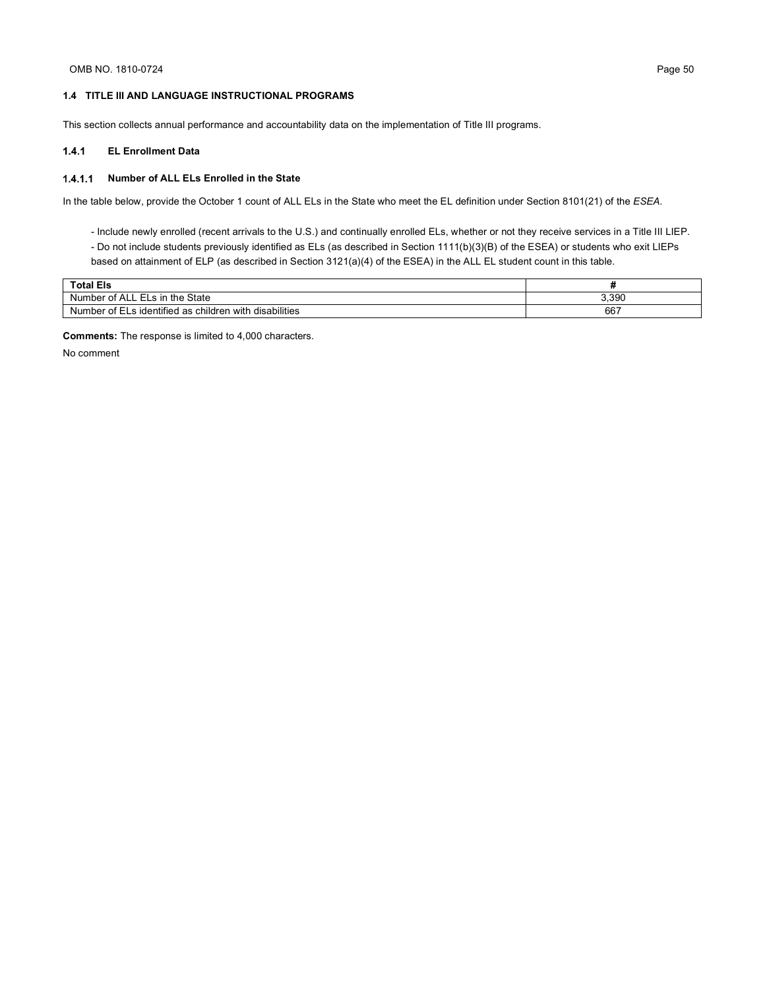#### **1.4 TITLE III AND LANGUAGE INSTRUCTIONAL PROGRAMS**

This section collects annual performance and accountability data on the implementation of Title III programs.

#### $1.4.1$ **EL Enrollment Data**

#### **Number of ALL ELs Enrolled in the State**

In the table below, provide the October 1 count of ALL ELs in the State who meet the EL definition under Section 8101(21) of the *ESEA*.

- Include newly enrolled (recent arrivals to the U.S.) and continually enrolled ELs, whether or not they receive services in a Title III LIEP.
- Do not include students previously identified as ELs (as described in Section 1111(b)(3)(B) of the ESEA) or students who exit LIEPs based on attainment of ELP (as described in Section 3121(a)(4) of the ESEA) in the ALL EL student count in this table.

| Total Els                                                                   |       |
|-----------------------------------------------------------------------------|-------|
| the State ا<br>ELs in<br>Nur<br>ਾ of AL∟<br>.mber                           | 3.390 |
| disabilities<br><br>Number of EL<br>.ח with<br>as children<br>∟s identified | 667   |

**Comments:** The response is limited to 4,000 characters.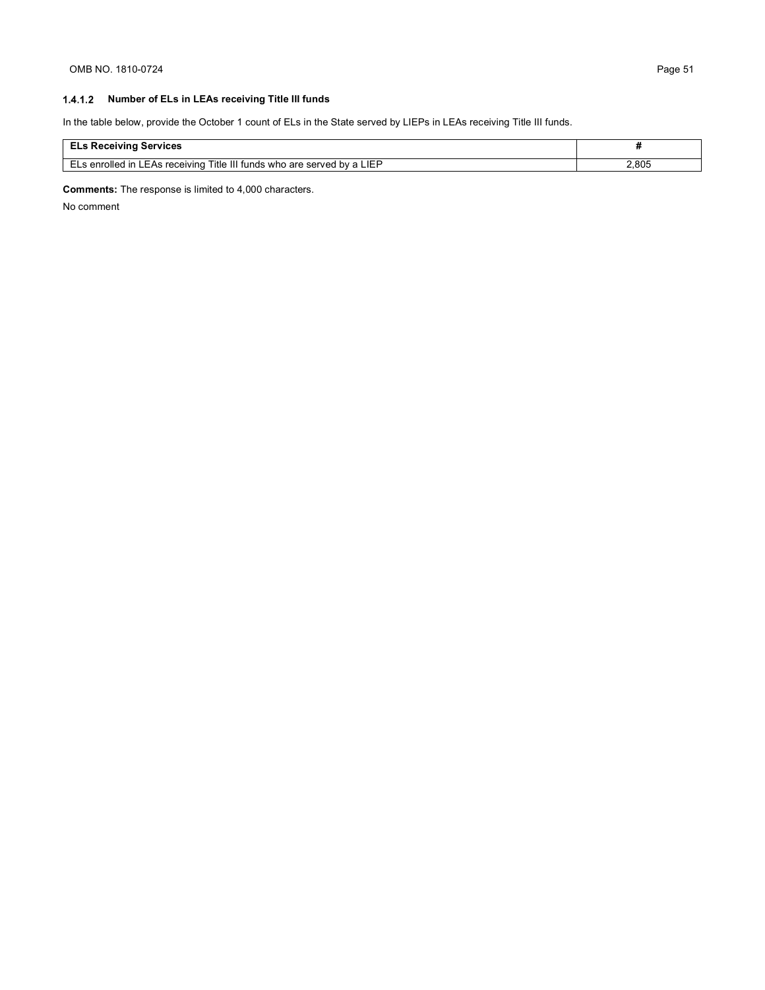# **Number of ELs in LEAs receiving Title III funds**

In the table below, provide the October 1 count of ELs in the State served by LIEPs in LEAs receiving Title III funds.

| Services<br>Receiving                                                            |       |
|----------------------------------------------------------------------------------|-------|
| Title III funds<br>s who are served by a LIEP<br>! in LEAs receiving<br>enrolled | 2.805 |

**Comments:** The response is limited to 4,000 characters.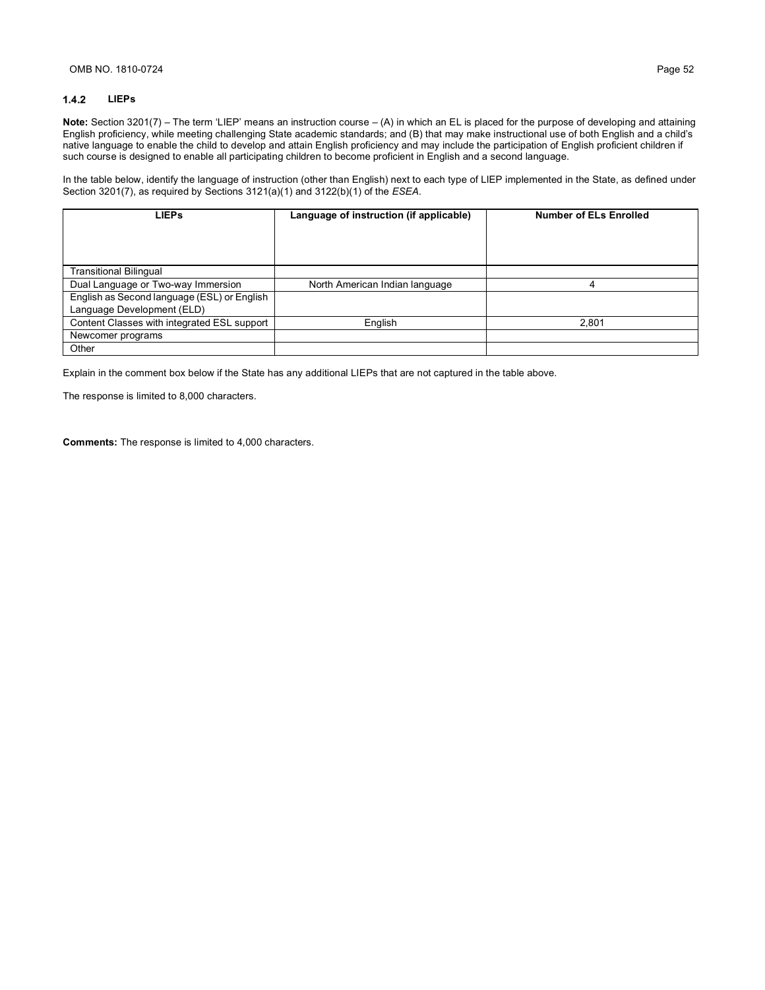#### $1.4.2$ **LIEPs**

**Note:** Section 3201(7) – The term 'LIEP' means an instruction course – (A) in which an EL is placed for the purpose of developing and attaining English proficiency, while meeting challenging State academic standards; and (B) that may make instructional use of both English and a child's native language to enable the child to develop and attain English proficiency and may include the participation of English proficient children if such course is designed to enable all participating children to become proficient in English and a second language.

In the table below, identify the language of instruction (other than English) next to each type of LIEP implemented in the State, as defined under Section 3201(7), as required by Sections 3121(a)(1) and 3122(b)(1) of the *ESEA*.

| <b>LIEPs</b>                                | Language of instruction (if applicable) | <b>Number of ELs Enrolled</b> |
|---------------------------------------------|-----------------------------------------|-------------------------------|
|                                             |                                         |                               |
|                                             |                                         |                               |
| <b>Transitional Bilingual</b>               |                                         |                               |
| Dual Language or Two-way Immersion          | North American Indian language          | 4                             |
| English as Second language (ESL) or English |                                         |                               |
| Language Development (ELD)                  |                                         |                               |
| Content Classes with integrated ESL support | English                                 | 2,801                         |
| Newcomer programs                           |                                         |                               |
| Other                                       |                                         |                               |

Explain in the comment box below if the State has any additional LIEPs that are not captured in the table above.

The response is limited to 8,000 characters.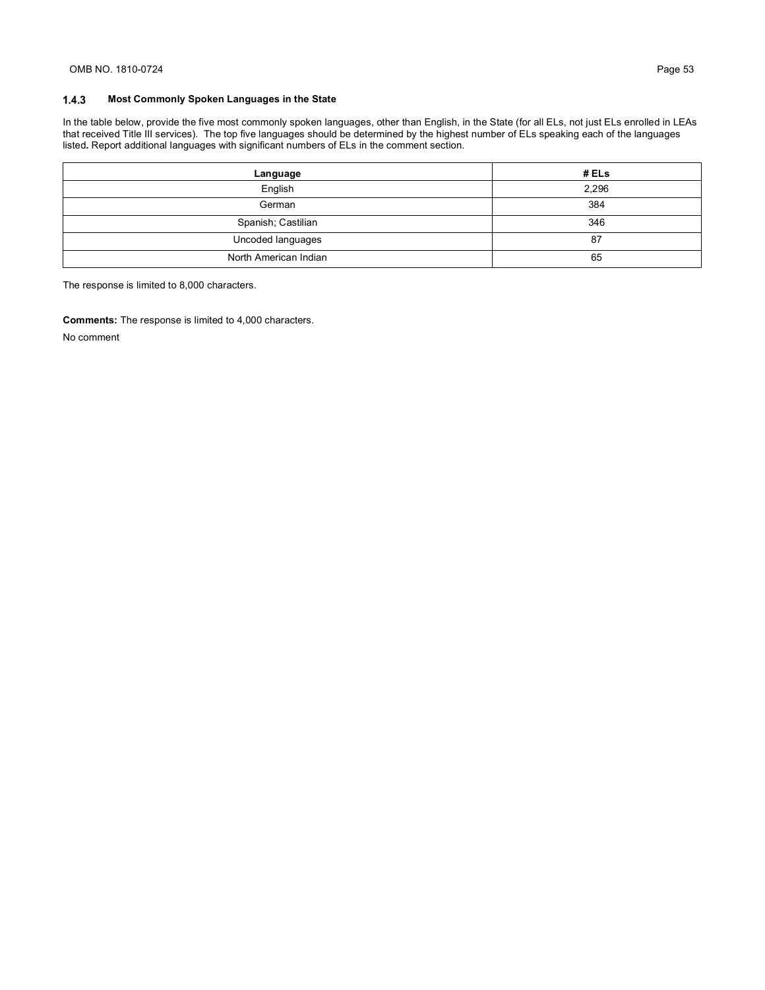#### $1.4.3$ **Most Commonly Spoken Languages in the State**

In the table below, provide the five most commonly spoken languages, other than English, in the State (for all ELs, not just ELs enrolled in LEAs that received Title III services). The top five languages should be determined by the highest number of ELs speaking each of the languages listed**.** Report additional languages with significant numbers of ELs in the comment section.

| Language              | # ELs |
|-----------------------|-------|
| English               | 2,296 |
| German                | 384   |
| Spanish; Castilian    | 346   |
| Uncoded languages     | 87    |
| North American Indian | 65    |

The response is limited to 8,000 characters.

**Comments:** The response is limited to 4,000 characters.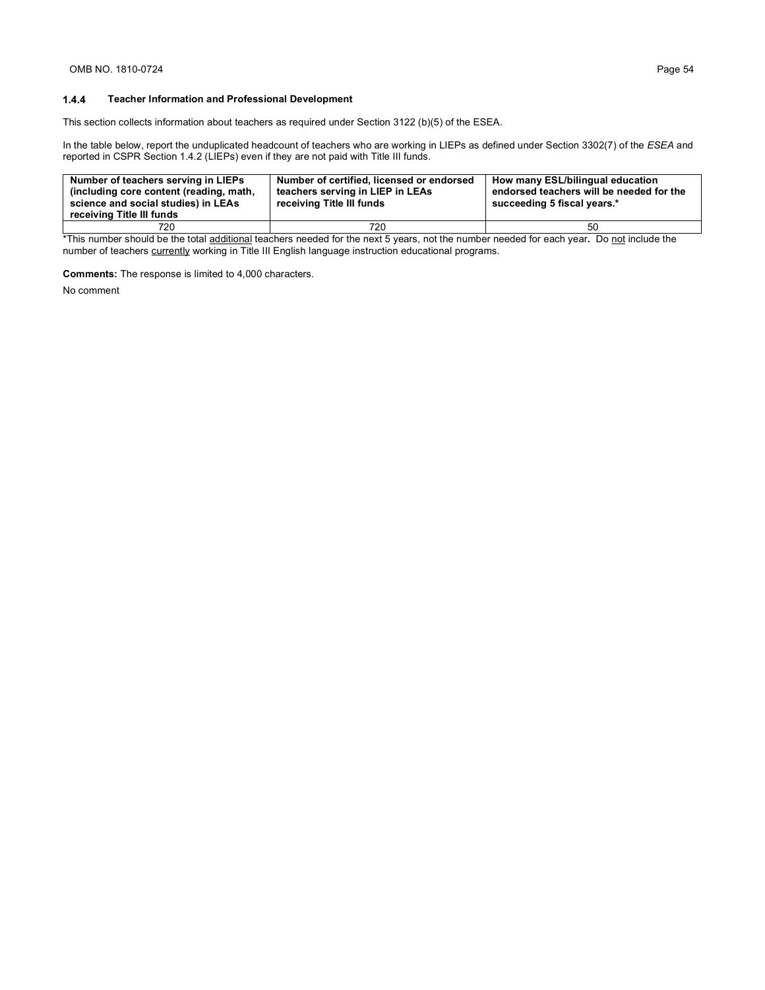#### $1.4.4$ **Teacher Information and Professional Development**

This section collects information about teachers as required under Section 3122 (b)(5) of the ESEA.

In the table below, report the unduplicated headcount of teachers who are working in LIEPs as defined under Section 3302(7) of the *ESEA* and reported in CSPR Section 1.4.2 (LIEPs) even if they are not paid with Title III funds.

| Number of teachers serving in LIEPs<br>(including core content (reading, math,<br>science and social studies) in LEAs<br>receiving Title III funds | Number of certified, licensed or endorsed<br>teachers serving in LIEP in LEAs<br>receiving Title III funds | How many ESL/bilingual education<br>endorsed teachers will be needed for the<br>succeeding 5 fiscal years.* |
|----------------------------------------------------------------------------------------------------------------------------------------------------|------------------------------------------------------------------------------------------------------------|-------------------------------------------------------------------------------------------------------------|
| 720.                                                                                                                                               | 720                                                                                                        | 50                                                                                                          |

\*This number should be the total additional teachers needed for the next 5 years, not the number needed for each year**.** Do not include the number of teachers currently working in Title III English language instruction educational programs.

**Comments:** The response is limited to 4,000 characters.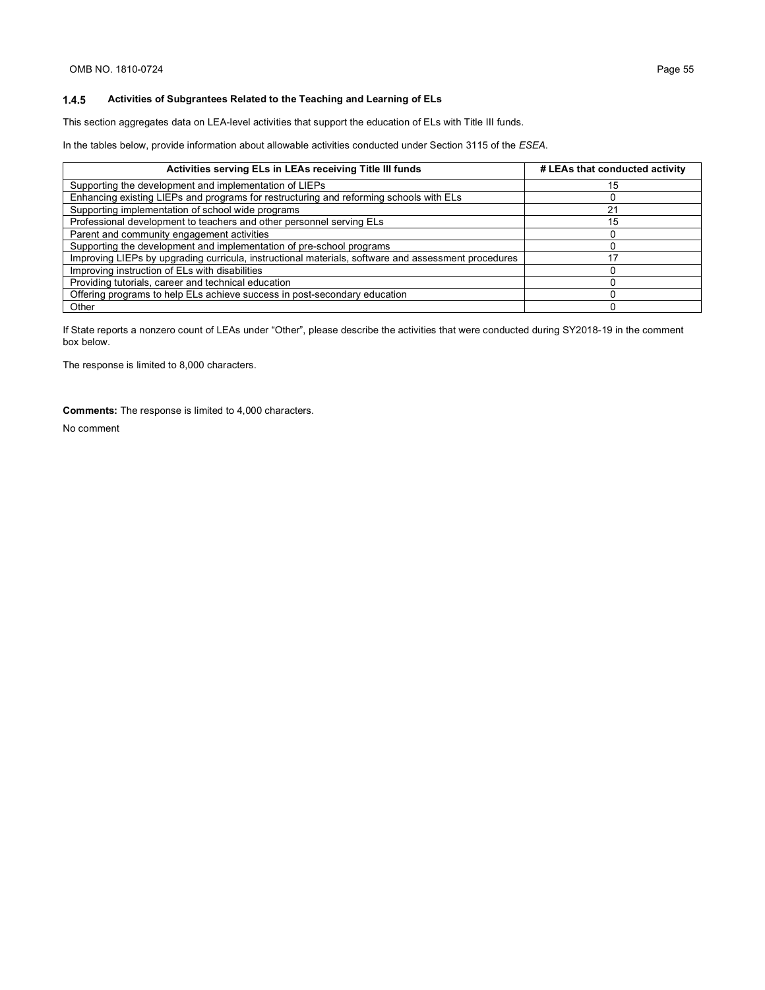#### $1.4.5$ **Activities of Subgrantees Related to the Teaching and Learning of ELs**

This section aggregates data on LEA-level activities that support the education of ELs with Title III funds.

In the tables below, provide information about allowable activities conducted under Section 3115 of the *ESEA*.

| Activities serving ELs in LEAs receiving Title III funds                                            | # LEAs that conducted activity |
|-----------------------------------------------------------------------------------------------------|--------------------------------|
| Supporting the development and implementation of LIEPs                                              | 15                             |
| Enhancing existing LIEPs and programs for restructuring and reforming schools with ELs              |                                |
| Supporting implementation of school wide programs                                                   | 21                             |
| Professional development to teachers and other personnel serving ELs                                | 15                             |
| Parent and community engagement activities                                                          |                                |
| Supporting the development and implementation of pre-school programs                                |                                |
| Improving LIEPs by upgrading curricula, instructional materials, software and assessment procedures | 17                             |
| Improving instruction of ELs with disabilities                                                      |                                |
| Providing tutorials, career and technical education                                                 |                                |
| Offering programs to help ELs achieve success in post-secondary education                           |                                |
| Other                                                                                               |                                |

If State reports a nonzero count of LEAs under "Other", please describe the activities that were conducted during SY2018-19 in the comment box below.

The response is limited to 8,000 characters.

**Comments:** The response is limited to 4,000 characters.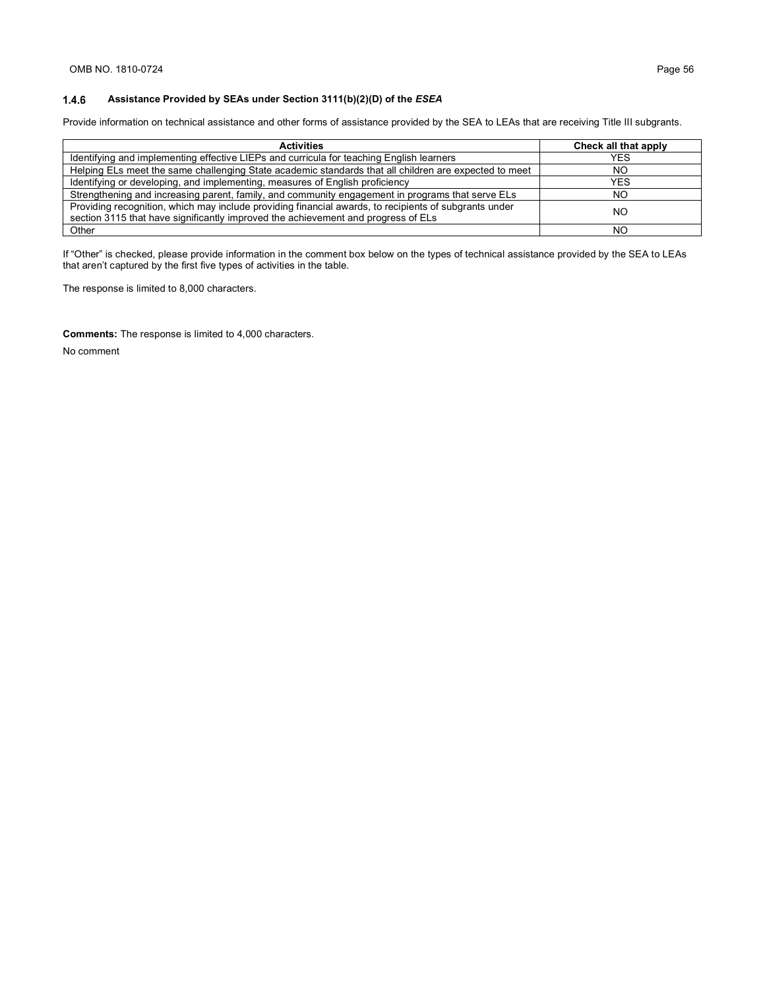#### $1.4.6$ **Assistance Provided by SEAs under Section 3111(b)(2)(D) of the** *ESEA*

Provide information on technical assistance and other forms of assistance provided by the SEA to LEAs that are receiving Title III subgrants.

| <b>Activities</b>                                                                                                                                                                          | Check all that apply |
|--------------------------------------------------------------------------------------------------------------------------------------------------------------------------------------------|----------------------|
| Identifying and implementing effective LIEPs and curricula for teaching English learners                                                                                                   | <b>YES</b>           |
| Helping ELs meet the same challenging State academic standards that all children are expected to meet                                                                                      | NO.                  |
| Identifying or developing, and implementing, measures of English proficiency                                                                                                               | <b>YES</b>           |
| Strengthening and increasing parent, family, and community engagement in programs that serve ELs                                                                                           | NO.                  |
| Providing recognition, which may include providing financial awards, to recipients of subgrants under<br>section 3115 that have significantly improved the achievement and progress of ELs | NO.                  |
| Other                                                                                                                                                                                      | NO.                  |

If "Other" is checked, please provide information in the comment box below on the types of technical assistance provided by the SEA to LEAs that aren't captured by the first five types of activities in the table.

The response is limited to 8,000 characters.

**Comments:** The response is limited to 4,000 characters.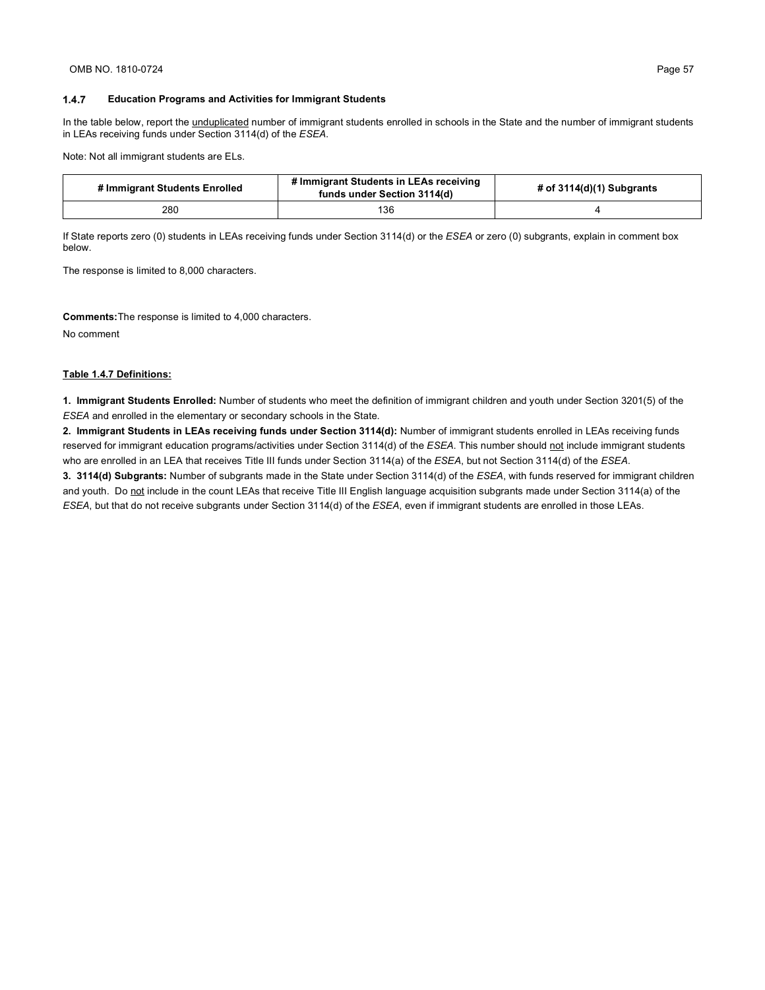#### $1.4.7$ **Education Programs and Activities for Immigrant Students**

In the table below, report the unduplicated number of immigrant students enrolled in schools in the State and the number of immigrant students in LEAs receiving funds under Section 3114(d) of the *ESEA*.

Note: Not all immigrant students are ELs.

| # Immigrant Students Enrolled | # Immigrant Students in LEAs receiving<br>funds under Section 3114(d) | # of $3114(d)(1)$ Subgrants |
|-------------------------------|-----------------------------------------------------------------------|-----------------------------|
| 280                           | 136                                                                   |                             |

If State reports zero (0) students in LEAs receiving funds under Section 3114(d) or the *ESEA* or zero (0) subgrants, explain in comment box below.

The response is limited to 8,000 characters.

**Comments:**The response is limited to 4,000 characters.

No comment

#### **Table 1.4.7 Definitions:**

**1. Immigrant Students Enrolled:** Number of students who meet the definition of immigrant children and youth under Section 3201(5) of the *ESEA* and enrolled in the elementary or secondary schools in the State.

**2. Immigrant Students in LEAs receiving funds under Section 3114(d):** Number of immigrant students enrolled in LEAs receiving funds reserved for immigrant education programs/activities under Section 3114(d) of the *ESEA*. This number should not include immigrant students who are enrolled in an LEA that receives Title III funds under Section 3114(a) of the *ESEA*, but not Section 3114(d) of the *ESEA*.

**3. 3114(d) Subgrants:** Number of subgrants made in the State under Section 3114(d) of the *ESEA*, with funds reserved for immigrant children and youth. Do not include in the count LEAs that receive Title III English language acquisition subgrants made under Section 3114(a) of the *ESEA*, but that do not receive subgrants under Section 3114(d) of the *ESEA*, even if immigrant students are enrolled in those LEAs.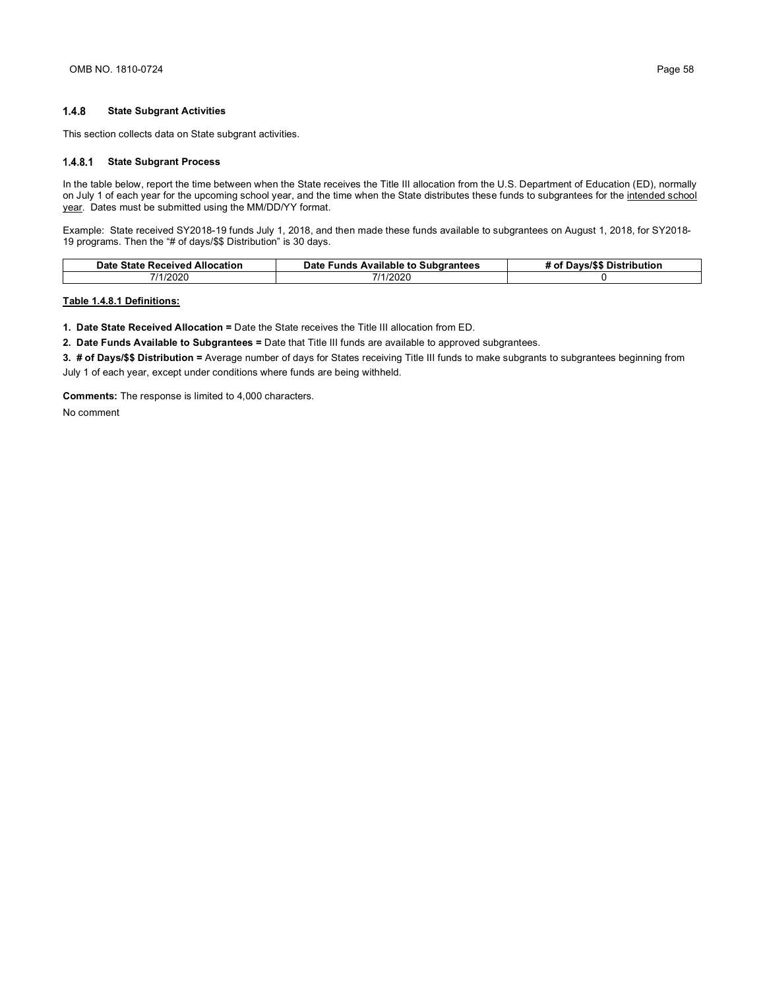#### $1.4.8$ **State Subgrant Activities**

This section collects data on State subgrant activities.

### **State Subgrant Process**

In the table below, report the time between when the State receives the Title III allocation from the U.S. Department of Education (ED), normally on July 1 of each year for the upcoming school year, and the time when the State distributes these funds to subgrantees for the intended school year. Dates must be submitted using the MM/DD/YY format.

Example: State received SY2018-19 funds July 1, 2018, and then made these funds available to subgrantees on August 1, 2018, for SY2018- 19 programs. Then the "# of days/\$\$ Distribution" is 30 days.

| Allocation<br>Date State Received | Date Funds<br>- Available ۲۰ د.<br>⊧ to Subɑrantees | 1285 <sup>2</sup><br>i Distribution<br>Οt |
|-----------------------------------|-----------------------------------------------------|-------------------------------------------|
| 7/1/2020                          | //1/2020                                            |                                           |

### **Table 1.4.8.1 Definitions:**

**1. Date State Received Allocation =** Date the State receives the Title III allocation from ED.

**2. Date Funds Available to Subgrantees =** Date that Title III funds are available to approved subgrantees.

**3. # of Days/\$\$ Distribution =** Average number of days for States receiving Title III funds to make subgrants to subgrantees beginning from July 1 of each year, except under conditions where funds are being withheld.

**Comments:** The response is limited to 4,000 characters.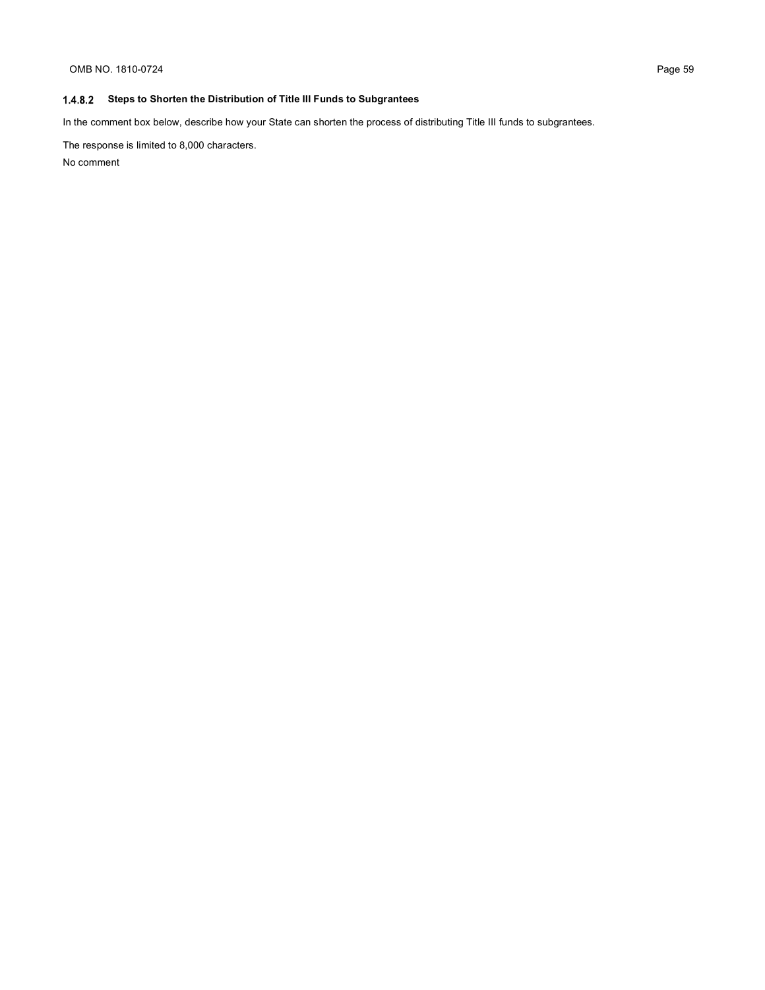# **Steps to Shorten the Distribution of Title III Funds to Subgrantees**

In the comment box below, describe how your State can shorten the process of distributing Title III funds to subgrantees.

The response is limited to 8,000 characters. No comment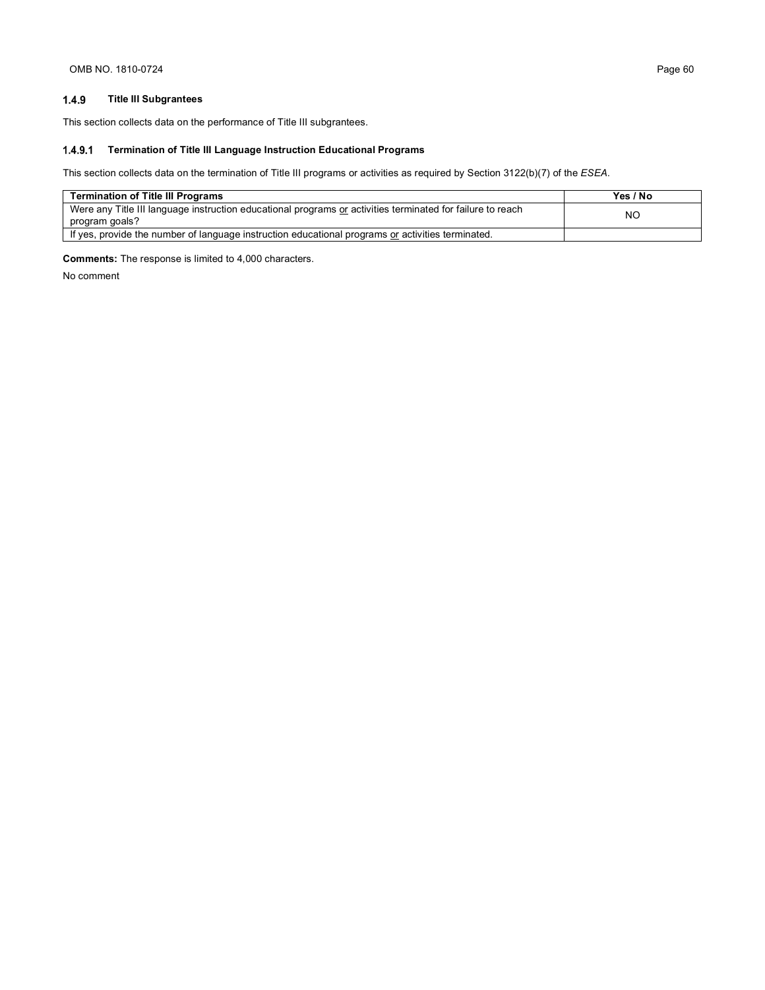#### $1.4.9$ **Title III Subgrantees**

This section collects data on the performance of Title III subgrantees.

# **Termination of Title III Language Instruction Educational Programs**

This section collects data on the termination of Title III programs or activities as required by Section 3122(b)(7) of the *ESEA*.

| <b>Termination of Title III Programs</b>                                                                                     | Yes / No  |
|------------------------------------------------------------------------------------------------------------------------------|-----------|
| Were any Title III language instruction educational programs or activities terminated for failure to reach<br>program goals? | <b>NO</b> |
| If yes, provide the number of language instruction educational programs or activities terminated.                            |           |

**Comments:** The response is limited to 4,000 characters.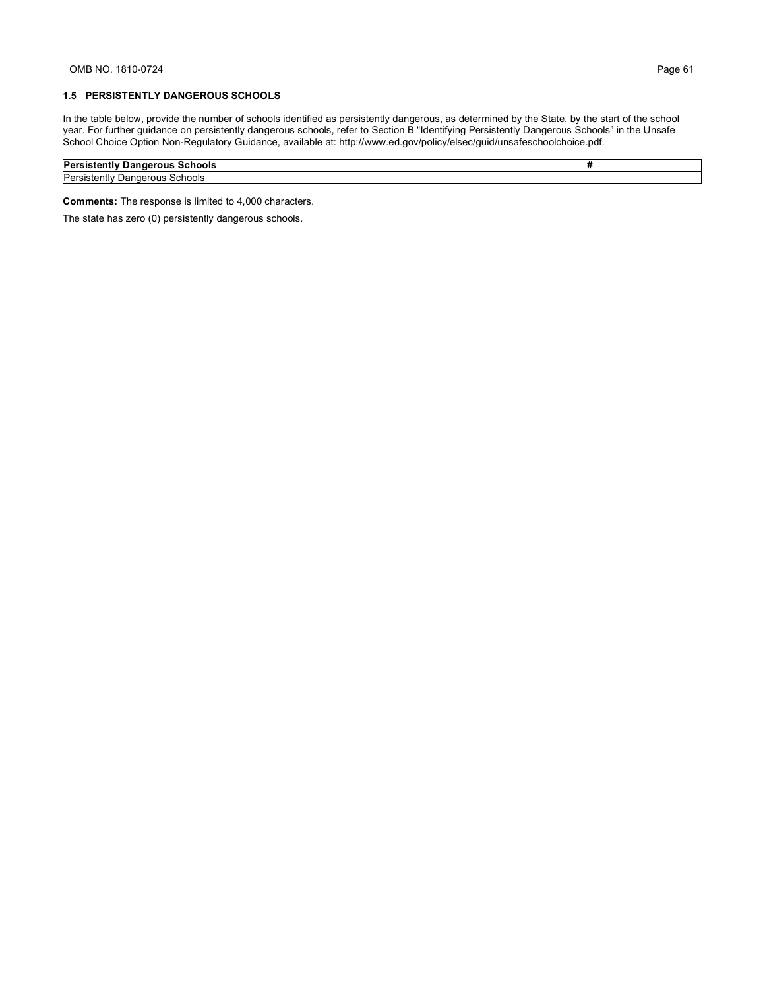#### **1.5 PERSISTENTLY DANGEROUS SCHOOLS**

In the table below, provide the number of schools identified as persistently dangerous, as determined by the State, by the start of the school year. For further guidance on persistently dangerous schools, refer to Section B "Identifying Persistently Dangerous Schools" in the Unsafe School Choice Option Non-Regulatory Guidance, available at: http://www.ed.gov/policy/elsec/guid/unsafeschoolchoice.pdf.

| Per<br>Schools<br>ous                         |  |
|-----------------------------------------------|--|
| Per<br>'<br>⊔anderous<br><b>SCNOOIS</b><br>лπ |  |

**Comments:** The response is limited to 4,000 characters.

The state has zero (0) persistently dangerous schools.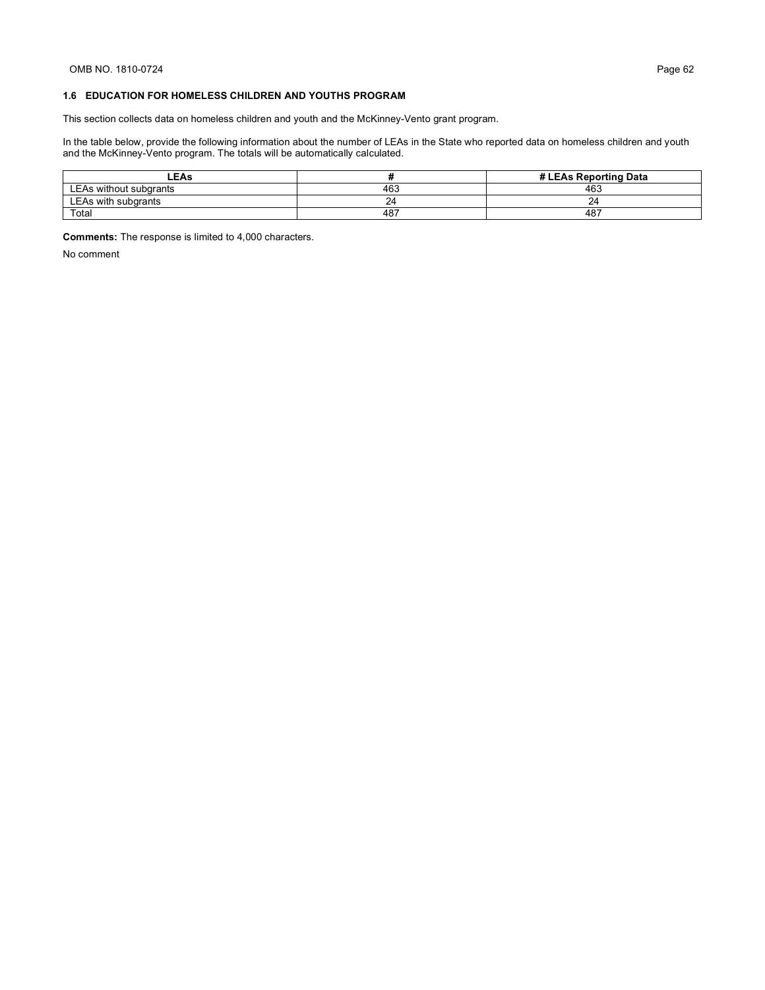### **1.6 EDUCATION FOR HOMELESS CHILDREN AND YOUTHS PROGRAM**

This section collects data on homeless children and youth and the McKinney-Vento grant program.

In the table below, provide the following information about the number of LEAs in the State who reported data on homeless children and youth and the McKinney-Vento program. The totals will be automatically calculated.

| <b>LEAs</b>                   |     | # LEAs Reporting Data |
|-------------------------------|-----|-----------------------|
| <b>LEAs without subgrants</b> | 463 | 463                   |
| <b>LEAs with subgrants</b>    | ∠   | 24                    |
| Total                         | 487 | $48^{-}$              |

**Comments:** The response is limited to 4,000 characters.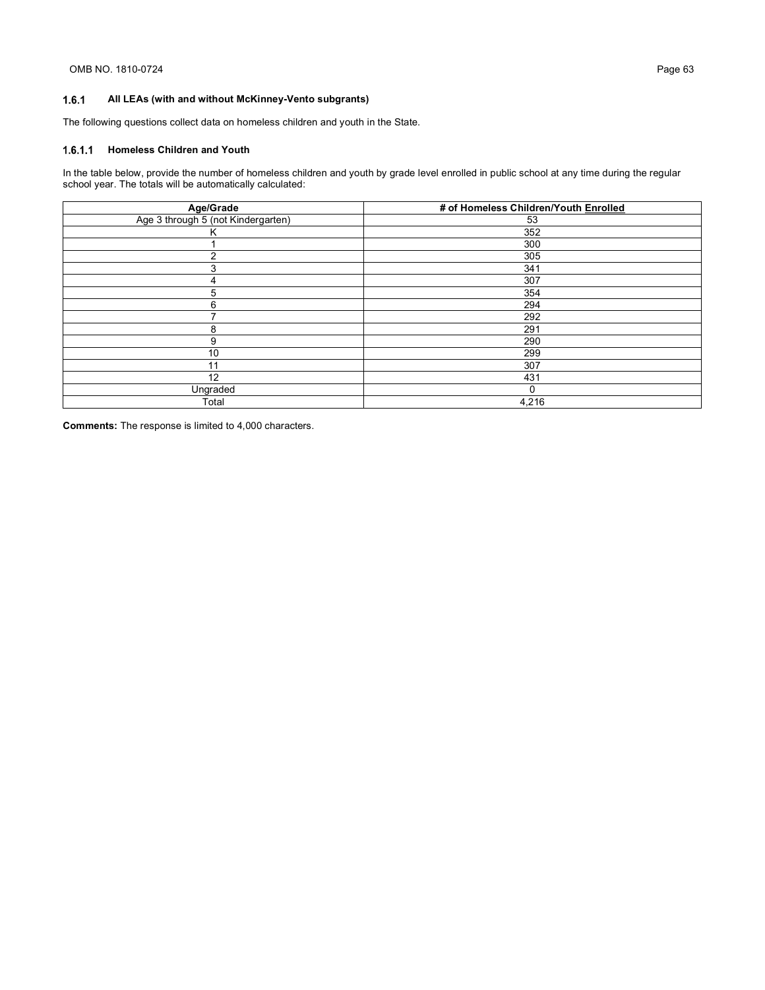#### $1.6.1$ **All LEAs (with and without McKinney-Vento subgrants)**

The following questions collect data on homeless children and youth in the State.

### **Homeless Children and Youth**

In the table below, provide the number of homeless children and youth by grade level enrolled in public school at any time during the regular school year. The totals will be automatically calculated:

| Age/Grade                          | # of Homeless Children/Youth Enrolled |
|------------------------------------|---------------------------------------|
| Age 3 through 5 (not Kindergarten) | 53                                    |
| ĸ                                  | 352                                   |
|                                    | 300                                   |
| 2                                  | 305                                   |
| 3                                  | 341                                   |
|                                    | 307                                   |
| 5                                  | 354                                   |
| 6                                  | 294                                   |
|                                    | 292                                   |
| 8                                  | 291                                   |
| 9                                  | 290                                   |
| 10                                 | 299                                   |
| 11                                 | 307                                   |
| 12                                 | 431                                   |
| Ungraded                           | 0                                     |
| Total                              | 4,216                                 |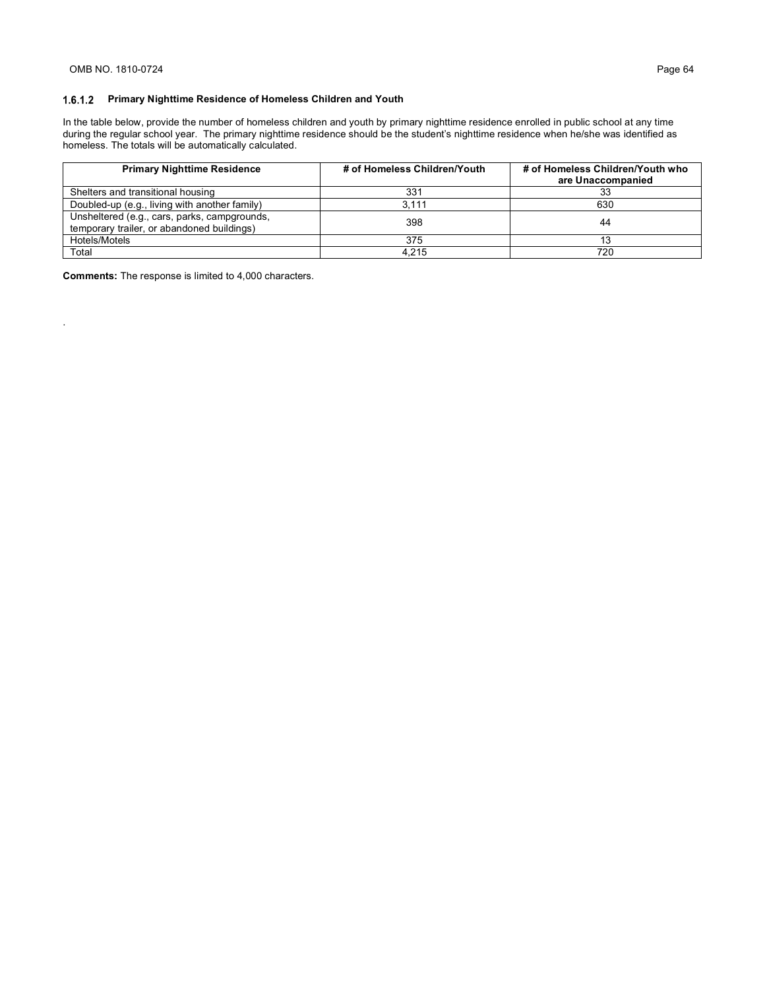.

#### **Primary Nighttime Residence of Homeless Children and Youth**

In the table below, provide the number of homeless children and youth by primary nighttime residence enrolled in public school at any time during the regular school year. The primary nighttime residence should be the student's nighttime residence when he/she was identified as homeless. The totals will be automatically calculated.

| <b>Primary Nighttime Residence</b>                                                         | # of Homeless Children/Youth | # of Homeless Children/Youth who<br>are Unaccompanied |
|--------------------------------------------------------------------------------------------|------------------------------|-------------------------------------------------------|
| Shelters and transitional housing                                                          | 331                          | 33                                                    |
| Doubled-up (e.g., living with another family)                                              | 3.111                        | 630                                                   |
| Unsheltered (e.g., cars, parks, campgrounds,<br>temporary trailer, or abandoned buildings) | 398                          | 44                                                    |
| Hotels/Motels                                                                              | 375                          |                                                       |
| Total                                                                                      | 4.215                        | 720                                                   |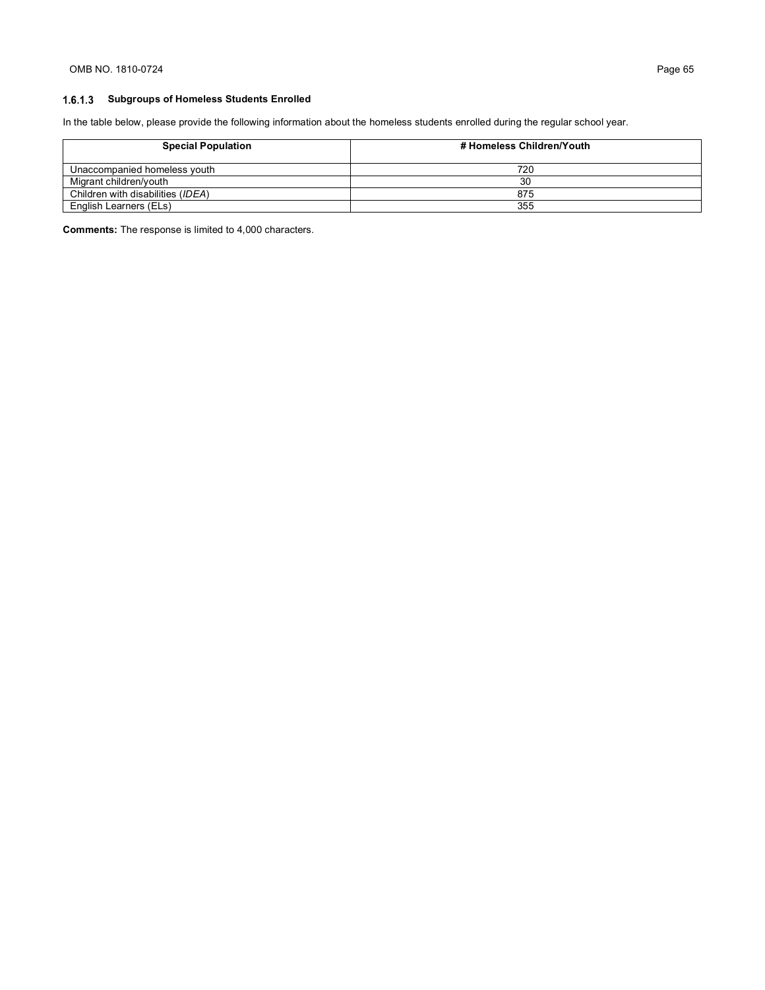# **Subgroups of Homeless Students Enrolled**

In the table below, please provide the following information about the homeless students enrolled during the regular school year.

| <b>Special Population</b>         | # Homeless Children/Youth |
|-----------------------------------|---------------------------|
| Unaccompanied homeless youth      | 720                       |
| Migrant children/vouth            | 30                        |
| Children with disabilities (IDEA) | 875                       |
| English Learners (ELs)            | 355                       |